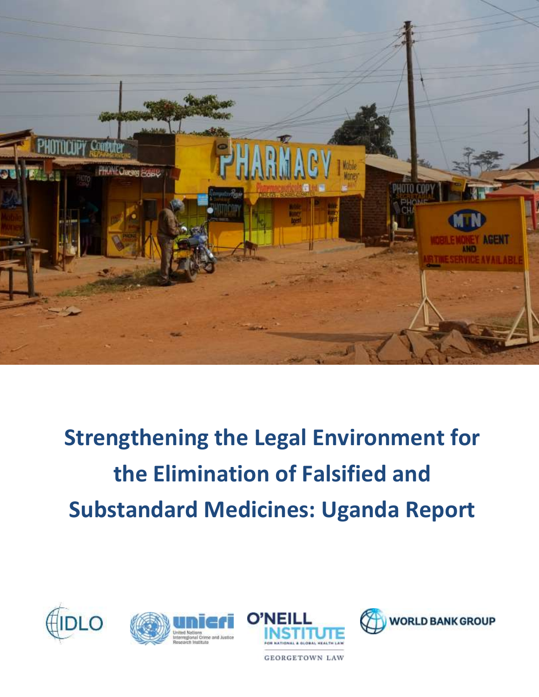

# **Strengthening the Legal Environment for the Elimination of Falsified and Substandard Medicines: Uganda Report**









**GEORGETOWN LAW**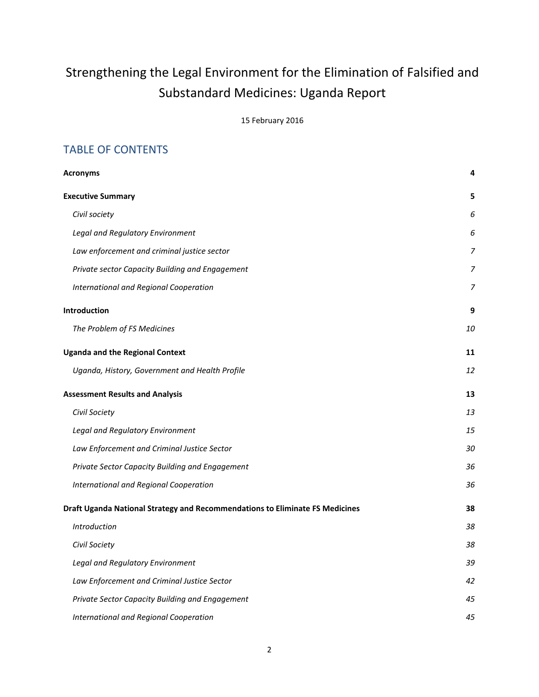# Strengthening the Legal Environment for the Elimination of Falsified and Substandard Medicines: Uganda Report

15 February 2016

### TABLE OF CONTENTS

| <b>Acronyms</b>                                                              | 4              |
|------------------------------------------------------------------------------|----------------|
| <b>Executive Summary</b>                                                     | 5              |
| Civil society                                                                | 6              |
| <b>Legal and Regulatory Environment</b>                                      | 6              |
| Law enforcement and criminal justice sector                                  | $\overline{z}$ |
| Private sector Capacity Building and Engagement                              | $\overline{z}$ |
| International and Regional Cooperation                                       | 7              |
| <b>Introduction</b>                                                          | 9              |
| The Problem of FS Medicines                                                  | 10             |
| <b>Uganda and the Regional Context</b>                                       | 11             |
| Uganda, History, Government and Health Profile                               | 12             |
| <b>Assessment Results and Analysis</b>                                       | 13             |
| Civil Society                                                                | 13             |
| Legal and Regulatory Environment                                             | 15             |
| Law Enforcement and Criminal Justice Sector                                  | 30             |
| Private Sector Capacity Building and Engagement                              | 36             |
| International and Regional Cooperation                                       | 36             |
| Draft Uganda National Strategy and Recommendations to Eliminate FS Medicines | 38             |
| <b>Introduction</b>                                                          | 38             |
| Civil Society                                                                | 38             |
| Legal and Regulatory Environment                                             | 39             |
| Law Enforcement and Criminal Justice Sector                                  | 42             |
| Private Sector Capacity Building and Engagement                              | 45             |
| International and Regional Cooperation                                       | 45             |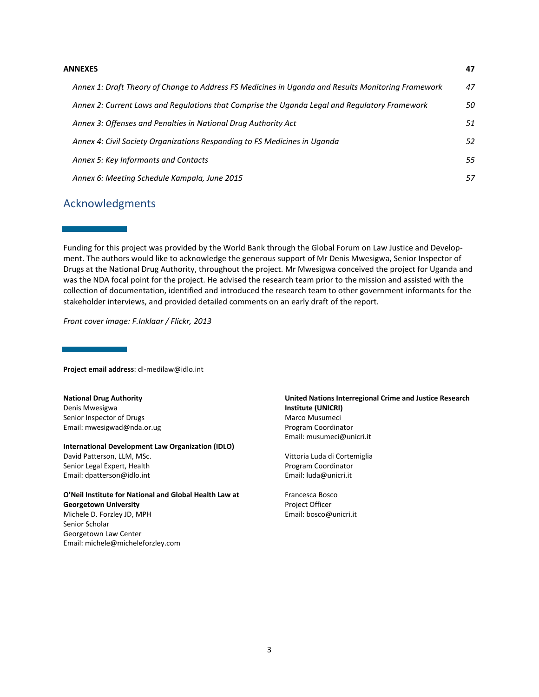#### **[ANNEXES](#page-46-0) 47**

| Annex 1: Draft Theory of Change to Address FS Medicines in Uganda and Results Monitoring Framework | 47 |
|----------------------------------------------------------------------------------------------------|----|
| Annex 2: Current Laws and Regulations that Comprise the Uganda Legal and Regulatory Framework      | 50 |
| Annex 3: Offenses and Penalties in National Drug Authority Act                                     | 51 |
| Annex 4: Civil Society Organizations Responding to FS Medicines in Uganda                          | 52 |
| Annex 5: Key Informants and Contacts                                                               | 55 |
| Annex 6: Meeting Schedule Kampala, June 2015                                                       | 57 |

### Acknowledgments

Funding for this project was provided by the World Bank through the Global Forum on Law Justice and Development. The authors would like to acknowledge the generous support of Mr Denis Mwesigwa, Senior Inspector of Drugs at the National Drug Authority, throughout the project. Mr Mwesigwa conceived the project for Uganda and was the NDA focal point for the project. He advised the research team prior to the mission and assisted with the collection of documentation, identified and introduced the research team to other government informants for the stakeholder interviews, and provided detailed comments on an early draft of the report.

*Front cover image: F.Inklaar / Flickr, 2013*

**Project email address**: [dl-medilaw@idlo.int](mailto:dl-medilaw@idlo.int)

**National Drug Authority** Denis Mwesigwa Senior Inspector of Drugs Email[: mwesigwad@nda.or.ug](mailto:mwesigwad@nda.or.ug)

#### **International Development Law Organization (IDLO)**

David Patterson, LLM, MSc. Senior Legal Expert, Health Email[: dpatterson@idlo.int](mailto:dpatterson@idlo.int)

**O'Neil Institute for National and Global Health Law at Georgetown University** Michele D. Forzley JD, MPH Senior Scholar Georgetown Law Center Email[: michele@micheleforzley.com](mailto:michele@micheleforzley.com)

#### **United Nations Interregional Crime and Justice Research Institute (UNICRI)** Marco Musumeci Program Coordinator

Email[: musumeci@unicri.it](mailto:musumeci@unicri.it)

Vittoria Luda di Cortemiglia Program Coordinator Email[: luda@unicri.it](mailto:luda@unicri.it)

Francesca Bosco Project Officer Email[: bosco@unicri.it](mailto:bosco@unicri.it)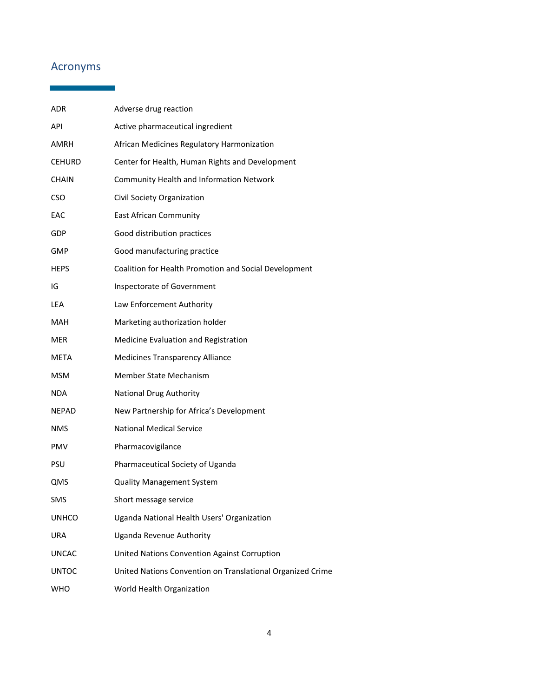## <span id="page-3-0"></span>Acronyms

| <b>ADR</b>    | Adverse drug reaction                                      |
|---------------|------------------------------------------------------------|
| API           | Active pharmaceutical ingredient                           |
| AMRH          | African Medicines Regulatory Harmonization                 |
| <b>CEHURD</b> | Center for Health, Human Rights and Development            |
| CHAIN         | <b>Community Health and Information Network</b>            |
| <b>CSO</b>    | Civil Society Organization                                 |
| EAC           | <b>East African Community</b>                              |
| GDP           | Good distribution practices                                |
| GMP           | Good manufacturing practice                                |
| HEPS          | Coalition for Health Promotion and Social Development      |
| IG            | Inspectorate of Government                                 |
| LEA           | Law Enforcement Authority                                  |
| MAH           | Marketing authorization holder                             |
| MER           | Medicine Evaluation and Registration                       |
| META          | <b>Medicines Transparency Alliance</b>                     |
| MSM           | Member State Mechanism                                     |
| NDA.          | <b>National Drug Authority</b>                             |
| <b>NEPAD</b>  | New Partnership for Africa's Development                   |
| NMS           | <b>National Medical Service</b>                            |
| PMV           | Pharmacovigilance                                          |
| <b>PSU</b>    | Pharmaceutical Society of Uganda                           |
| OMS           | <b>Quality Management System</b>                           |
| <b>SMS</b>    | Short message service                                      |
| <b>UNHCO</b>  | Uganda National Health Users' Organization                 |
| <b>URA</b>    | Uganda Revenue Authority                                   |
| <b>UNCAC</b>  | United Nations Convention Against Corruption               |
| <b>UNTOC</b>  | United Nations Convention on Translational Organized Crime |
| <b>WHO</b>    | World Health Organization                                  |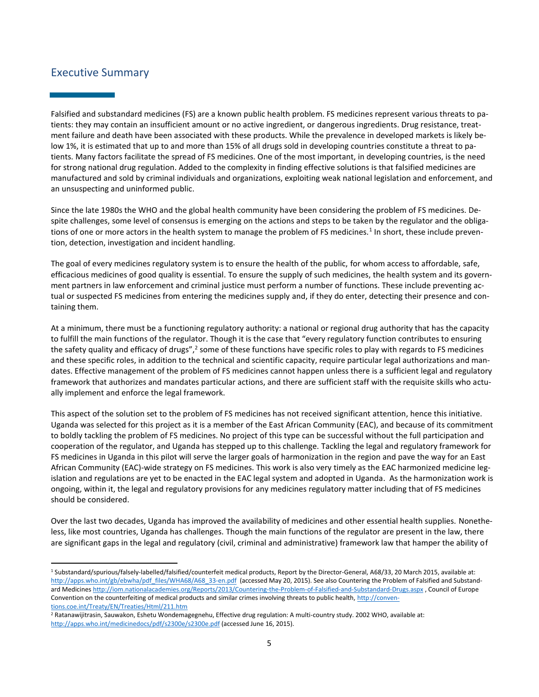### <span id="page-4-0"></span>Executive Summary

 $\overline{a}$ 

Falsified and substandard medicines (FS) are a known public health problem. FS medicines represent various threats to patients: they may contain an insufficient amount or no active ingredient, or dangerous ingredients. Drug resistance, treatment failure and death have been associated with these products. While the prevalence in developed markets is likely below 1%, it is estimated that up to and more than 15% of all drugs sold in developing countries constitute a threat to patients. Many factors facilitate the spread of FS medicines. One of the most important, in developing countries, is the need for strong national drug regulation. Added to the complexity in finding effective solutions is that falsified medicines are manufactured and sold by criminal individuals and organizations, exploiting weak national legislation and enforcement, and an unsuspecting and uninformed public.

Since the late 1980s the WHO and the global health community have been considering the problem of FS medicines. Despite challenges, some level of consensus is emerging on the actions and steps to be taken by the regulator and the obligations of one or more actors in the health system to manage the problem of FS medicines.<sup>1</sup> In short, these include prevention, detection, investigation and incident handling.

The goal of every medicines regulatory system is to ensure the health of the public, for whom access to affordable, safe, efficacious medicines of good quality is essential. To ensure the supply of such medicines, the health system and its government partners in law enforcement and criminal justice must perform a number of functions. These include preventing actual or suspected FS medicines from entering the medicines supply and, if they do enter, detecting their presence and containing them.

At a minimum, there must be a functioning regulatory authority: a national or regional drug authority that has the capacity to fulfill the main functions of the regulator. Though it is the case that "every regulatory function contributes to ensuring the safety quality and efficacy of drugs",<sup>2</sup> some of these functions have specific roles to play with regards to FS medicines and these specific roles, in addition to the technical and scientific capacity, require particular legal authorizations and mandates. Effective management of the problem of FS medicines cannot happen unless there is a sufficient legal and regulatory framework that authorizes and mandates particular actions, and there are sufficient staff with the requisite skills who actually implement and enforce the legal framework.

This aspect of the solution set to the problem of FS medicines has not received significant attention, hence this initiative. Uganda was selected for this project as it is a member of the East African Community (EAC), and because of its commitment to boldly tackling the problem of FS medicines. No project of this type can be successful without the full participation and cooperation of the regulator, and Uganda has stepped up to this challenge. Tackling the legal and regulatory framework for FS medicines in Uganda in this pilot will serve the larger goals of harmonization in the region and pave the way for an East African Community (EAC)-wide strategy on FS medicines. This work is also very timely as the EAC harmonized medicine legislation and regulations are yet to be enacted in the EAC legal system and adopted in Uganda. As the harmonization work is ongoing, within it, the legal and regulatory provisions for any medicines regulatory matter including that of FS medicines should be considered.

Over the last two decades, Uganda has improved the availability of medicines and other essential health supplies. Nonetheless, like most countries, Uganda has challenges. Though the main functions of the regulator are present in the law, there are significant gaps in the legal and regulatory (civil, criminal and administrative) framework law that hamper the ability of

<sup>&</sup>lt;sup>1</sup> Substandard/spurious/falsely-labelled/falsified/counterfeit medical products, Report by the Director-General, A68/33, 20 March 2015, available at: [http://apps.who.int/gb/ebwha/pdf\\_files/WHA68/A68\\_33-en.pdf](http://apps.who.int/gb/ebwha/pdf_files/WHA68/A68_33-en.pdf) (accessed May 20, 2015). See also Countering the Problem of Falsified and Substandard Medicine[s http://iom.nationalacademies.org/Reports/2013/Countering-the-Problem-of-Falsified-and-Substandard-Drugs.aspx](http://iom.nationalacademies.org/Reports/2013/Countering-the-Problem-of-Falsified-and-Substandard-Drugs.aspx) , Council of Europe Convention on the counterfeiting of medical products and similar crimes involving threats to public health, [http://conven](http://conventions.coe.int/Treaty/EN/Treaties/Html/211.htm)[tions.coe.int/Treaty/EN/Treaties/Html/211.htm](http://conventions.coe.int/Treaty/EN/Treaties/Html/211.htm) 

<sup>&</sup>lt;sup>2</sup> Ratanawijitrasin, Sauwakon, Eshetu Wondemagegnehu, Effective drug regulation: A multi-country study. 2002 WHO, available at: <http://apps.who.int/medicinedocs/pdf/s2300e/s2300e.pdf> (accessed June 16, 2015).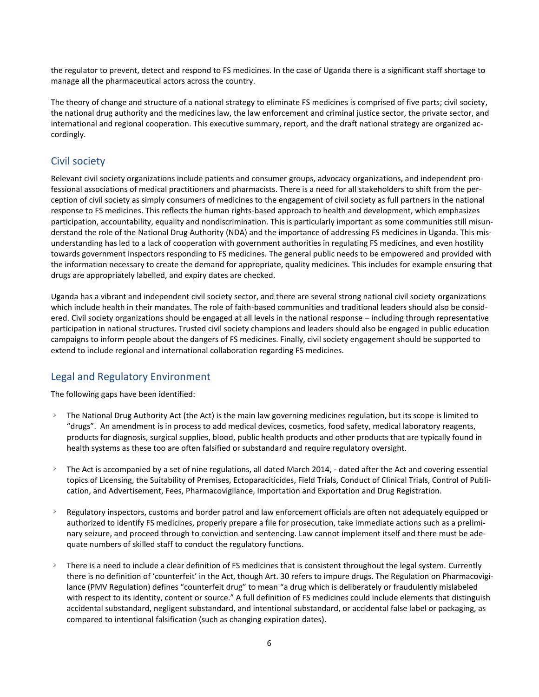the regulator to prevent, detect and respond to FS medicines. In the case of Uganda there is a significant staff shortage to manage all the pharmaceutical actors across the country.

The theory of change and structure of a national strategy to eliminate FS medicines is comprised of five parts; civil society, the national drug authority and the medicines law, the law enforcement and criminal justice sector, the private sector, and international and regional cooperation. This executive summary, report, and the draft national strategy are organized accordingly.

#### <span id="page-5-0"></span>Civil society

Relevant civil society organizations include patients and consumer groups, advocacy organizations, and independent professional associations of medical practitioners and pharmacists. There is a need for all stakeholders to shift from the perception of civil society as simply consumers of medicines to the engagement of civil society as full partners in the national response to FS medicines. This reflects the human rights-based approach to health and development, which emphasizes participation, accountability, equality and nondiscrimination. This is particularly important as some communities still misunderstand the role of the National Drug Authority (NDA) and the importance of addressing FS medicines in Uganda. This misunderstanding has led to a lack of cooperation with government authorities in regulating FS medicines, and even hostility towards government inspectors responding to FS medicines. The general public needs to be empowered and provided with the information necessary to create the demand for appropriate, quality medicines. This includes for example ensuring that drugs are appropriately labelled, and expiry dates are checked.

Uganda has a vibrant and independent civil society sector, and there are several strong national civil society organizations which include health in their mandates. The role of faith-based communities and traditional leaders should also be considered. Civil society organizations should be engaged at all levels in the national response – including through representative participation in national structures. Trusted civil society champions and leaders should also be engaged in public education campaigns to inform people about the dangers of FS medicines. Finally, civil society engagement should be supported to extend to include regional and international collaboration regarding FS medicines.

#### <span id="page-5-1"></span>Legal and Regulatory Environment

The following gaps have been identified:

- × The National Drug Authority Act (the Act) is the main law governing medicines regulation, but its scope is limited to "drugs". An amendment is in process to add medical devices, cosmetics, food safety, medical laboratory reagents, products for diagnosis, surgical supplies, blood, public health products and other products that are typically found in health systems as these too are often falsified or substandard and require regulatory oversight.
- The Act is accompanied by a set of nine regulations, all dated March 2014, dated after the Act and covering essential topics of Licensing, the Suitability of Premises, Ectoparaciticides, Field Trials, Conduct of Clinical Trials, Control of Publication, and Advertisement, Fees, Pharmacovigilance, Importation and Exportation and Drug Registration.
- × Regulatory inspectors, customs and border patrol and law enforcement officials are often not adequately equipped or authorized to identify FS medicines, properly prepare a file for prosecution, take immediate actions such as a preliminary seizure, and proceed through to conviction and sentencing. Law cannot implement itself and there must be adequate numbers of skilled staff to conduct the regulatory functions.
- ÿ. There is a need to include a clear definition of FS medicines that is consistent throughout the legal system. Currently there is no definition of 'counterfeit' in the Act, though Art. 30 refers to impure drugs. The Regulation on Pharmacovigilance (PMV Regulation) defines "counterfeit drug" to mean "a drug which is deliberately or fraudulently mislabeled with respect to its identity, content or source." A full definition of FS medicines could include elements that distinguish accidental substandard, negligent substandard, and intentional substandard, or accidental false label or packaging, as compared to intentional falsification (such as changing expiration dates).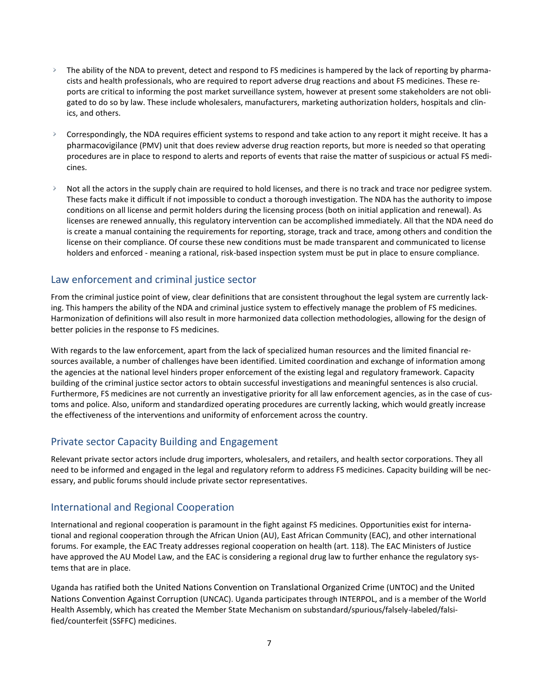- The ability of the NDA to prevent, detect and respond to FS medicines is hampered by the lack of reporting by pharmacists and health professionals, who are required to report adverse drug reactions and about FS medicines. These reports are critical to informing the post market surveillance system, however at present some stakeholders are not obligated to do so by law. These include wholesalers, manufacturers, marketing authorization holders, hospitals and clinics, and others.
- Correspondingly, the NDA requires efficient systems to respond and take action to any report it might receive. It has a pharmacovigilance (PMV) unit that does review adverse drug reaction reports, but more is needed so that operating procedures are in place to respond to alerts and reports of events that raise the matter of suspicious or actual FS medicines.
- ×. Not all the actors in the supply chain are required to hold licenses, and there is no track and trace nor pedigree system. These facts make it difficult if not impossible to conduct a thorough investigation. The NDA has the authority to impose conditions on all license and permit holders during the licensing process (both on initial application and renewal). As licenses are renewed annually, this regulatory intervention can be accomplished immediately. All that the NDA need do is create a manual containing the requirements for reporting, storage, track and trace, among others and condition the license on their compliance. Of course these new conditions must be made transparent and communicated to license holders and enforced - meaning a rational, risk-based inspection system must be put in place to ensure compliance.

### <span id="page-6-0"></span>Law enforcement and criminal justice sector

From the criminal justice point of view, clear definitions that are consistent throughout the legal system are currently lacking. This hampers the ability of the NDA and criminal justice system to effectively manage the problem of FS medicines. Harmonization of definitions will also result in more harmonized data collection methodologies, allowing for the design of better policies in the response to FS medicines.

With regards to the law enforcement, apart from the lack of specialized human resources and the limited financial resources available, a number of challenges have been identified. Limited coordination and exchange of information among the agencies at the national level hinders proper enforcement of the existing legal and regulatory framework. Capacity building of the criminal justice sector actors to obtain successful investigations and meaningful sentences is also crucial. Furthermore, FS medicines are not currently an investigative priority for all law enforcement agencies, as in the case of customs and police. Also, uniform and standardized operating procedures are currently lacking, which would greatly increase the effectiveness of the interventions and uniformity of enforcement across the country.

### <span id="page-6-1"></span>Private sector Capacity Building and Engagement

Relevant private sector actors include drug importers, wholesalers, and retailers, and health sector corporations. They all need to be informed and engaged in the legal and regulatory reform to address FS medicines. Capacity building will be necessary, and public forums should include private sector representatives.

### <span id="page-6-2"></span>International and Regional Cooperation

International and regional cooperation is paramount in the fight against FS medicines. Opportunities exist for international and regional cooperation through the African Union (AU), East African Community (EAC), and other international forums. For example, the EAC Treaty addresses regional cooperation on health (art. 118). The EAC Ministers of Justice have approved the AU Model Law, and the EAC is considering a regional drug law to further enhance the regulatory systems that are in place.

Uganda has ratified both the United Nations Convention on Translational Organized Crime (UNTOC) and the United Nations Convention Against Corruption (UNCAC). Uganda participates through INTERPOL, and is a member of the World Health Assembly, which has created the Member State Mechanism on substandard/spurious/falsely-labeled/falsified/counterfeit (SSFFC) medicines.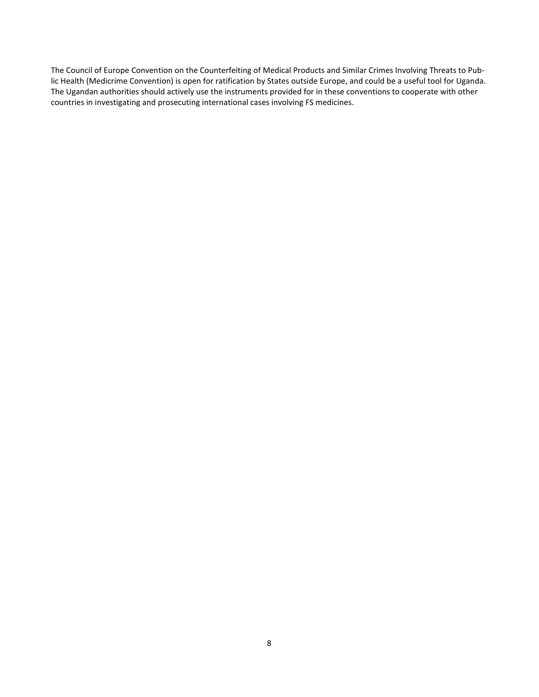<span id="page-7-0"></span>The Council of Europe Convention on the Counterfeiting of Medical Products and Similar Crimes Involving Threats to Public Health (Medicrime Convention) is open for ratification by States outside Europe, and could be a useful tool for Uganda. The Ugandan authorities should actively use the instruments provided for in these conventions to cooperate with other countries in investigating and prosecuting international cases involving FS medicines.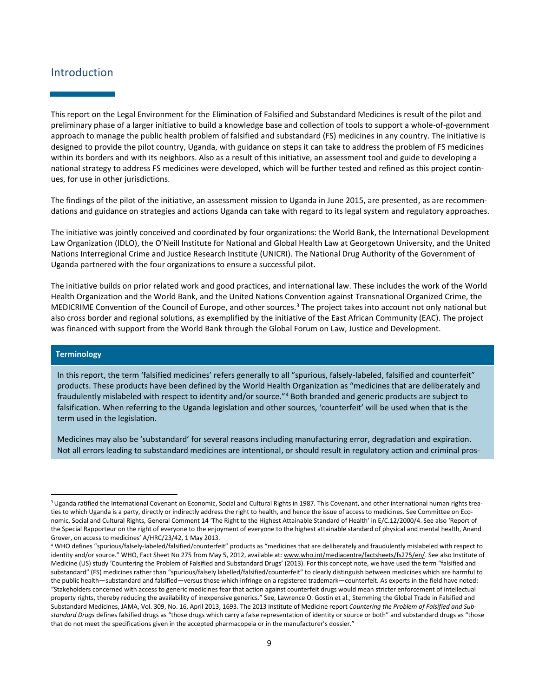### Introduction

This report on the Legal Environment for the Elimination of Falsified and Substandard Medicines is result of the pilot and preliminary phase of a larger initiative to build a knowledge base and collection of tools to support a whole-of-government approach to manage the public health problem of falsified and substandard (FS) medicines in any country. The initiative is designed to provide the pilot country, Uganda, with guidance on steps it can take to address the problem of FS medicines within its borders and with its neighbors. Also as a result of this initiative, an assessment tool and guide to developing a national strategy to address FS medicines were developed, which will be further tested and refined as this project continues, for use in other jurisdictions.

The findings of the pilot of the initiative, an assessment mission to Uganda in June 2015, are presented, as are recommendations and guidance on strategies and actions Uganda can take with regard to its legal system and regulatory approaches.

The initiative was jointly conceived and coordinated by four organizations: the World Bank, the International Development Law Organization (IDLO), the O'Neill Institute for National and Global Health Law at Georgetown University, and the United Nations Interregional Crime and Justice Research Institute (UNICRI). The National Drug Authority of the Government of Uganda partnered with the four organizations to ensure a successful pilot.

The initiative builds on prior related work and good practices, and international law. These includes the work of the World Health Organization and the World Bank, and the United Nations Convention against Transnational Organized Crime, the MEDICRIME Convention of the Council of Europe, and other sources.<sup>3</sup> The project takes into account not only national but also cross border and regional solutions, as exemplified by the initiative of the East African Community (EAC). The project was financed with support from the World Bank through the Global Forum on Law, Justice and Development.

#### **Terminology**

 $\overline{a}$ 

In this report, the term 'falsified medicines' refers generally to all "spurious, falsely-labeled, falsified and counterfeit" products. These products have been defined by the World Health Organization as "medicines that are deliberately and fraudulently mislabeled with respect to identity and/or source."<sup>4</sup> Both branded and generic products are subject to falsification. When referring to the Uganda legislation and other sources, 'counterfeit' will be used when that is the term used in the legislation.

Medicines may also be 'substandard' for several reasons including manufacturing error, degradation and expiration. Not all errors leading to substandard medicines are intentional, or should result in regulatory action and criminal pros-

<sup>&</sup>lt;sup>3</sup> Uganda ratified the International Covenant on Economic, Social and Cultural Rights in 1987. This Covenant, and other international human rights treaties to which Uganda is a party, directly or indirectly address the right to health, and hence the issue of access to medicines. See Committee on Economic, Social and Cultural Rights, General Comment 14 'The Right to the Highest Attainable Standard of Health' in E/C.12/2000/4. See also 'Report of the Special Rapporteur on the right of everyone to the enjoyment of everyone to the highest attainable standard of physical and mental health, Anand Grover, on access to medicines' A/HRC/23/42, 1 May 2013.

<sup>4</sup> WHO defines "spurious/falsely-labeled/falsified/counterfeit" products as "medicines that are deliberately and fraudulently mislabeled with respect to identity and/or source." WHO, Fact Sheet No 275 from May 5, 2012, available at: [www.who.int/mediacentre/factsheets/fs275/en/.](http://www.who.int/mediacentre/factsheets/fs275/en/) See also Institute of Medicine (US) study 'Countering the Problem of Falsified and Substandard Drugs' (2013). For this concept note, we have used the term "falsified and substandard" (FS) medicines rather than "spurious/falsely labelled/falsified/counterfeit" to clearly distinguish between medicines which are harmful to the public health—substandard and falsified—versus those which infringe on a registered trademark—counterfeit. As experts in the field have noted: "Stakeholders concerned with access to generic medicines fear that action against counterfeit drugs would mean stricter enforcement of intellectual property rights, thereby reducing the availability of inexpensive generics." See, Lawrence O. Gostin et al., Stemming the Global Trade in Falsified and Substandard Medicines, JAMA, Vol. 309, No. 16, April 2013, 1693. The 2013 Institute of Medicine report *Countering the Problem of Falsified and Substandard Drugs* defines falsified drugs as "those drugs which carry a false representation of identity or source or both" and substandard drugs as "those that do not meet the specifications given in the accepted pharmacopeia or in the manufacturer's dossier."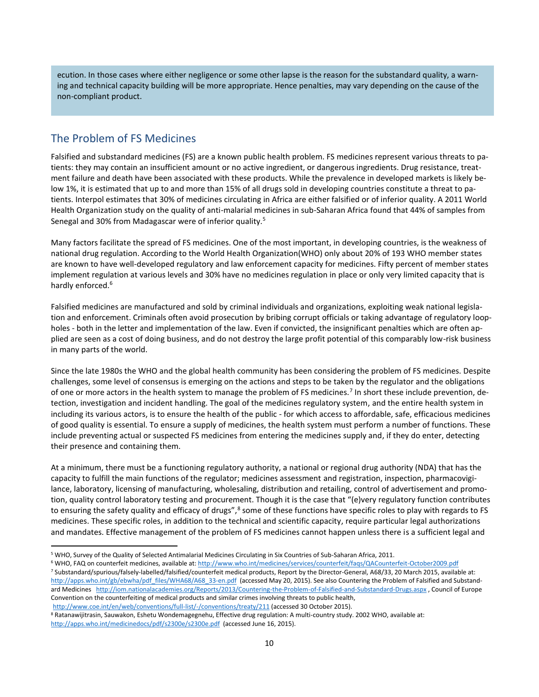ecution. In those cases where either negligence or some other lapse is the reason for the substandard quality, a warning and technical capacity building will be more appropriate. Hence penalties, may vary depending on the cause of the non-compliant product.

### <span id="page-9-0"></span>The Problem of FS Medicines

 $\overline{a}$ 

Falsified and substandard medicines (FS) are a known public health problem. FS medicines represent various threats to patients: they may contain an insufficient amount or no active ingredient, or dangerous ingredients. Drug resistance, treatment failure and death have been associated with these products. While the prevalence in developed markets is likely below 1%, it is estimated that up to and more than 15% of all drugs sold in developing countries constitute a threat to patients. Interpol estimates that 30% of medicines circulating in Africa are either falsified or of inferior quality. A 2011 World Health Organization study on the quality of anti-malarial medicines in sub-Saharan Africa found that 44% of samples from Senegal and 30% from Madagascar were of inferior quality.<sup>5</sup>

Many factors facilitate the spread of FS medicines. One of the most important, in developing countries, is the weakness of national drug regulation. According to the World Health Organization(WHO) only about 20% of 193 WHO member states are known to have well-developed regulatory and law enforcement capacity for medicines. Fifty percent of member states implement regulation at various levels and 30% have no medicines regulation in place or only very limited capacity that is hardly enforced.<sup>6</sup>

Falsified medicines are manufactured and sold by criminal individuals and organizations, exploiting weak national legislation and enforcement. Criminals often avoid prosecution by bribing corrupt officials or taking advantage of regulatory loopholes - both in the letter and implementation of the law. Even if convicted, the insignificant penalties which are often applied are seen as a cost of doing business, and do not destroy the large profit potential of this comparably low-risk business in many parts of the world.

Since the late 1980s the WHO and the global health community has been considering the problem of FS medicines. Despite challenges, some level of consensus is emerging on the actions and steps to be taken by the regulator and the obligations of one or more actors in the health system to manage the problem of FS medicines.<sup>7</sup> In short these include prevention, detection, investigation and incident handling. The goal of the medicines regulatory system, and the entire health system in including its various actors, is to ensure the health of the public - for which access to affordable, safe, efficacious medicines of good quality is essential. To ensure a supply of medicines, the health system must perform a number of functions. These include preventing actual or suspected FS medicines from entering the medicines supply and, if they do enter, detecting their presence and containing them.

At a minimum, there must be a functioning regulatory authority, a national or regional drug authority (NDA) that has the capacity to fulfill the main functions of the regulator; medicines assessment and registration, inspection, pharmacovigilance, laboratory, licensing of manufacturing, wholesaling, distribution and retailing, control of advertisement and promotion, quality control laboratory testing and procurement. Though it is the case that "(e)very regulatory function contributes to ensuring the safety quality and efficacy of drugs",<sup>8</sup> some of these functions have specific roles to play with regards to FS medicines. These specific roles, in addition to the technical and scientific capacity, require particular legal authorizations and mandates. Effective management of the problem of FS medicines cannot happen unless there is a sufficient legal and

<sup>5</sup> WHO, Survey of the Quality of Selected Antimalarial Medicines Circulating in Six Countries of Sub-Saharan Africa, 2011.

<sup>6</sup> WHO, FAQ on counterfeit medicines, available at[: http://www.who.int/medicines/services/counterfeit/faqs/QACounterfeit-October2009.pdf](http://www.who.int/medicines/services/counterfeit/faqs/QACounterfeit-October2009.pdf) <sup>7</sup> Substandard/spurious/falsely-labelled/falsified/counterfeit medical products, Report by the Director-General, A68/33, 20 March 2015, available at: [http://apps.who.int/gb/ebwha/pdf\\_files/WHA68/A68\\_33-en.pdf](http://apps.who.int/gb/ebwha/pdf_files/WHA68/A68_33-en.pdf) (accessed May 20, 2015). See also Countering the Problem of Falsified and Substandard Medicines <http://iom.nationalacademies.org/Reports/2013/Countering-the-Problem-of-Falsified-and-Substandard-Drugs.aspx>, Council of Europe Convention on the counterfeiting of medical products and similar crimes involving threats to public health, <http://www.coe.int/en/web/conventions/full-list/-/conventions/treaty/211> (accessed 30 October 2015).

<sup>8</sup> Ratanawijitrasin, Sauwakon, Eshetu Wondemagegnehu, Effective drug regulation: A multi-country study. 2002 WHO, available at: <http://apps.who.int/medicinedocs/pdf/s2300e/s2300e.pdf> (accessed June 16, 2015).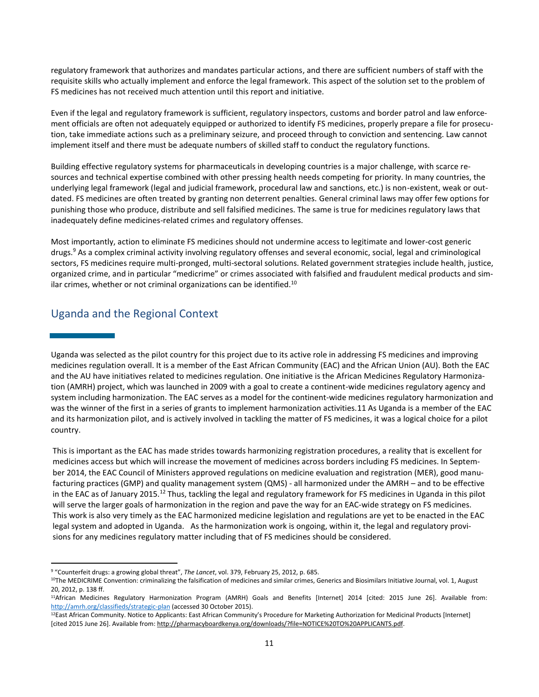regulatory framework that authorizes and mandates particular actions, and there are sufficient numbers of staff with the requisite skills who actually implement and enforce the legal framework. This aspect of the solution set to the problem of FS medicines has not received much attention until this report and initiative.

Even if the legal and regulatory framework is sufficient, regulatory inspectors, customs and border patrol and law enforcement officials are often not adequately equipped or authorized to identify FS medicines, properly prepare a file for prosecution, take immediate actions such as a preliminary seizure, and proceed through to conviction and sentencing. Law cannot implement itself and there must be adequate numbers of skilled staff to conduct the regulatory functions.

Building effective regulatory systems for pharmaceuticals in developing countries is a major challenge, with scarce resources and technical expertise combined with other pressing health needs competing for priority. In many countries, the underlying legal framework (legal and judicial framework, procedural law and sanctions, etc.) is non-existent, weak or outdated. FS medicines are often treated by granting non deterrent penalties. General criminal laws may offer few options for punishing those who produce, distribute and sell falsified medicines. The same is true for medicines regulatory laws that inadequately define medicines-related crimes and regulatory offenses.

Most importantly, action to eliminate FS medicines should not undermine access to legitimate and lower-cost generic drugs.<sup>9</sup> As a complex criminal activity involving regulatory offenses and several economic, social, legal and criminological sectors, FS medicines require multi-pronged, multi-sectoral solutions. Related government strategies include health, justice, organized crime, and in particular "medicrime" or crimes associated with falsified and fraudulent medical products and similar crimes, whether or not criminal organizations can be identified. $^{10}$ 

### <span id="page-10-0"></span>Uganda and the Regional Context

 $\overline{a}$ 

Uganda was selected as the pilot country for this project due to its active role in addressing FS medicines and improving medicines regulation overall. It is a member of the East African Community (EAC) and the African Union (AU). Both the EAC and the AU have initiatives related to medicines regulation. One initiative is the African Medicines Regulatory Harmonization (AMRH) project, which was launched in 2009 with a goal to create a continent-wide medicines regulatory agency and system including harmonization. The EAC serves as a model for the continent-wide medicines regulatory harmonization and was the winner of the first in a series of grants to implement harmonization activities.11 As Uganda is a member of the EAC and its harmonization pilot, and is actively involved in tackling the matter of FS medicines, it was a logical choice for a pilot country.

This is important as the EAC has made strides towards harmonizing registration procedures, a reality that is excellent for medicines access but which will increase the movement of medicines across borders including FS medicines. In September 2014, the EAC Council of Ministers approved regulations on medicine evaluation and registration (MER), good manufacturing practices (GMP) and quality management system (QMS) - all harmonized under the AMRH – and to be effective in the EAC as of January 2015.<sup>12</sup> Thus, tackling the legal and regulatory framework for FS medicines in Uganda in this pilot will serve the larger goals of harmonization in the region and pave the way for an EAC-wide strategy on FS medicines. This work is also very timely as the EAC harmonized medicine legislation and regulations are yet to be enacted in the EAC legal system and adopted in Uganda. As the harmonization work is ongoing, within it, the legal and regulatory provisions for any medicines regulatory matter including that of FS medicines should be considered.

<sup>9</sup> "Counterfeit drugs: a growing global threat", *The Lancet*, vol. 379, February 25, 2012, p. 685.

<sup>&</sup>lt;sup>10</sup>The MEDICRIME Convention: criminalizing the falsification of medicines and similar crimes, Generics and Biosimilars Initiative Journal, vol. 1, August 20, 2012, p. 138 ff.

<sup>11</sup>African Medicines Regulatory Harmonization Program (AMRH) Goals and Benefits [Internet] 2014 [cited: 2015 June 26]. Available from: <http://amrh.org/classifieds/strategic-plan> (accessed 30 October 2015).

<sup>&</sup>lt;sup>12</sup>East African Community. Notice to Applicants: East African Community's Procedure for Marketing Authorization for Medicinal Products [Internet] [cited 2015 June 26]. Available from[: http://pharmacyboardkenya.org/downloads/?file=NOTICE%20TO%20APPLICANTS.pdf.](http://pharmacyboardkenya.org/downloads/?file=NOTICE%20TO%20APPLICANTS.pdf)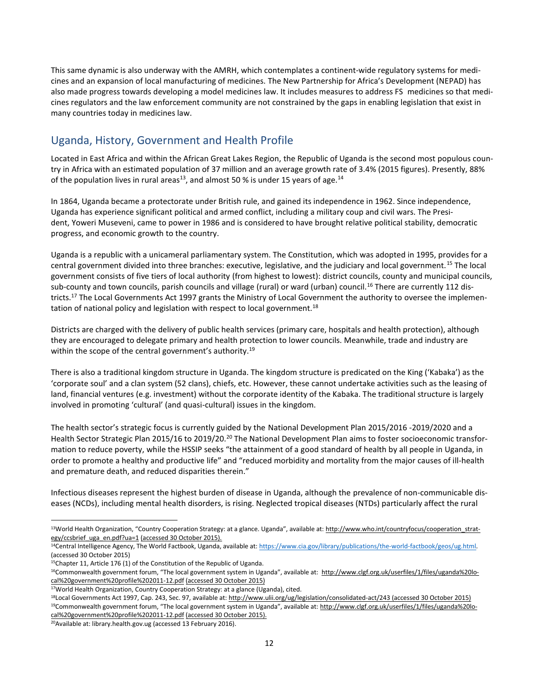This same dynamic is also underway with the AMRH, which contemplates a continent-wide regulatory systems for medicines and an expansion of local manufacturing of medicines. The New Partnership for Africa's Development (NEPAD) has also made progress towards developing a model medicines law. It includes measures to address FS medicines so that medicines regulators and the law enforcement community are not constrained by the gaps in enabling legislation that exist in many countries today in medicines law.

### <span id="page-11-0"></span>Uganda, History, Government and Health Profile

Located in East Africa and within the African Great Lakes Region, the Republic of Uganda is the second most populous country in Africa with an estimated population of 37 million and an average growth rate of 3.4% (2015 figures). Presently, 88% of the population lives in rural areas<sup>13</sup>, and almost 50 % is under 15 years of age.<sup>14</sup>

In 1864, Uganda became a protectorate under British rule, and gained its independence in 1962. Since independence, Uganda has experience significant political and armed conflict, including a military coup and civil wars. The President, Yoweri Museveni, came to power in 1986 and is considered to have brought relative political stability, democratic progress, and economic growth to the country.

Uganda is a republic with a unicameral parliamentary system. The Constitution, which was adopted in 1995, provides for a central government divided into three branches: executive, legislative, and the judiciary and local government.<sup>15</sup> The local government consists of five tiers of local authority (from highest to lowest): district councils, county and municipal councils, sub-county and town councils, parish councils and village (rural) or ward (urban) council.<sup>16</sup> There are currently 112 districts.<sup>17</sup> The Local Governments Act 1997 grants the Ministry of Local Government the authority to oversee the implementation of national policy and legislation with respect to local government.<sup>18</sup>

Districts are charged with the delivery of public health services (primary care, hospitals and health protection), although they are encouraged to delegate primary and health protection to lower councils. Meanwhile, trade and industry are within the scope of the central government's authority.<sup>19</sup>

There is also a traditional kingdom structure in Uganda. The kingdom structure is predicated on the King ('Kabaka') as the 'corporate soul' and a clan system (52 clans), chiefs, etc. However, these cannot undertake activities such as the leasing of land, financial ventures (e.g. investment) without the corporate identity of the Kabaka. The traditional structure is largely involved in promoting 'cultural' (and quasi-cultural) issues in the kingdom.

The health sector's strategic focus is currently guided by the National Development Plan 2015/2016 -2019/2020 and a Health Sector Strategic Plan 2015/16 to 2019/20.<sup>20</sup> The National Development Plan aims to foster socioeconomic transformation to reduce poverty, while the HSSIP seeks "the attainment of a good standard of health by all people in Uganda, in order to promote a healthy and productive life" and "reduced morbidity and mortality from the major causes of ill-health and premature death, and reduced disparities therein."

Infectious diseases represent the highest burden of disease in Uganda, although the prevalence of non-communicable diseases (NCDs), including mental health disorders, is rising. Neglected tropical diseases (NTDs) particularly affect the rural

 $\overline{a}$ 

<sup>&</sup>lt;sup>13</sup>World Health Organization, "Country Cooperation Strategy: at a glance. Uganda", available at: [http://www.who.int/countryfocus/cooperation\\_strat](http://www.who.int/countryfocus/cooperation_strategy/ccsbrief_uga_en.pdf?ua=1)[egy/ccsbrief\\_uga\\_en.pdf?ua=1](http://www.who.int/countryfocus/cooperation_strategy/ccsbrief_uga_en.pdf?ua=1) (accessed 30 October 2015).

<sup>&</sup>lt;sup>14</sup>Central Intelligence Agency, The World Factbook, Uganda, available at[: https://www.cia.gov/library/publications/the-world-factbook/geos/ug.html.](https://www.cia.gov/library/publications/the-world-factbook/geos/ug.html) (accessed 30 October 2015)

<sup>&</sup>lt;sup>15</sup>Chapter 11, Article 176 (1) of the Constitution of the Republic of Uganda.

<sup>&</sup>lt;sup>16</sup>Commonwealth government forum, "The local government system in Uganda", available at: [http://www.clgf.org.uk/userfiles/1/files/uganda%20lo](http://www.clgf.org.uk/userfiles/1/files/uganda%20local%20government%20profile%202011-12.pdf)[cal%20government%20profile%202011-12.pdf](http://www.clgf.org.uk/userfiles/1/files/uganda%20local%20government%20profile%202011-12.pdf) (accessed 30 October 2015)

<sup>&</sup>lt;sup>17</sup>World Health Organization, Country Cooperation Strategy: at a glance (Uganda), cited.

<sup>&</sup>lt;sup>18</sup>Local Governments Act 1997, Cap. 243, Sec. 97, available at:<http://www.ulii.org/ug/legislation/consolidated-act/243> (accessed 30 October 2015) 19Commonwealth government forum, "The local government system in Uganda", available at: [http://www.clgf.org.uk/userfiles/1/files/uganda%20lo](http://www.clgf.org.uk/userfiles/1/files/uganda%20local%20government%20profile%202011-12.pdf)[cal%20government%20profile%202011-12.pdf](http://www.clgf.org.uk/userfiles/1/files/uganda%20local%20government%20profile%202011-12.pdf) (accessed 30 October 2015).

<sup>20</sup>Available at: library.health.gov.ug (accessed 13 February 2016).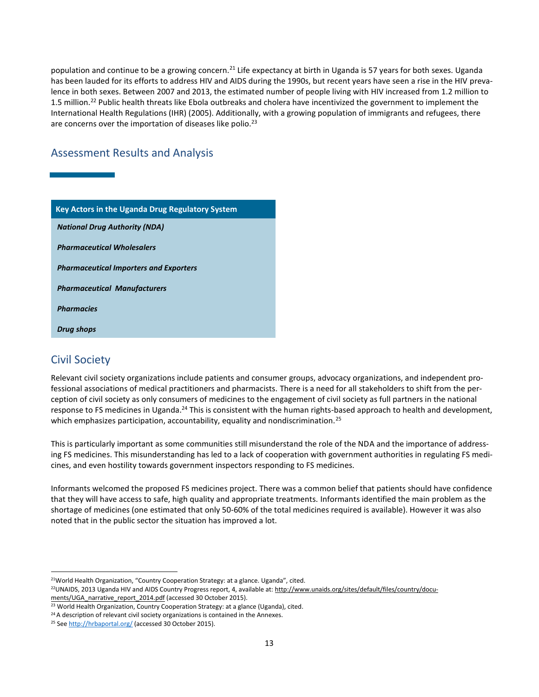population and continue to be a growing concern.<sup>21</sup> Life expectancy at birth in Uganda is 57 years for both sexes. Uganda has been lauded for its efforts to address HIV and AIDS during the 1990s, but recent years have seen a rise in the HIV prevalence in both sexes. Between 2007 and 2013, the estimated number of people living with HIV increased from 1.2 million to 1.5 million.<sup>22</sup> Public health threats like Ebola outbreaks and cholera have incentivized the government to implement the International Health Regulations (IHR) (2005). Additionally, with a growing population of immigrants and refugees, there are concerns over the importation of diseases like polio.<sup>23</sup>

### <span id="page-12-0"></span>Assessment Results and Analysis

**Key Actors in the Uganda Drug Regulatory System** *National Drug Authority (NDA) Pharmaceutical Wholesalers Pharmaceutical Importers and Exporters Pharmaceutical Manufacturers Pharmacies Drug shops*

### <span id="page-12-1"></span>Civil Society

Relevant civil society organizations include patients and consumer groups, advocacy organizations, and independent professional associations of medical practitioners and pharmacists. There is a need for all stakeholders to shift from the perception of civil society as only consumers of medicines to the engagement of civil society as full partners in the national response to FS medicines in Uganda.<sup>24</sup> This is consistent with the human rights-based approach to health and development, which emphasizes participation, accountability, equality and nondiscrimination.<sup>25</sup>

This is particularly important as some communities still misunderstand the role of the NDA and the importance of addressing FS medicines. This misunderstanding has led to a lack of cooperation with government authorities in regulating FS medicines, and even hostility towards government inspectors responding to FS medicines.

Informants welcomed the proposed FS medicines project. There was a common belief that patients should have confidence that they will have access to safe, high quality and appropriate treatments. Informants identified the main problem as the shortage of medicines (one estimated that only 50-60% of the total medicines required is available). However it was also noted that in the public sector the situation has improved a lot.

 $\overline{a}$ <sup>21</sup>World Health Organization, "Country Cooperation Strategy: at a glance. Uganda", cited.

<sup>&</sup>lt;sup>22</sup>UNAIDS, 2013 Uganda HIV and AIDS Country Progress report, 4, available at[: http://www.unaids.org/sites/default/files/country/docu](http://www.unaids.org/sites/default/files/country/documents/UGA_narrative_report_2014.pdf)[ments/UGA\\_narrative\\_report\\_2014.pdf](http://www.unaids.org/sites/default/files/country/documents/UGA_narrative_report_2014.pdf) (accessed 30 October 2015).

<sup>&</sup>lt;sup>23</sup> World Health Organization, Country Cooperation Strategy: at a glance (Uganda), cited.

<sup>&</sup>lt;sup>24</sup> A description of relevant civil society organizations is contained in the Annexes.

<sup>&</sup>lt;sup>25</sup> Se[e http://hrbaportal.org/](http://hrbaportal.org/) (accessed 30 October 2015).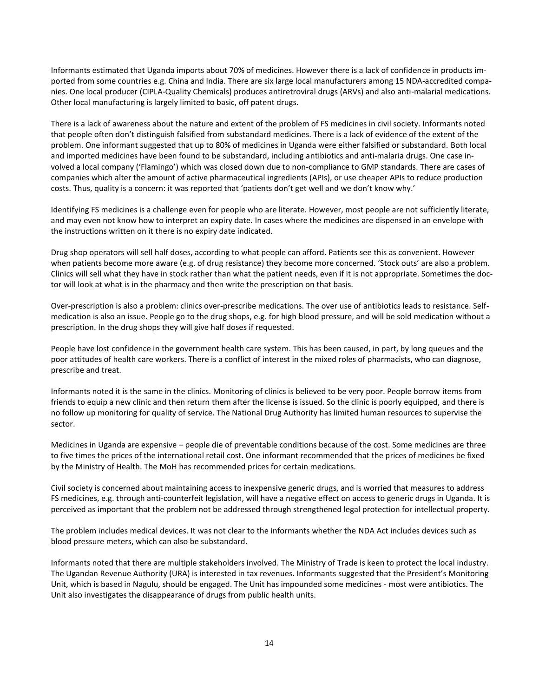Informants estimated that Uganda imports about 70% of medicines. However there is a lack of confidence in products imported from some countries e.g. China and India. There are six large local manufacturers among 15 NDA-accredited companies. One local producer (CIPLA-Quality Chemicals) produces antiretroviral drugs (ARVs) and also anti-malarial medications. Other local manufacturing is largely limited to basic, off patent drugs.

There is a lack of awareness about the nature and extent of the problem of FS medicines in civil society. Informants noted that people often don't distinguish falsified from substandard medicines. There is a lack of evidence of the extent of the problem. One informant suggested that up to 80% of medicines in Uganda were either falsified or substandard. Both local and imported medicines have been found to be substandard, including antibiotics and anti-malaria drugs. One case involved a local company ('Flamingo') which was closed down due to non-compliance to GMP standards. There are cases of companies which alter the amount of active pharmaceutical ingredients (APIs), or use cheaper APIs to reduce production costs. Thus, quality is a concern: it was reported that 'patients don't get well and we don't know why.'

Identifying FS medicines is a challenge even for people who are literate. However, most people are not sufficiently literate, and may even not know how to interpret an expiry date. In cases where the medicines are dispensed in an envelope with the instructions written on it there is no expiry date indicated.

Drug shop operators will sell half doses, according to what people can afford. Patients see this as convenient. However when patients become more aware (e.g. of drug resistance) they become more concerned. 'Stock outs' are also a problem. Clinics will sell what they have in stock rather than what the patient needs, even if it is not appropriate. Sometimes the doctor will look at what is in the pharmacy and then write the prescription on that basis.

Over-prescription is also a problem: clinics over-prescribe medications. The over use of antibiotics leads to resistance. Selfmedication is also an issue. People go to the drug shops, e.g. for high blood pressure, and will be sold medication without a prescription. In the drug shops they will give half doses if requested.

People have lost confidence in the government health care system. This has been caused, in part, by long queues and the poor attitudes of health care workers. There is a conflict of interest in the mixed roles of pharmacists, who can diagnose, prescribe and treat.

Informants noted it is the same in the clinics. Monitoring of clinics is believed to be very poor. People borrow items from friends to equip a new clinic and then return them after the license is issued. So the clinic is poorly equipped, and there is no follow up monitoring for quality of service. The National Drug Authority has limited human resources to supervise the sector.

Medicines in Uganda are expensive – people die of preventable conditions because of the cost. Some medicines are three to five times the prices of the international retail cost. One informant recommended that the prices of medicines be fixed by the Ministry of Health. The MoH has recommended prices for certain medications.

Civil society is concerned about maintaining access to inexpensive generic drugs, and is worried that measures to address FS medicines, e.g. through anti-counterfeit legislation, will have a negative effect on access to generic drugs in Uganda. It is perceived as important that the problem not be addressed through strengthened legal protection for intellectual property.

The problem includes medical devices. It was not clear to the informants whether the NDA Act includes devices such as blood pressure meters, which can also be substandard.

Informants noted that there are multiple stakeholders involved. The Ministry of Trade is keen to protect the local industry. The Ugandan Revenue Authority (URA) is interested in tax revenues. Informants suggested that the President's Monitoring Unit, which is based in Nagulu, should be engaged. The Unit has impounded some medicines - most were antibiotics. The Unit also investigates the disappearance of drugs from public health units.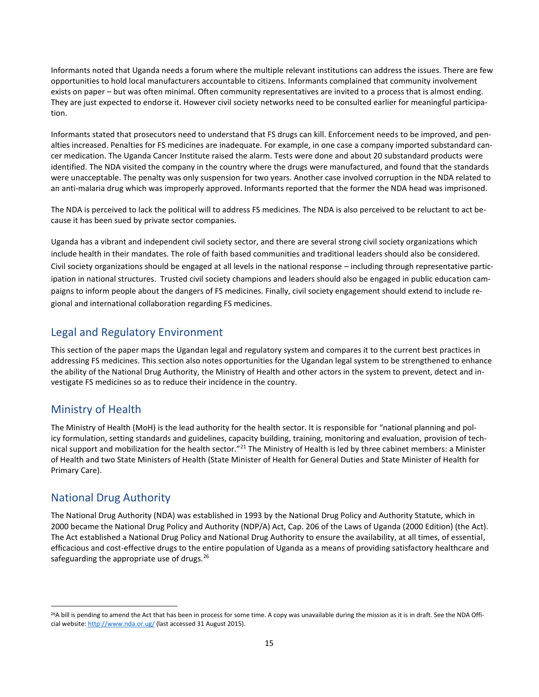Informants noted that Uganda needs a forum where the multiple relevant institutions can address the issues. There are few opportunities to hold local manufacturers accountable to citizens. Informants complained that community involvement exists on paper – but was often minimal. Often community representatives are invited to a process that is almost ending. They are just expected to endorse it. However civil society networks need to be consulted earlier for meaningful participation.

Informants stated that prosecutors need to understand that FS drugs can kill. Enforcement needs to be improved, and penalties increased. Penalties for FS medicines are inadequate. For example, in one case a company imported substandard cancer medication. The Uganda Cancer Institute raised the alarm. Tests were done and about 20 substandard products were identified. The NDA visited the company in the country where the drugs were manufactured, and found that the standards were unacceptable. The penalty was only suspension for two years. Another case involved corruption in the NDA related to an anti-malaria drug which was improperly approved. Informants reported that the former the NDA head was imprisoned.

The NDA is perceived to lack the political will to address FS medicines. The NDA is also perceived to be reluctant to act because it has been sued by private sector companies.

Uganda has a vibrant and independent civil society sector, and there are several strong civil society organizations which include health in their mandates. The role of faith based communities and traditional leaders should also be considered. Civil society organizations should be engaged at all levels in the national response – including through representative participation in national structures. Trusted civil society champions and leaders should also be engaged in public education campaigns to inform people about the dangers of FS medicines. Finally, civil society engagement should extend to include regional and international collaboration regarding FS medicines.

### <span id="page-14-0"></span>Legal and Regulatory Environment

This section of the paper maps the Ugandan legal and regulatory system and compares it to the current best practices in addressing FS medicines. This section also notes opportunities for the Ugandan legal system to be strengthened to enhance the ability of the National Drug Authority, the Ministry of Health and other actors in the system to prevent, detect and investigate FS medicines so as to reduce their incidence in the country.

### Ministry of Health

The Ministry of Health (MoH) is the lead authority for the health sector. It is responsible for "national planning and policy formulation, setting standards and guidelines, capacity building, training, monitoring and evaluation, provision of technical support and mobilization for the health sector."<sup>21</sup> The Ministry of Health is led by three cabinet members: a Minister of Health and two State Ministers of Health (State Minister of Health for General Duties and State Minister of Health for Primary Care).

### National Drug Authority

 $\overline{a}$ 

The National Drug Authority (NDA) was established in 1993 by the National Drug Policy and Authority Statute, which in 2000 became the National Drug Policy and Authority (NDP/A) Act, Cap. 206 of the Laws of Uganda (2000 Edition) (the Act). The Act established a National Drug Policy and National Drug Authority to ensure the availability, at all times, of essential, efficacious and cost-effective drugs to the entire population of Uganda as a means of providing satisfactory healthcare and safeguarding the appropriate use of drugs.<sup>26</sup>

<sup>&</sup>lt;sup>26</sup>A bill is pending to amend the Act that has been in process for some time. A copy was unavailable during the mission as it is in draft. See the NDA Offi-cial website[: http://www.nda.or.ug/](http://www.nda.or.ug/) (last accessed 31 August 2015).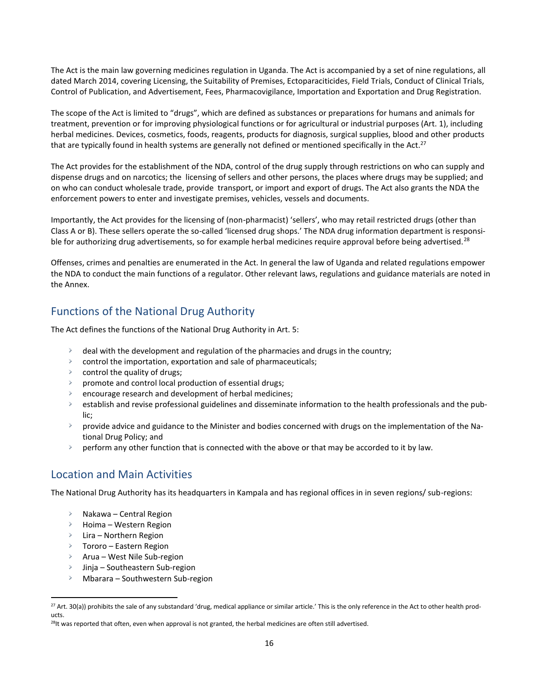The Act is the main law governing medicines regulation in Uganda. The Act is accompanied by a set of nine regulations, all dated March 2014, covering Licensing, the Suitability of Premises, Ectoparaciticides, Field Trials, Conduct of Clinical Trials, Control of Publication, and Advertisement, Fees, Pharmacovigilance, Importation and Exportation and Drug Registration.

The scope of the Act is limited to "drugs", which are defined as substances or preparations for humans and animals for treatment, prevention or for improving physiological functions or for agricultural or industrial purposes (Art. 1), including herbal medicines. Devices, cosmetics, foods, reagents, products for diagnosis, surgical supplies, blood and other products that are typically found in health systems are generally not defined or mentioned specifically in the Act.<sup>27</sup>

The Act provides for the establishment of the NDA, control of the drug supply through restrictions on who can supply and dispense drugs and on narcotics; the licensing of sellers and other persons, the places where drugs may be supplied; and on who can conduct wholesale trade, provide transport, or import and export of drugs. The Act also grants the NDA the enforcement powers to enter and investigate premises, vehicles, vessels and documents.

Importantly, the Act provides for the licensing of (non-pharmacist) 'sellers', who may retail restricted drugs (other than Class A or B). These sellers operate the so-called 'licensed drug shops.' The NDA drug information department is responsible for authorizing drug advertisements, so for example herbal medicines require approval before being advertised.<sup>28</sup>

Offenses, crimes and penalties are enumerated in the Act. In general the law of Uganda and related regulations empower the NDA to conduct the main functions of a regulator. Other relevant laws, regulations and guidance materials are noted in the Annex.

### Functions of the National Drug Authority

The Act defines the functions of the National Drug Authority in Art. 5:

- $\geq$  deal with the development and regulation of the pharmacies and drugs in the country;
- $\triangleright$  control the importation, exportation and sale of pharmaceuticals;
- **EXECO** control the quality of drugs;
- ×. promote and control local production of essential drugs;
- s. encourage research and development of herbal medicines;
- ×. establish and revise professional guidelines and disseminate information to the health professionals and the public;
- X. provide advice and guidance to the Minister and bodies concerned with drugs on the implementation of the National Drug Policy; and
- $\mathbf{S}$ perform any other function that is connected with the above or that may be accorded to it by law.

### Location and Main Activities

The National Drug Authority has its headquarters in Kampala and has regional offices in in seven regions/ sub-regions:

- $\triangleright$  Nakawa Central Region
- $\rightarrow$  Hoima Western Region
- > Lira Northern Region
- $\triangleright$  Tororo Eastern Region

 $\overline{a}$ 

- $\triangleright$  Arua West Nile Sub-region
- > Jinja Southeastern Sub-region
- X. Mbarara – Southwestern Sub-region

<sup>&</sup>lt;sup>27</sup> Art. 30(a)) prohibits the sale of any substandard 'drug, medical appliance or similar article.' This is the only reference in the Act to other health products.

<sup>&</sup>lt;sup>28</sup>It was reported that often, even when approval is not granted, the herbal medicines are often still advertised.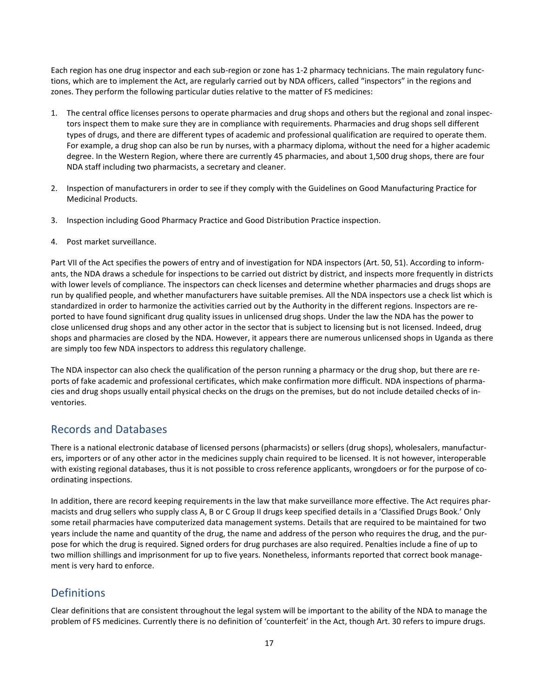Each region has one drug inspector and each sub-region or zone has 1-2 pharmacy technicians. The main regulatory functions, which are to implement the Act, are regularly carried out by NDA officers, called "inspectors" in the regions and zones. They perform the following particular duties relative to the matter of FS medicines:

- 1. The central office licenses persons to operate pharmacies and drug shops and others but the regional and zonal inspectors inspect them to make sure they are in compliance with requirements. Pharmacies and drug shops sell different types of drugs, and there are different types of academic and professional qualification are required to operate them. For example, a drug shop can also be run by nurses, with a pharmacy diploma, without the need for a higher academic degree. In the Western Region, where there are currently 45 pharmacies, and about 1,500 drug shops, there are four NDA staff including two pharmacists, a secretary and cleaner.
- 2. Inspection of manufacturers in order to see if they comply with the Guidelines on Good Manufacturing Practice for Medicinal Products.
- 3. Inspection including Good Pharmacy Practice and Good Distribution Practice inspection.
- 4. Post market surveillance.

Part VII of the Act specifies the powers of entry and of investigation for NDA inspectors (Art. 50, 51). According to informants, the NDA draws a schedule for inspections to be carried out district by district, and inspects more frequently in districts with lower levels of compliance. The inspectors can check licenses and determine whether pharmacies and drugs shops are run by qualified people, and whether manufacturers have suitable premises. All the NDA inspectors use a check list which is standardized in order to harmonize the activities carried out by the Authority in the different regions. Inspectors are reported to have found significant drug quality issues in unlicensed drug shops. Under the law the NDA has the power to close unlicensed drug shops and any other actor in the sector that is subject to licensing but is not licensed. Indeed, drug shops and pharmacies are closed by the NDA. However, it appears there are numerous unlicensed shops in Uganda as there are simply too few NDA inspectors to address this regulatory challenge.

The NDA inspector can also check the qualification of the person running a pharmacy or the drug shop, but there are reports of fake academic and professional certificates, which make confirmation more difficult. NDA inspections of pharmacies and drug shops usually entail physical checks on the drugs on the premises, but do not include detailed checks of inventories.

### Records and Databases

There is a national electronic database of licensed persons (pharmacists) or sellers (drug shops), wholesalers, manufacturers, importers or of any other actor in the medicines supply chain required to be licensed. It is not however, interoperable with existing regional databases, thus it is not possible to cross reference applicants, wrongdoers or for the purpose of coordinating inspections.

In addition, there are record keeping requirements in the law that make surveillance more effective. The Act requires pharmacists and drug sellers who supply class A, B or C Group II drugs keep specified details in a 'Classified Drugs Book.' Only some retail pharmacies have computerized data management systems. Details that are required to be maintained for two years include the name and quantity of the drug, the name and address of the person who requires the drug, and the purpose for which the drug is required. Signed orders for drug purchases are also required. Penalties include a fine of up to two million shillings and imprisonment for up to five years. Nonetheless, informants reported that correct book management is very hard to enforce.

### Definitions

Clear definitions that are consistent throughout the legal system will be important to the ability of the NDA to manage the problem of FS medicines. Currently there is no definition of 'counterfeit' in the Act, though Art. 30 refers to impure drugs.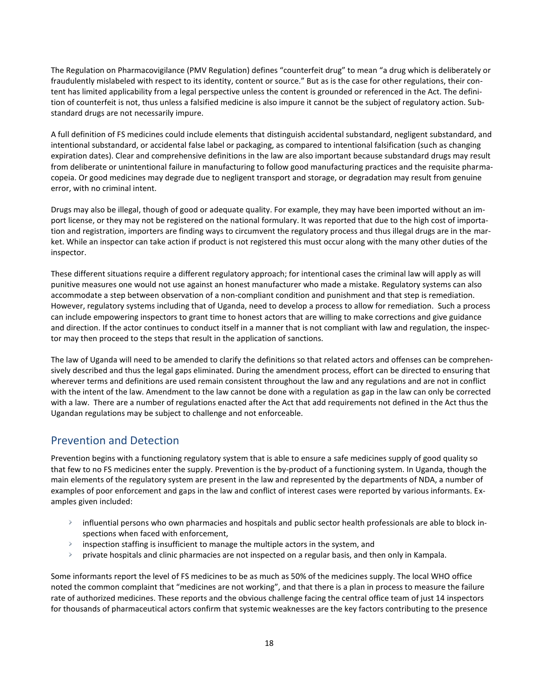The Regulation on Pharmacovigilance (PMV Regulation) defines "counterfeit drug" to mean "a drug which is deliberately or fraudulently mislabeled with respect to its identity, content or source." But as is the case for other regulations, their content has limited applicability from a legal perspective unless the content is grounded or referenced in the Act. The definition of counterfeit is not, thus unless a falsified medicine is also impure it cannot be the subject of regulatory action. Substandard drugs are not necessarily impure.

A full definition of FS medicines could include elements that distinguish accidental substandard, negligent substandard, and intentional substandard, or accidental false label or packaging, as compared to intentional falsification (such as changing expiration dates). Clear and comprehensive definitions in the law are also important because substandard drugs may result from deliberate or unintentional failure in manufacturing to follow good manufacturing practices and the requisite pharmacopeia. Or good medicines may degrade due to negligent transport and storage, or degradation may result from genuine error, with no criminal intent.

Drugs may also be illegal, though of good or adequate quality. For example, they may have been imported without an import license, or they may not be registered on the national formulary. It was reported that due to the high cost of importation and registration, importers are finding ways to circumvent the regulatory process and thus illegal drugs are in the market. While an inspector can take action if product is not registered this must occur along with the many other duties of the inspector.

These different situations require a different regulatory approach; for intentional cases the criminal law will apply as will punitive measures one would not use against an honest manufacturer who made a mistake. Regulatory systems can also accommodate a step between observation of a non-compliant condition and punishment and that step is remediation. However, regulatory systems including that of Uganda, need to develop a process to allow for remediation. Such a process can include empowering inspectors to grant time to honest actors that are willing to make corrections and give guidance and direction. If the actor continues to conduct itself in a manner that is not compliant with law and regulation, the inspector may then proceed to the steps that result in the application of sanctions.

The law of Uganda will need to be amended to clarify the definitions so that related actors and offenses can be comprehensively described and thus the legal gaps eliminated. During the amendment process, effort can be directed to ensuring that wherever terms and definitions are used remain consistent throughout the law and any regulations and are not in conflict with the intent of the law. Amendment to the law cannot be done with a regulation as gap in the law can only be corrected with a law. There are a number of regulations enacted after the Act that add requirements not defined in the Act thus the Ugandan regulations may be subject to challenge and not enforceable.

### Prevention and Detection

Prevention begins with a functioning regulatory system that is able to ensure a safe medicines supply of good quality so that few to no FS medicines enter the supply. Prevention is the by-product of a functioning system. In Uganda, though the main elements of the regulatory system are present in the law and represented by the departments of NDA, a number of examples of poor enforcement and gaps in the law and conflict of interest cases were reported by various informants. Examples given included:

- influential persons who own pharmacies and hospitals and public sector health professionals are able to block inspections when faced with enforcement,
- $\geq$  inspection staffing is insufficient to manage the multiple actors in the system, and
- У. private hospitals and clinic pharmacies are not inspected on a regular basis, and then only in Kampala.

Some informants report the level of FS medicines to be as much as 50% of the medicines supply. The local WHO office noted the common complaint that "medicines are not working", and that there is a plan in process to measure the failure rate of authorized medicines. These reports and the obvious challenge facing the central office team of just 14 inspectors for thousands of pharmaceutical actors confirm that systemic weaknesses are the key factors contributing to the presence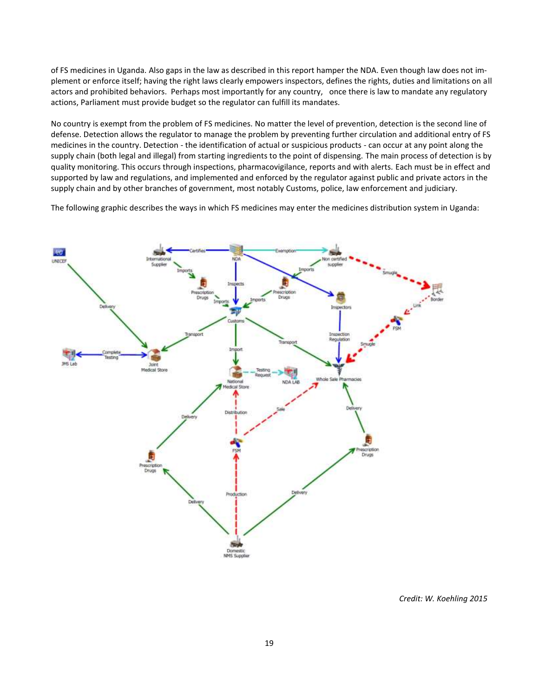of FS medicines in Uganda. Also gaps in the law as described in this report hamper the NDA. Even though law does not implement or enforce itself; having the right laws clearly empowers inspectors, defines the rights, duties and limitations on all actors and prohibited behaviors. Perhaps most importantly for any country, once there is law to mandate any regulatory actions, Parliament must provide budget so the regulator can fulfill its mandates.

No country is exempt from the problem of FS medicines. No matter the level of prevention, detection is the second line of defense. Detection allows the regulator to manage the problem by preventing further circulation and additional entry of FS medicines in the country. Detection - the identification of actual or suspicious products - can occur at any point along the supply chain (both legal and illegal) from starting ingredients to the point of dispensing. The main process of detection is by quality monitoring. This occurs through inspections, pharmacovigilance, reports and with alerts. Each must be in effect and supported by law and regulations, and implemented and enforced by the regulator against public and private actors in the supply chain and by other branches of government, most notably Customs, police, law enforcement and judiciary.

The following graphic describes the ways in which FS medicines may enter the medicines distribution system in Uganda:



*Credit: W. Koehling 2015*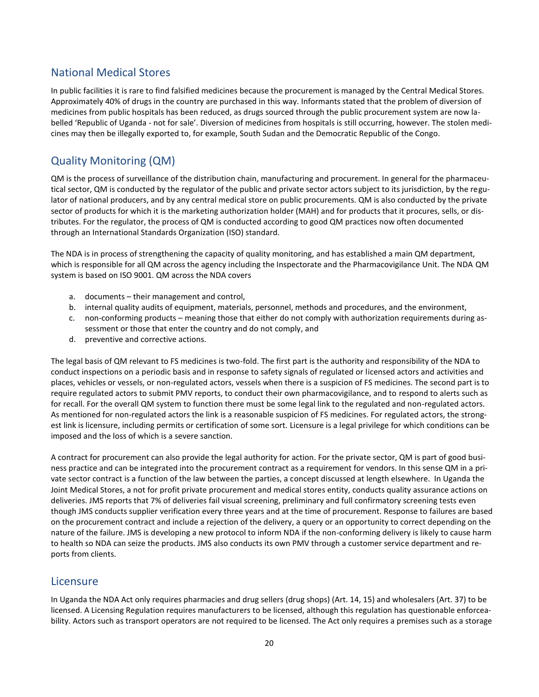### National Medical Stores

In public facilities it is rare to find falsified medicines because the procurement is managed by the Central Medical Stores. Approximately 40% of drugs in the country are purchased in this way. Informants stated that the problem of diversion of medicines from public hospitals has been reduced, as drugs sourced through the public procurement system are now labelled 'Republic of Uganda - not for sale'. Diversion of medicines from hospitals is still occurring, however. The stolen medicines may then be illegally exported to, for example, South Sudan and the Democratic Republic of the Congo.

### Quality Monitoring (QM)

QM is the process of surveillance of the distribution chain, manufacturing and procurement. In general for the pharmaceutical sector, QM is conducted by the regulator of the public and private sector actors subject to its jurisdiction, by the regulator of national producers, and by any central medical store on public procurements. QM is also conducted by the private sector of products for which it is the marketing authorization holder (MAH) and for products that it procures, sells, or distributes. For the regulator, the process of QM is conducted according to good QM practices now often documented through an International Standards Organization (ISO) standard.

The NDA is in process of strengthening the capacity of quality monitoring, and has established a main QM department, which is responsible for all QM across the agency including the Inspectorate and the Pharmacovigilance Unit. The NDA QM system is based on ISO 9001. QM across the NDA covers

- a. documents their management and control,
- b. internal quality audits of equipment, materials, personnel, methods and procedures, and the environment,
- c. non-conforming products meaning those that either do not comply with authorization requirements during assessment or those that enter the country and do not comply, and
- d. preventive and corrective actions.

The legal basis of QM relevant to FS medicines is two-fold. The first part is the authority and responsibility of the NDA to conduct inspections on a periodic basis and in response to safety signals of regulated or licensed actors and activities and places, vehicles or vessels, or non-regulated actors, vessels when there is a suspicion of FS medicines. The second part is to require regulated actors to submit PMV reports, to conduct their own pharmacovigilance, and to respond to alerts such as for recall. For the overall QM system to function there must be some legal link to the regulated and non-regulated actors. As mentioned for non-regulated actors the link is a reasonable suspicion of FS medicines. For regulated actors, the strongest link is licensure, including permits or certification of some sort. Licensure is a legal privilege for which conditions can be imposed and the loss of which is a severe sanction.

A contract for procurement can also provide the legal authority for action. For the private sector, QM is part of good business practice and can be integrated into the procurement contract as a requirement for vendors. In this sense QM in a private sector contract is a function of the law between the parties, a concept discussed at length elsewhere. In Uganda the Joint Medical Stores, a not for profit private procurement and medical stores entity, conducts quality assurance actions on deliveries. JMS reports that 7% of deliveries fail visual screening, preliminary and full confirmatory screening tests even though JMS conducts supplier verification every three years and at the time of procurement. Response to failures are based on the procurement contract and include a rejection of the delivery, a query or an opportunity to correct depending on the nature of the failure. JMS is developing a new protocol to inform NDA if the non-conforming delivery is likely to cause harm to health so NDA can seize the products. JMS also conducts its own PMV through a customer service department and reports from clients.

### Licensure

In Uganda the NDA Act only requires pharmacies and drug sellers (drug shops) (Art. 14, 15) and wholesalers (Art. 37) to be licensed. A Licensing Regulation requires manufacturers to be licensed, although this regulation has questionable enforceability. Actors such as transport operators are not required to be licensed. The Act only requires a premises such as a storage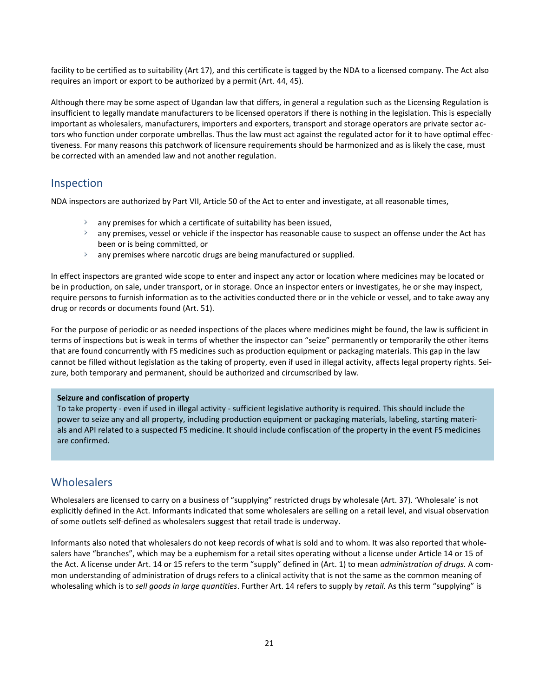facility to be certified as to suitability (Art 17), and this certificate is tagged by the NDA to a licensed company. The Act also requires an import or export to be authorized by a permit (Art. 44, 45).

Although there may be some aspect of Ugandan law that differs, in general a regulation such as the Licensing Regulation is insufficient to legally mandate manufacturers to be licensed operators if there is nothing in the legislation. This is especially important as wholesalers, manufacturers, importers and exporters, transport and storage operators are private sector actors who function under corporate umbrellas. Thus the law must act against the regulated actor for it to have optimal effectiveness. For many reasons this patchwork of licensure requirements should be harmonized and as is likely the case, must be corrected with an amended law and not another regulation.

### Inspection

NDA inspectors are authorized by Part VII, Article 50 of the Act to enter and investigate, at all reasonable times,

- any premises for which a certificate of suitability has been issued,
- any premises, vessel or vehicle if the inspector has reasonable cause to suspect an offense under the Act has been or is being committed, or
- any premises where narcotic drugs are being manufactured or supplied.

In effect inspectors are granted wide scope to enter and inspect any actor or location where medicines may be located or be in production, on sale, under transport, or in storage. Once an inspector enters or investigates, he or she may inspect, require persons to furnish information as to the activities conducted there or in the vehicle or vessel, and to take away any drug or records or documents found (Art. 51).

For the purpose of periodic or as needed inspections of the places where medicines might be found, the law is sufficient in terms of inspections but is weak in terms of whether the inspector can "seize" permanently or temporarily the other items that are found concurrently with FS medicines such as production equipment or packaging materials. This gap in the law cannot be filled without legislation as the taking of property, even if used in illegal activity, affects legal property rights. Seizure, both temporary and permanent, should be authorized and circumscribed by law.

#### **Seizure and confiscation of property**

To take property - even if used in illegal activity - sufficient legislative authority is required. This should include the power to seize any and all property, including production equipment or packaging materials, labeling, starting materials and API related to a suspected FS medicine. It should include confiscation of the property in the event FS medicines are confirmed.

### **Wholesalers**

Wholesalers are licensed to carry on a business of "supplying" restricted drugs by wholesale (Art. 37). 'Wholesale' is not explicitly defined in the Act. Informants indicated that some wholesalers are selling on a retail level, and visual observation of some outlets self-defined as wholesalers suggest that retail trade is underway.

Informants also noted that wholesalers do not keep records of what is sold and to whom. It was also reported that wholesalers have "branches", which may be a euphemism for a retail sites operating without a license under Article 14 or 15 of the Act. A license under Art. 14 or 15 refers to the term "supply" defined in (Art. 1) to mean *administration of drugs.* A common understanding of administration of drugs refers to a clinical activity that is not the same as the common meaning of wholesaling which is to *sell goods in large quantities*. Further Art. 14 refers to supply by *retail.* As this term "supplying" is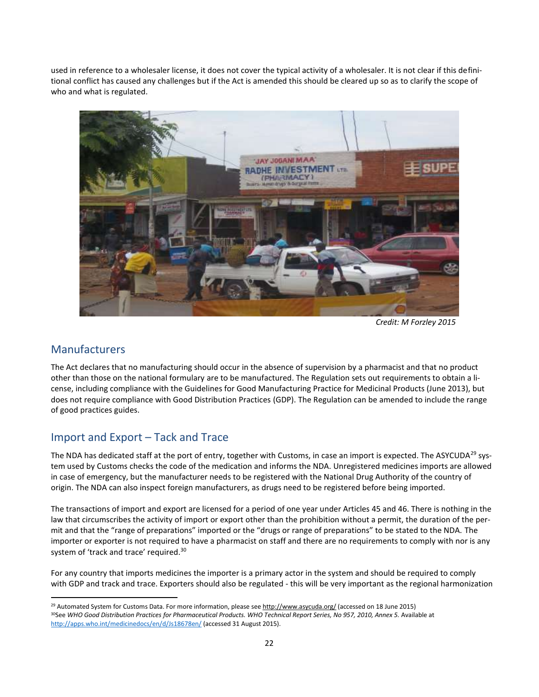used in reference to a wholesaler license, it does not cover the typical activity of a wholesaler. It is not clear if this definitional conflict has caused any challenges but if the Act is amended this should be cleared up so as to clarify the scope of who and what is regulated.



*Credit: M Forzley 2015*

### Manufacturers

The Act declares that no manufacturing should occur in the absence of supervision by a pharmacist and that no product other than those on the national formulary are to be manufactured. The Regulation sets out requirements to obtain a license, including compliance with the Guidelines for Good Manufacturing Practice for Medicinal Products (June 2013), but does not require compliance with Good Distribution Practices (GDP). The Regulation can be amended to include the range of good practices guides.

### Import and Export – Tack and Trace

The NDA has dedicated staff at the port of entry, together with Customs, in case an import is expected. The ASYCUDA<sup>29</sup> system used by Customs checks the code of the medication and informs the NDA. Unregistered medicines imports are allowed in case of emergency, but the manufacturer needs to be registered with the National Drug Authority of the country of origin. The NDA can also inspect foreign manufacturers, as drugs need to be registered before being imported.

The transactions of import and export are licensed for a period of one year under Articles 45 and 46. There is nothing in the law that circumscribes the activity of import or export other than the prohibition without a permit, the duration of the permit and that the "range of preparations" imported or the "drugs or range of preparations" to be stated to the NDA. The importer or exporter is not required to have a pharmacist on staff and there are no requirements to comply with nor is any system of 'track and trace' required.<sup>30</sup>

For any country that imports medicines the importer is a primary actor in the system and should be required to comply with GDP and track and trace. Exporters should also be regulated - this will be very important as the regional harmonization

 $\overline{a}$ <sup>29</sup> Automated System for Customs Data. For more information, please se[e http://www.asycuda.org/](http://www.asycuda.org/) (accessed on 18 June 2015) <sup>30</sup>See WHO Good Distribution Practices for Pharmaceutical Products. WHO Technical Report Series, No 957, 2010, Annex 5. Available at <http://apps.who.int/medicinedocs/en/d/Js18678en/> (accessed 31 August 2015).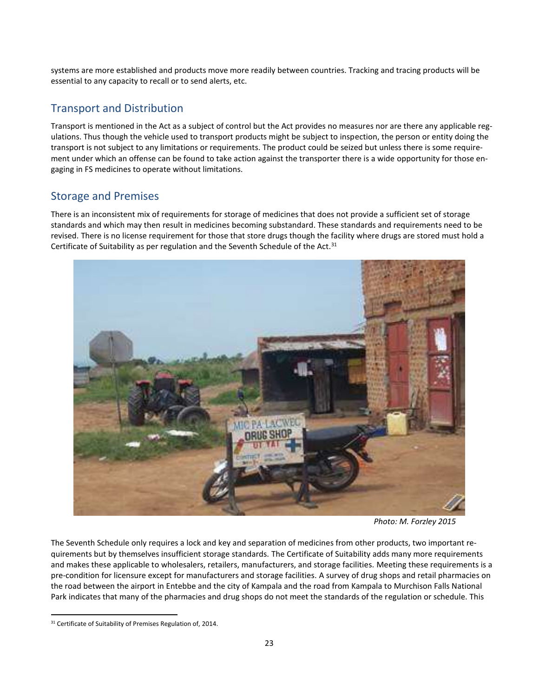systems are more established and products move more readily between countries. Tracking and tracing products will be essential to any capacity to recall or to send alerts, etc.

### Transport and Distribution

Transport is mentioned in the Act as a subject of control but the Act provides no measures nor are there any applicable regulations. Thus though the vehicle used to transport products might be subject to inspection, the person or entity doing the transport is not subject to any limitations or requirements. The product could be seized but unless there is some requirement under which an offense can be found to take action against the transporter there is a wide opportunity for those engaging in FS medicines to operate without limitations.

### Storage and Premises

There is an inconsistent mix of requirements for storage of medicines that does not provide a sufficient set of storage standards and which may then result in medicines becoming substandard. These standards and requirements need to be revised. There is no license requirement for those that store drugs though the facility where drugs are stored must hold a Certificate of Suitability as per regulation and the Seventh Schedule of the Act. $31$ 



*Photo: M. Forzley 2015*

The Seventh Schedule only requires a lock and key and separation of medicines from other products, two important requirements but by themselves insufficient storage standards. The Certificate of Suitability adds many more requirements and makes these applicable to wholesalers, retailers, manufacturers, and storage facilities. Meeting these requirements is a pre-condition for licensure except for manufacturers and storage facilities. A survey of drug shops and retail pharmacies on the road between the airport in Entebbe and the city of Kampala and the road from Kampala to Murchison Falls National Park indicates that many of the pharmacies and drug shops do not meet the standards of the regulation or schedule. This

 $\overline{a}$ <sup>31</sup> Certificate of Suitability of Premises Regulation of, 2014.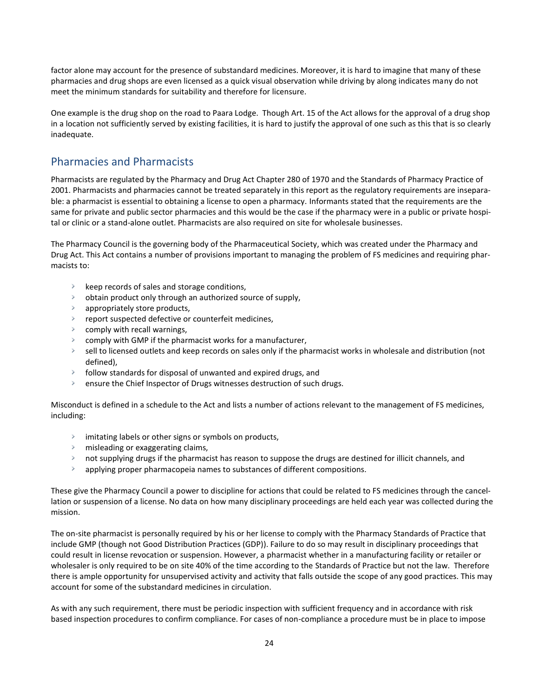factor alone may account for the presence of substandard medicines. Moreover, it is hard to imagine that many of these pharmacies and drug shops are even licensed as a quick visual observation while driving by along indicates many do not meet the minimum standards for suitability and therefore for licensure.

One example is the drug shop on the road to Paara Lodge. Though Art. 15 of the Act allows for the approval of a drug shop in a location not sufficiently served by existing facilities, it is hard to justify the approval of one such as this that is so clearly inadequate.

### Pharmacies and Pharmacists

Pharmacists are regulated by the Pharmacy and Drug Act Chapter 280 of 1970 and the Standards of Pharmacy Practice of 2001. Pharmacists and pharmacies cannot be treated separately in this report as the regulatory requirements are inseparable: a pharmacist is essential to obtaining a license to open a pharmacy. Informants stated that the requirements are the same for private and public sector pharmacies and this would be the case if the pharmacy were in a public or private hospital or clinic or a stand-alone outlet. Pharmacists are also required on site for wholesale businesses.

The Pharmacy Council is the governing body of the Pharmaceutical Society, which was created under the Pharmacy and Drug Act. This Act contains a number of provisions important to managing the problem of FS medicines and requiring pharmacists to:

- s. keep records of sales and storage conditions,
- obtain product only through an authorized source of supply, У.
- ×. appropriately store products,
- ×. report suspected defective or counterfeit medicines,
- ×. comply with recall warnings,
- comply with GMP if the pharmacist works for a manufacturer, У.
- sell to licensed outlets and keep records on sales only if the pharmacist works in wholesale and distribution (not ×. defined),
- ×. follow standards for disposal of unwanted and expired drugs, and
- ensure the Chief Inspector of Drugs witnesses destruction of such drugs. ×.

Misconduct is defined in a schedule to the Act and lists a number of actions relevant to the management of FS medicines, including:

- $\rightarrow$  imitating labels or other signs or symbols on products,
- **Misleading or exaggerating claims,**
- s. not supplying drugs if the pharmacist has reason to suppose the drugs are destined for illicit channels, and
- ×. applying proper pharmacopeia names to substances of different compositions.

These give the Pharmacy Council a power to discipline for actions that could be related to FS medicines through the cancellation or suspension of a license. No data on how many disciplinary proceedings are held each year was collected during the mission.

The on-site pharmacist is personally required by his or her license to comply with the Pharmacy Standards of Practice that include GMP (though not Good Distribution Practices (GDP)). Failure to do so may result in disciplinary proceedings that could result in license revocation or suspension. However, a pharmacist whether in a manufacturing facility or retailer or wholesaler is only required to be on site 40% of the time according to the Standards of Practice but not the law. Therefore there is ample opportunity for unsupervised activity and activity that falls outside the scope of any good practices. This may account for some of the substandard medicines in circulation.

As with any such requirement, there must be periodic inspection with sufficient frequency and in accordance with risk based inspection procedures to confirm compliance. For cases of non-compliance a procedure must be in place to impose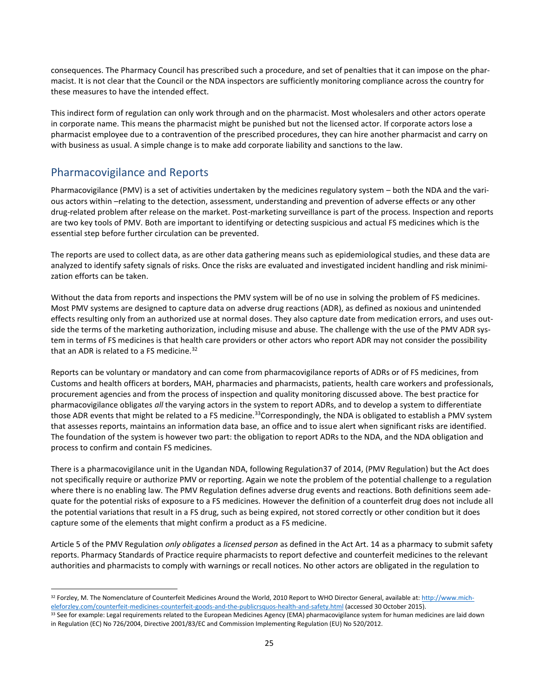consequences. The Pharmacy Council has prescribed such a procedure, and set of penalties that it can impose on the pharmacist. It is not clear that the Council or the NDA inspectors are sufficiently monitoring compliance across the country for these measures to have the intended effect.

This indirect form of regulation can only work through and on the pharmacist. Most wholesalers and other actors operate in corporate name. This means the pharmacist might be punished but not the licensed actor. If corporate actors lose a pharmacist employee due to a contravention of the prescribed procedures, they can hire another pharmacist and carry on with business as usual. A simple change is to make add corporate liability and sanctions to the law.

### Pharmacovigilance and Reports

Pharmacovigilance (PMV) is a set of activities undertaken by the medicines regulatory system – both the NDA and the various actors within –relating to the detection, assessment, understanding and prevention of adverse effects or any other drug-related problem after release on the market. Post-marketing surveillance is part of the process. Inspection and reports are two key tools of PMV. Both are important to identifying or detecting suspicious and actual FS medicines which is the essential step before further circulation can be prevented.

The reports are used to collect data, as are other data gathering means such as epidemiological studies, and these data are analyzed to identify safety signals of risks. Once the risks are evaluated and investigated incident handling and risk minimization efforts can be taken.

Without the data from reports and inspections the PMV system will be of no use in solving the problem of FS medicines. Most PMV systems are designed to capture data on adverse drug reactions (ADR), as defined as noxious and unintended effects resulting only from an authorized use at normal doses. They also capture date from medication errors, and uses outside the terms of the marketing authorization, including misuse and abuse. The challenge with the use of the PMV ADR system in terms of FS medicines is that health care providers or other actors who report ADR may not consider the possibility that an ADR is related to a FS medicine. $32$ 

Reports can be voluntary or mandatory and can come from pharmacovigilance reports of ADRs or of FS medicines, from Customs and health officers at borders, MAH, pharmacies and pharmacists, patients, health care workers and professionals, procurement agencies and from the process of inspection and quality monitoring discussed above. The best practice for pharmacovigilance obligates *all* the varying actors in the system to report ADRs, and to develop a system to differentiate those ADR events that might be related to a FS medicine.<sup>33</sup>Correspondingly, the NDA is obligated to establish a PMV system that assesses reports, maintains an information data base, an office and to issue alert when significant risks are identified. The foundation of the system is however two part: the obligation to report ADRs to the NDA, and the NDA obligation and process to confirm and contain FS medicines.

There is a pharmacovigilance unit in the Ugandan NDA, following Regulation37 of 2014, (PMV Regulation) but the Act does not specifically require or authorize PMV or reporting. Again we note the problem of the potential challenge to a regulation where there is no enabling law. The PMV Regulation defines adverse drug events and reactions. Both definitions seem adequate for the potential risks of exposure to a FS medicines. However the definition of a counterfeit drug does not include all the potential variations that result in a FS drug, such as being expired, not stored correctly or other condition but it does capture some of the elements that might confirm a product as a FS medicine.

Article 5 of the PMV Regulation *only obligates* a *licensed person* as defined in the Act Art. 14 as a pharmacy to submit safety reports. Pharmacy Standards of Practice require pharmacists to report defective and counterfeit medicines to the relevant authorities and pharmacists to comply with warnings or recall notices. No other actors are obligated in the regulation to

 $\overline{a}$ 32 Forzley, M. The Nomenclature of Counterfeit Medicines Around the World, 2010 Report to WHO Director General, available at[: http://www.mich](http://www.micheleforzley.com/counterfeit-medicines-counterfeit-goods-and-the-publicrsquos-health-and-safety.html)[eleforzley.com/counterfeit-medicines-counterfeit-goods-and-the-publicrsquos-health-and-safety.html](http://www.micheleforzley.com/counterfeit-medicines-counterfeit-goods-and-the-publicrsquos-health-and-safety.html) (accessed 30 October 2015).

<sup>33</sup> See for example: Legal requirements related to the European Medicines Agency (EMA) pharmacovigilance system for human medicines are laid down in Regulation (EC) No 726/2004, Directive 2001/83/EC and Commission Implementing Regulation (EU) No 520/2012.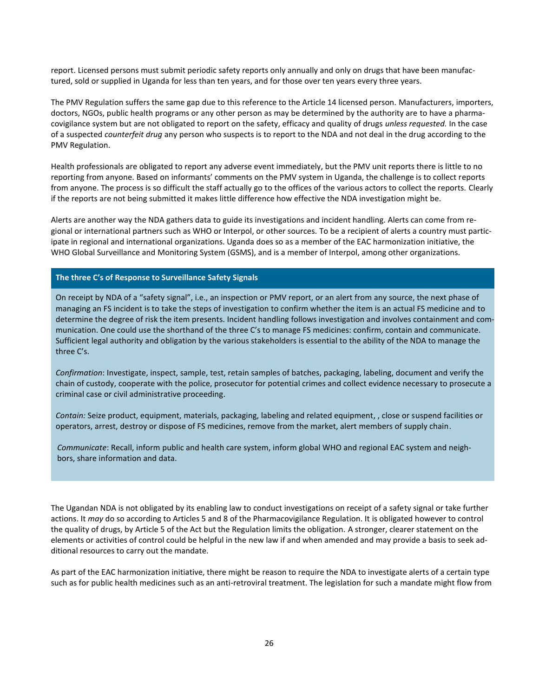report. Licensed persons must submit periodic safety reports only annually and only on drugs that have been manufactured, sold or supplied in Uganda for less than ten years, and for those over ten years every three years.

The PMV Regulation suffers the same gap due to this reference to the Article 14 licensed person. Manufacturers, importers, doctors, NGOs, public health programs or any other person as may be determined by the authority are to have a pharmacovigilance system but are not obligated to report on the safety, efficacy and quality of drugs *unless requested.* In the case of a suspected *counterfeit drug* any person who suspects is to report to the NDA and not deal in the drug according to the PMV Regulation.

Health professionals are obligated to report any adverse event immediately, but the PMV unit reports there is little to no reporting from anyone. Based on informants' comments on the PMV system in Uganda, the challenge is to collect reports from anyone. The process is so difficult the staff actually go to the offices of the various actors to collect the reports. Clearly if the reports are not being submitted it makes little difference how effective the NDA investigation might be.

Alerts are another way the NDA gathers data to guide its investigations and incident handling. Alerts can come from regional or international partners such as WHO or Interpol, or other sources. To be a recipient of alerts a country must participate in regional and international organizations. Uganda does so as a member of the EAC harmonization initiative, the WHO Global Surveillance and Monitoring System (GSMS), and is a member of Interpol, among other organizations.

#### **The three C's of Response to Surveillance Safety Signals**

On receipt by NDA of a "safety signal", i.e., an inspection or PMV report, or an alert from any source, the next phase of managing an FS incident is to take the steps of investigation to confirm whether the item is an actual FS medicine and to determine the degree of risk the item presents. Incident handling follows investigation and involves containment and communication. One could use the shorthand of the three C's to manage FS medicines: confirm, contain and communicate. Sufficient legal authority and obligation by the various stakeholders is essential to the ability of the NDA to manage the three C's.

*Confirmation*: Investigate, inspect, sample, test, retain samples of batches, packaging, labeling, document and verify the chain of custody, cooperate with the police, prosecutor for potential crimes and collect evidence necessary to prosecute a criminal case or civil administrative proceeding.

*Contain:* Seize product, equipment, materials, packaging, labeling and related equipment, , close or suspend facilities or operators, arrest, destroy or dispose of FS medicines, remove from the market, alert members of supply chain.

*Communicate*: Recall, inform public and health care system, inform global WHO and regional EAC system and neighbors, share information and data.

The Ugandan NDA is not obligated by its enabling law to conduct investigations on receipt of a safety signal or take further actions. It *may* do so according to Articles 5 and 8 of the Pharmacovigilance Regulation. It is obligated however to control the quality of drugs, by Article 5 of the Act but the Regulation limits the obligation. A stronger, clearer statement on the elements or activities of control could be helpful in the new law if and when amended and may provide a basis to seek additional resources to carry out the mandate.

As part of the EAC harmonization initiative, there might be reason to require the NDA to investigate alerts of a certain type such as for public health medicines such as an anti-retroviral treatment. The legislation for such a mandate might flow from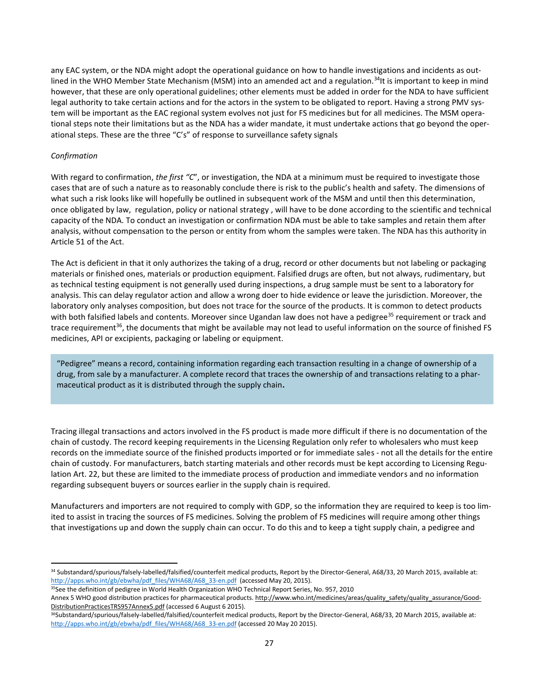any EAC system, or the NDA might adopt the operational guidance on how to handle investigations and incidents as outlined in the WHO Member State Mechanism (MSM) into an amended act and a regulation.<sup>34</sup>It is important to keep in mind however, that these are only operational guidelines; other elements must be added in order for the NDA to have sufficient legal authority to take certain actions and for the actors in the system to be obligated to report. Having a strong PMV system will be important as the EAC regional system evolves not just for FS medicines but for all medicines. The MSM operational steps note their limitations but as the NDA has a wider mandate, it must undertake actions that go beyond the operational steps. These are the three "C's" of response to surveillance safety signals

#### *Confirmation*

 $\overline{a}$ 

With regard to confirmation, the first "C", or investigation, the NDA at a minimum must be required to investigate those cases that are of such a nature as to reasonably conclude there is risk to the public's health and safety. The dimensions of what such a risk looks like will hopefully be outlined in subsequent work of the MSM and until then this determination, once obligated by law, regulation, policy or national strategy , will have to be done according to the scientific and technical capacity of the NDA. To conduct an investigation or confirmation NDA must be able to take samples and retain them after analysis, without compensation to the person or entity from whom the samples were taken. The NDA has this authority in Article 51 of the Act.

The Act is deficient in that it only authorizes the taking of a drug, record or other documents but not labeling or packaging materials or finished ones, materials or production equipment. Falsified drugs are often, but not always, rudimentary, but as technical testing equipment is not generally used during inspections, a drug sample must be sent to a laboratory for analysis. This can delay regulator action and allow a wrong doer to hide evidence or leave the jurisdiction. Moreover, the laboratory only analyses composition, but does not trace for the source of the products. It is common to detect products with both falsified labels and contents. Moreover since Ugandan law does not have a pedigree<sup>35</sup> requirement or track and trace requirement<sup>36</sup>, the documents that might be available may not lead to useful information on the source of finished FS medicines, API or excipients, packaging or labeling or equipment.

"Pedigree" means a record, containing information regarding each transaction resulting in a change of ownership of a drug, from sale by a manufacturer. A complete record that traces the ownership of and transactions relating to a pharmaceutical product as it is distributed through the supply chain**.**

Tracing illegal transactions and actors involved in the FS product is made more difficult if there is no documentation of the chain of custody. The record keeping requirements in the Licensing Regulation only refer to wholesalers who must keep records on the immediate source of the finished products imported or for immediate sales - not all the details for the entire chain of custody. For manufacturers, batch starting materials and other records must be kept according to Licensing Regulation Art. 22, but these are limited to the immediate process of production and immediate vendors and no information regarding subsequent buyers or sources earlier in the supply chain is required.

Manufacturers and importers are not required to comply with GDP, so the information they are required to keep is too limited to assist in tracing the sources of FS medicines. Solving the problem of FS medicines will require among other things that investigations up and down the supply chain can occur. To do this and to keep a tight supply chain, a pedigree and

<sup>35</sup>See the definition of pedigree in World Health Organization WHO Technical Report Series, No. 957, 2010

<sup>&</sup>lt;sup>34</sup> Substandard/spurious/falsely-labelled/falsified/counterfeit medical products, Report by the Director-General, A68/33, 20 March 2015, available at: [http://apps.who.int/gb/ebwha/pdf\\_files/WHA68/A68\\_33-en.pdf](http://apps.who.int/gb/ebwha/pdf_files/WHA68/A68_33-en.pdf) (accessed May 20, 2015).

Annex 5 WHO good distribution practices for pharmaceutical products[. http://www.who.int/medicines/areas/quality\\_safety/quality\\_assurance/Good-](http://www.who.int/medicines/areas/quality_safety/quality_assurance/GoodDistributionPracticesTRS957Annex5.pdf)[DistributionPracticesTRS957Annex5.pdf](http://www.who.int/medicines/areas/quality_safety/quality_assurance/GoodDistributionPracticesTRS957Annex5.pdf) (accessed 6 August 6 2015).

<sup>&</sup>lt;sup>36</sup>Substandard/spurious/falsely-labelled/falsified/counterfeit medical products, Report by the Director-General, A68/33, 20 March 2015, available at: [http://apps.who.int/gb/ebwha/pdf\\_files/WHA68/A68\\_33-en.pdf](http://apps.who.int/gb/ebwha/pdf_files/WHA68/A68_33-en.pdf) (accessed 20 May 20 2015).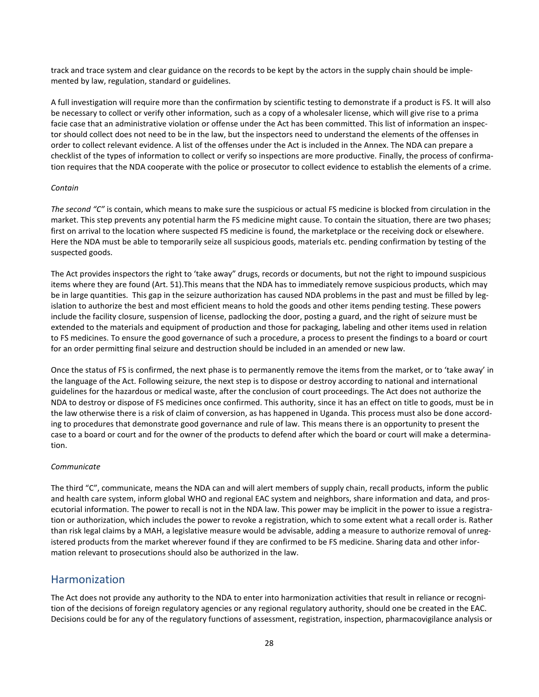track and trace system and clear guidance on the records to be kept by the actors in the supply chain should be implemented by law, regulation, standard or guidelines.

A full investigation will require more than the confirmation by scientific testing to demonstrate if a product is FS. It will also be necessary to collect or verify other information, such as a copy of a wholesaler license, which will give rise to a prima facie case that an administrative violation or offense under the Act has been committed. This list of information an inspector should collect does not need to be in the law, but the inspectors need to understand the elements of the offenses in order to collect relevant evidence. A list of the offenses under the Act is included in the Annex. The NDA can prepare a checklist of the types of information to collect or verify so inspections are more productive. Finally, the process of confirmation requires that the NDA cooperate with the police or prosecutor to collect evidence to establish the elements of a crime.

#### *Contain*

*The second "C"* is contain, which means to make sure the suspicious or actual FS medicine is blocked from circulation in the market. This step prevents any potential harm the FS medicine might cause. To contain the situation, there are two phases; first on arrival to the location where suspected FS medicine is found, the marketplace or the receiving dock or elsewhere. Here the NDA must be able to temporarily seize all suspicious goods, materials etc. pending confirmation by testing of the suspected goods.

The Act provides inspectors the right to 'take away" drugs, records or documents, but not the right to impound suspicious items where they are found (Art. 51).This means that the NDA has to immediately remove suspicious products, which may be in large quantities. This gap in the seizure authorization has caused NDA problems in the past and must be filled by legislation to authorize the best and most efficient means to hold the goods and other items pending testing. These powers include the facility closure, suspension of license, padlocking the door, posting a guard, and the right of seizure must be extended to the materials and equipment of production and those for packaging, labeling and other items used in relation to FS medicines. To ensure the good governance of such a procedure, a process to present the findings to a board or court for an order permitting final seizure and destruction should be included in an amended or new law.

Once the status of FS is confirmed, the next phase is to permanently remove the items from the market, or to 'take away' in the language of the Act. Following seizure, the next step is to dispose or destroy according to national and international guidelines for the hazardous or medical waste, after the conclusion of court proceedings. The Act does not authorize the NDA to destroy or dispose of FS medicines once confirmed. This authority, since it has an effect on title to goods, must be in the law otherwise there is a risk of claim of conversion, as has happened in Uganda. This process must also be done according to procedures that demonstrate good governance and rule of law. This means there is an opportunity to present the case to a board or court and for the owner of the products to defend after which the board or court will make a determination.

#### *Communicate*

The third "C", communicate, means the NDA can and will alert members of supply chain, recall products, inform the public and health care system, inform global WHO and regional EAC system and neighbors, share information and data, and prosecutorial information. The power to recall is not in the NDA law. This power may be implicit in the power to issue a registration or authorization, which includes the power to revoke a registration, which to some extent what a recall order is. Rather than risk legal claims by a MAH, a legislative measure would be advisable, adding a measure to authorize removal of unregistered products from the market wherever found if they are confirmed to be FS medicine. Sharing data and other information relevant to prosecutions should also be authorized in the law.

#### Harmonization

The Act does not provide any authority to the NDA to enter into harmonization activities that result in reliance or recognition of the decisions of foreign regulatory agencies or any regional regulatory authority, should one be created in the EAC. Decisions could be for any of the regulatory functions of assessment, registration, inspection, pharmacovigilance analysis or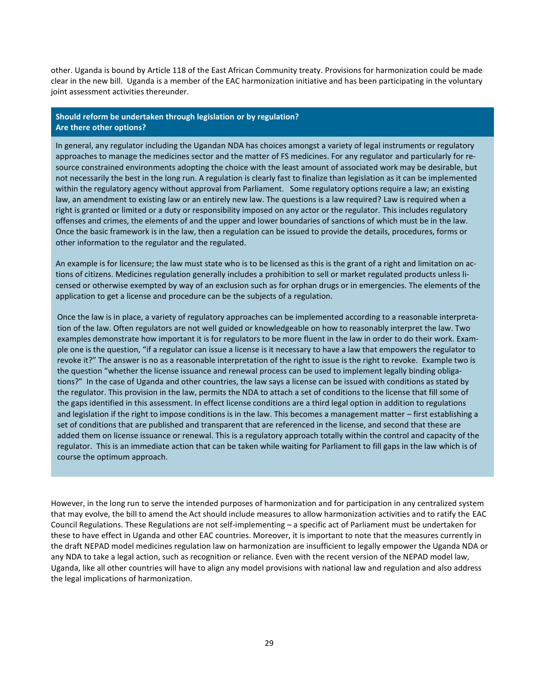other. Uganda is bound by Article 118 of the East African Community treaty. Provisions for harmonization could be made clear in the new bill. Uganda is a member of the EAC harmonization initiative and has been participating in the voluntary joint assessment activities thereunder.

#### **Should reform be undertaken through legislation or by regulation? Are there other options?**

In general, any regulator including the Ugandan NDA has choices amongst a variety of legal instruments or regulatory approaches to manage the medicines sector and the matter of FS medicines. For any regulator and particularly for resource constrained environments adopting the choice with the least amount of associated work may be desirable, but not necessarily the best in the long run. A regulation is clearly fast to finalize than legislation as it can be implemented within the regulatory agency without approval from Parliament. Some regulatory options require a law; an existing law, an amendment to existing law or an entirely new law. The questions is a law required? Law is required when a right is granted or limited or a duty or responsibility imposed on any actor or the regulator. This includes regulatory offenses and crimes, the elements of and the upper and lower boundaries of sanctions of which must be in the law. Once the basic framework is in the law, then a regulation can be issued to provide the details, procedures, forms or other information to the regulator and the regulated.

An example is for licensure; the law must state who is to be licensed as this is the grant of a right and limitation on actions of citizens. Medicines regulation generally includes a prohibition to sell or market regulated products unless licensed or otherwise exempted by way of an exclusion such as for orphan drugs or in emergencies. The elements of the application to get a license and procedure can be the subjects of a regulation.

Once the law is in place, a variety of regulatory approaches can be implemented according to a reasonable interpretation of the law. Often regulators are not well guided or knowledgeable on how to reasonably interpret the law. Two examples demonstrate how important it is for regulators to be more fluent in the law in order to do their work. Example one is the question, "if a regulator can issue a license is it necessary to have a law that empowers the regulator to revoke it?" The answer is no as a reasonable interpretation of the right to issue is the right to revoke. Example two is the question "whether the license issuance and renewal process can be used to implement legally binding obligations?" In the case of Uganda and other countries, the law says a license can be issued with conditions as stated by the regulator. This provision in the law, permits the NDA to attach a set of conditions to the license that fill some of the gaps identified in this assessment. In effect license conditions are a third legal option in addition to regulations and legislation if the right to impose conditions is in the law. This becomes a management matter – first establishing a set of conditions that are published and transparent that are referenced in the license, and second that these are added them on license issuance or renewal. This is a regulatory approach totally within the control and capacity of the regulator. This is an immediate action that can be taken while waiting for Parliament to fill gaps in the law which is of course the optimum approach.

However, in the long run to serve the intended purposes of harmonization and for participation in any centralized system that may evolve, the bill to amend the Act should include measures to allow harmonization activities and to ratify the EAC Council Regulations. These Regulations are not self-implementing – a specific act of Parliament must be undertaken for these to have effect in Uganda and other EAC countries. Moreover, it is important to note that the measures currently in the draft NEPAD model medicines regulation law on harmonization are insufficient to legally empower the Uganda NDA or any NDA to take a legal action, such as recognition or reliance. Even with the recent version of the NEPAD model law, Uganda, like all other countries will have to align any model provisions with national law and regulation and also address the legal implications of harmonization.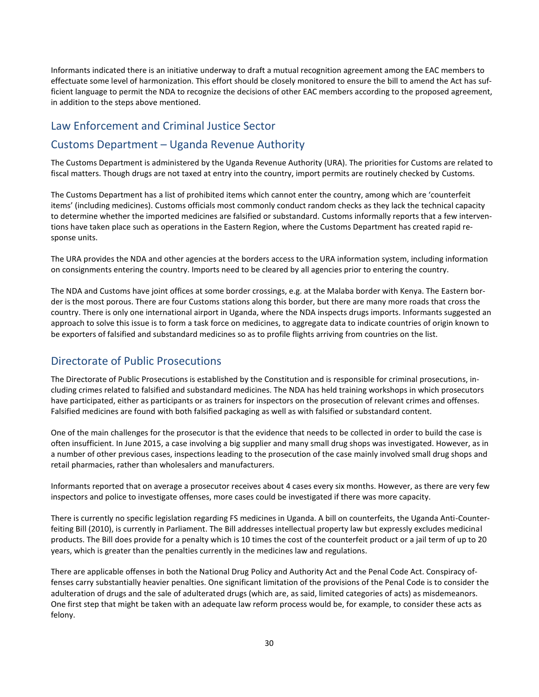Informants indicated there is an initiative underway to draft a mutual recognition agreement among the EAC members to effectuate some level of harmonization. This effort should be closely monitored to ensure the bill to amend the Act has sufficient language to permit the NDA to recognize the decisions of other EAC members according to the proposed agreement, in addition to the steps above mentioned.

### <span id="page-29-0"></span>Law Enforcement and Criminal Justice Sector

### Customs Department – Uganda Revenue Authority

The Customs Department is administered by the Uganda Revenue Authority (URA). The priorities for Customs are related to fiscal matters. Though drugs are not taxed at entry into the country, import permits are routinely checked by Customs.

The Customs Department has a list of prohibited items which cannot enter the country, among which are 'counterfeit items' (including medicines). Customs officials most commonly conduct random checks as they lack the technical capacity to determine whether the imported medicines are falsified or substandard. Customs informally reports that a few interventions have taken place such as operations in the Eastern Region, where the Customs Department has created rapid response units.

The URA provides the NDA and other agencies at the borders access to the URA information system, including information on consignments entering the country. Imports need to be cleared by all agencies prior to entering the country.

The NDA and Customs have joint offices at some border crossings, e.g. at the Malaba border with Kenya. The Eastern border is the most porous. There are four Customs stations along this border, but there are many more roads that cross the country. There is only one international airport in Uganda, where the NDA inspects drugs imports. Informants suggested an approach to solve this issue is to form a task force on medicines, to aggregate data to indicate countries of origin known to be exporters of falsified and substandard medicines so as to profile flights arriving from countries on the list.

### Directorate of Public Prosecutions

The Directorate of Public Prosecutions is established by the Constitution and is responsible for criminal prosecutions, including crimes related to falsified and substandard medicines. The NDA has held training workshops in which prosecutors have participated, either as participants or as trainers for inspectors on the prosecution of relevant crimes and offenses. Falsified medicines are found with both falsified packaging as well as with falsified or substandard content.

One of the main challenges for the prosecutor is that the evidence that needs to be collected in order to build the case is often insufficient. In June 2015, a case involving a big supplier and many small drug shops was investigated. However, as in a number of other previous cases, inspections leading to the prosecution of the case mainly involved small drug shops and retail pharmacies, rather than wholesalers and manufacturers.

Informants reported that on average a prosecutor receives about 4 cases every six months. However, as there are very few inspectors and police to investigate offenses, more cases could be investigated if there was more capacity.

There is currently no specific legislation regarding FS medicines in Uganda. A bill on counterfeits, the Uganda Anti-Counterfeiting Bill (2010), is currently in Parliament. The Bill addresses intellectual property law but expressly excludes medicinal products. The Bill does provide for a penalty which is 10 times the cost of the counterfeit product or a jail term of up to 20 years, which is greater than the penalties currently in the medicines law and regulations.

There are applicable offenses in both the National Drug Policy and Authority Act and the Penal Code Act. Conspiracy offenses carry substantially heavier penalties. One significant limitation of the provisions of the Penal Code is to consider the adulteration of drugs and the sale of adulterated drugs (which are, as said, limited categories of acts) as misdemeanors. One first step that might be taken with an adequate law reform process would be, for example, to consider these acts as felony.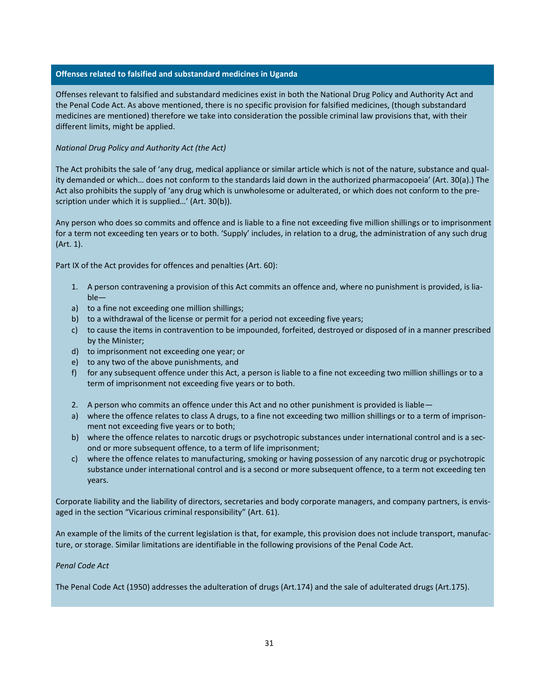#### **Offenses related to falsified and substandard medicines in Uganda**

Offenses relevant to falsified and substandard medicines exist in both the National Drug Policy and Authority Act and the Penal Code Act. As above mentioned, there is no specific provision for falsified medicines, (though substandard medicines are mentioned) therefore we take into consideration the possible criminal law provisions that, with their different limits, might be applied.

#### *National Drug Policy and Authority Act (the Act)*

The Act prohibits the sale of 'any drug, medical appliance or similar article which is not of the nature, substance and quality demanded or which… does not conform to the standards laid down in the authorized pharmacopoeia' (Art. 30(a).) The Act also prohibits the supply of 'any drug which is unwholesome or adulterated, or which does not conform to the prescription under which it is supplied…' (Art. 30(b)).

Any person who does so commits and offence and is liable to a fine not exceeding five million shillings or to imprisonment for a term not exceeding ten years or to both. 'Supply' includes, in relation to a drug, the administration of any such drug (Art. 1).

Part IX of the Act provides for offences and penalties (Art. 60):

- 1. A person contravening a provision of this Act commits an offence and, where no punishment is provided, is liable—
- a) to a fine not exceeding one million shillings;
- b) to a withdrawal of the license or permit for a period not exceeding five years;
- c) to cause the items in contravention to be impounded, forfeited, destroyed or disposed of in a manner prescribed by the Minister;
- d) to imprisonment not exceeding one year; or
- e) to any two of the above punishments, and
- f) for any subsequent offence under this Act, a person is liable to a fine not exceeding two million shillings or to a term of imprisonment not exceeding five years or to both.
- 2. A person who commits an offence under this Act and no other punishment is provided is liable—
- a) where the offence relates to class A drugs, to a fine not exceeding two million shillings or to a term of imprisonment not exceeding five years or to both;
- b) where the offence relates to narcotic drugs or psychotropic substances under international control and is a second or more subsequent offence, to a term of life imprisonment;
- c) where the offence relates to manufacturing, smoking or having possession of any narcotic drug or psychotropic substance under international control and is a second or more subsequent offence, to a term not exceeding ten years.

Corporate liability and the liability of directors, secretaries and body corporate managers, and company partners, is envisaged in the section "Vicarious criminal responsibility" (Art. 61).

An example of the limits of the current legislation is that, for example, this provision does not include transport, manufacture, or storage. Similar limitations are identifiable in the following provisions of the Penal Code Act.

#### *Penal Code Act*

The Penal Code Act (1950) addresses the adulteration of drugs (Art.174) and the sale of adulterated drugs (Art.175).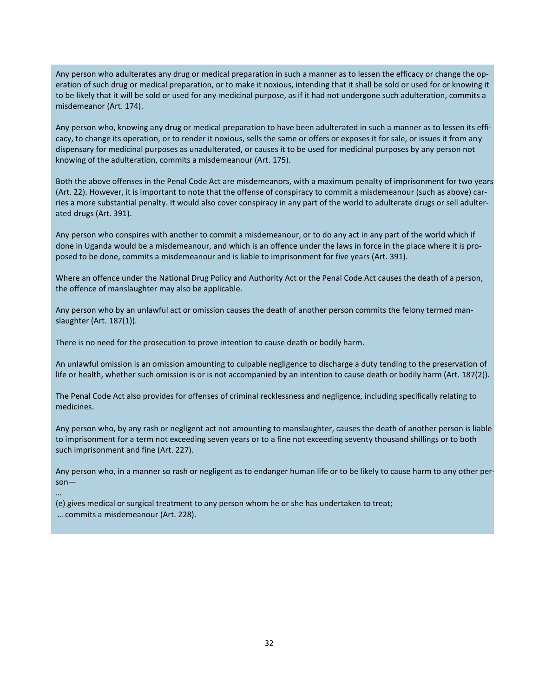Any person who adulterates any drug or medical preparation in such a manner as to lessen the efficacy or change the operation of such drug or medical preparation, or to make it noxious, intending that it shall be sold or used for or knowing it to be likely that it will be sold or used for any medicinal purpose, as if it had not undergone such adulteration, commits a misdemeanor (Art. 174).

Any person who, knowing any drug or medical preparation to have been adulterated in such a manner as to lessen its efficacy, to change its operation, or to render it noxious, sells the same or offers or exposes it for sale, or issues it from any dispensary for medicinal purposes as unadulterated, or causes it to be used for medicinal purposes by any person not knowing of the adulteration, commits a misdemeanour (Art. 175).

Both the above offenses in the Penal Code Act are misdemeanors, with a maximum penalty of imprisonment for two years (Art. 22). However, it is important to note that the offense of conspiracy to commit a misdemeanour (such as above) carries a more substantial penalty. It would also cover conspiracy in any part of the world to adulterate drugs or sell adulterated drugs (Art. 391).

Any person who conspires with another to commit a misdemeanour, or to do any act in any part of the world which if done in Uganda would be a misdemeanour, and which is an offence under the laws in force in the place where it is proposed to be done, commits a misdemeanour and is liable to imprisonment for five years (Art. 391).

Where an offence under the National Drug Policy and Authority Act or the Penal Code Act causes the death of a person, the offence of manslaughter may also be applicable.

Any person who by an unlawful act or omission causes the death of another person commits the felony termed manslaughter (Art. 187(1)).

There is no need for the prosecution to prove intention to cause death or bodily harm.

An unlawful omission is an omission amounting to culpable negligence to discharge a duty tending to the preservation of life or health, whether such omission is or is not accompanied by an intention to cause death or bodily harm (Art. 187(2)).

The Penal Code Act also provides for offenses of criminal recklessness and negligence, including specifically relating to medicines.

Any person who, by any rash or negligent act not amounting to manslaughter, causes the death of another person is liable to imprisonment for a term not exceeding seven years or to a fine not exceeding seventy thousand shillings or to both such imprisonment and fine (Art. 227).

Any person who, in a manner so rash or negligent as to endanger human life or to be likely to cause harm to any other person—

(e) gives medical or surgical treatment to any person whom he or she has undertaken to treat; … commits a misdemeanour (Art. 228).

…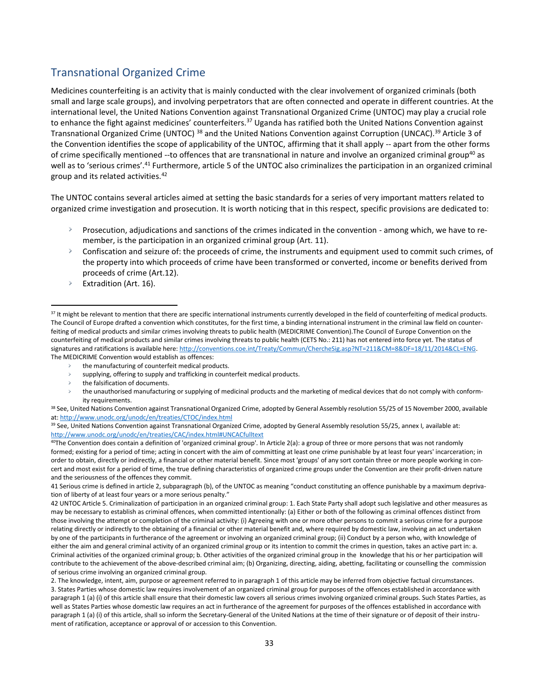### Transnational Organized Crime

Medicines counterfeiting is an activity that is mainly conducted with the clear involvement of organized criminals (both small and large scale groups), and involving perpetrators that are often connected and operate in different countries. At the international level, the United Nations Convention against Transnational Organized Crime (UNTOC) may play a crucial role to enhance the fight against medicines' counterfeiters.<sup>37</sup> Uganda has ratified both the United Nations Convention against Transnational Organized Crime (UNTOC)<sup>38</sup> and the United Nations Convention against Corruption (UNCAC).<sup>39</sup> Article 3 of the Convention identifies the scope of applicability of the UNTOC, affirming that it shall apply -- apart from the other forms of crime specifically mentioned --to offences that are transnational in nature and involve an organized criminal group<sup>40</sup> as well as to 'serious crimes'.<sup>41</sup> Furthermore, article 5 of the UNTOC also criminalizes the participation in an organized criminal group and its related activities.<sup>42</sup>

The UNTOC contains several articles aimed at setting the basic standards for a series of very important matters related to organized crime investigation and prosecution. It is worth noticing that in this respect, specific provisions are dedicated to:

- Prosecution, adjudications and sanctions of the crimes indicated in the convention among which, we have to remember, is the participation in an organized criminal group (Art. 11).
- У Confiscation and seizure of: the proceeds of crime, the instruments and equipment used to commit such crimes, of the property into which proceeds of crime have been transformed or converted, income or benefits derived from proceeds of crime (Art.12).
- Extradition (Art. 16).

 $\overline{a}$ 

- the manufacturing of counterfeit medical products.
- supplying, offering to supply and trafficking in counterfeit medical products.
- the falsification of documents.
- the unauthorised manufacturing or supplying of medicinal products and the marketing of medical devices that do not comply with conformity requirements.

<sup>&</sup>lt;sup>37</sup> It might be relevant to mention that there are specific international instruments currently developed in the field of counterfeiting of medical products. The Council of Europe drafted a convention which constitutes, for the first time, a binding international instrument in the criminal law field on counterfeiting of medical products and similar crimes involving threats to public health (MEDICRIME Convention).The Council of Europe Convention on the counterfeiting of medical products and similar crimes involving threats to public health (CETS No.: 211) has not entered into force yet. The status of signatures and ratifications is available here[: http://conventions.coe.int/Treaty/Commun/ChercheSig.asp?NT=211&CM=8&DF=18/11/2014&CL=ENG.](http://conventions.coe.int/Treaty/Commun/ChercheSig.asp?NT=211&CM=8&DF=18/11/2014&CL=ENG) The MEDICRIME Convention would establish as offences:

<sup>&</sup>lt;sup>38</sup> See, United Nations Convention against Transnational Organized Crime, adopted by General Assembly resolution 55/25 of 15 November 2000, available at[: http://www.unodc.org/unodc/en/treaties/CTOC/index.html](http://www.unodc.org/unodc/en/treaties/CTOC/index.html)

<sup>&</sup>lt;sup>39</sup> See, United Nations Convention against Transnational Organized Crime, adopted by General Assembly resolution 55/25, annex I, available at: <http://www.unodc.org/unodc/en/treaties/CAC/index.html#UNCACfulltext>

 $40$ The Convention does contain a definition of 'organized criminal group'. In Article 2(a): a group of three or more persons that was not randomly formed; existing for a period of time; acting in concert with the aim of committing at least one crime punishable by at least four years' incarceration; in order to obtain, directly or indirectly, a financial or other material benefit. Since most 'groups' of any sort contain three or more people working in concert and most exist for a period of time, the true defining characteristics of organized crime groups under the Convention are their profit-driven nature and the seriousness of the offences they commit.

<sup>41</sup> Serious crime is defined in article 2, subparagraph (b), of the UNTOC as meaning "conduct constituting an offence punishable by a maximum deprivation of liberty of at least four years or a more serious penalty."

<sup>42</sup> UNTOC Article 5. Criminalization of participation in an organized criminal group: 1. Each State Party shall adopt such legislative and other measures as may be necessary to establish as criminal offences, when committed intentionally: (a) Either or both of the following as criminal offences distinct from those involving the attempt or completion of the criminal activity: (i) Agreeing with one or more other persons to commit a serious crime for a purpose relating directly or indirectly to the obtaining of a financial or other material benefit and, where required by domestic law, involving an act undertaken by one of the participants in furtherance of the agreement or involving an organized criminal group; (ii) Conduct by a person who, with knowledge of either the aim and general criminal activity of an organized criminal group or its intention to commit the crimes in question, takes an active part in: a. Criminal activities of the organized criminal group; b. Other activities of the organized criminal group in the knowledge that his or her participation will contribute to the achievement of the above-described criminal aim; (b) Organizing, directing, aiding, abetting, facilitating or counselling the commission of serious crime involving an organized criminal group.

<sup>2.</sup> The knowledge, intent, aim, purpose or agreement referred to in paragraph 1 of this article may be inferred from objective factual circumstances. 3. States Parties whose domestic law requires involvement of an organized criminal group for purposes of the offences established in accordance with paragraph 1 (a) (i) of this article shall ensure that their domestic law covers all serious crimes involving organized criminal groups. Such States Parties, as well as States Parties whose domestic law requires an act in furtherance of the agreement for purposes of the offences established in accordance with paragraph 1 (a) (i) of this article, shall so inform the Secretary-General of the United Nations at the time of their signature or of deposit of their instrument of ratification, acceptance or approval of or accession to this Convention.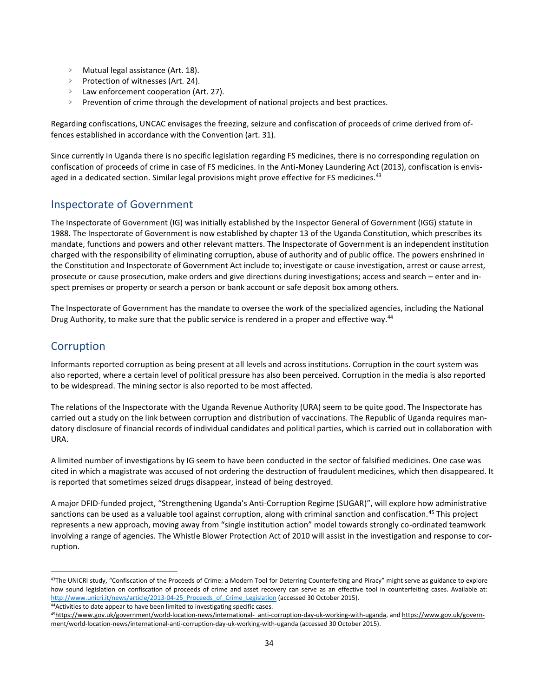- Mutual legal assistance (Art. 18).
- Protection of witnesses (Art. 24).
- **Law enforcement cooperation (Art. 27).**
- $\triangleright$  Prevention of crime through the development of national projects and best practices.

Regarding confiscations, UNCAC envisages the freezing, seizure and confiscation of proceeds of crime derived from offences established in accordance with the Convention (art. 31).

Since currently in Uganda there is no specific legislation regarding FS medicines, there is no corresponding regulation on confiscation of proceeds of crime in case of FS medicines. In the Anti-Money Laundering Act (2013), confiscation is envisaged in a dedicated section. Similar legal provisions might prove effective for FS medicines.<sup>43</sup>

### Inspectorate of Government

The Inspectorate of Government (IG) was initially established by the Inspector General of Government (IGG) statute in 1988. The Inspectorate of Government is now established by chapter 13 of the Uganda Constitution, which prescribes its mandate, functions and powers and other relevant matters. The Inspectorate of Government is an independent institution charged with the responsibility of eliminating corruption, abuse of authority and of public office. The powers enshrined in the Constitution and Inspectorate of Government Act include to; investigate or cause investigation, arrest or cause arrest, prosecute or cause prosecution, make orders and give directions during investigations; access and search – enter and inspect premises or property or search a person or bank account or safe deposit box among others.

The Inspectorate of Government has the mandate to oversee the work of the specialized agencies, including the National Drug Authority, to make sure that the public service is rendered in a proper and effective way.<sup>44</sup>

### **Corruption**

Informants reported corruption as being present at all levels and across institutions. Corruption in the court system was also reported, where a certain level of political pressure has also been perceived. Corruption in the media is also reported to be widespread. The mining sector is also reported to be most affected.

The relations of the Inspectorate with the Uganda Revenue Authority (URA) seem to be quite good. The Inspectorate has carried out a study on the link between corruption and distribution of vaccinations. The Republic of Uganda requires mandatory disclosure of financial records of individual candidates and political parties, which is carried out in collaboration with URA.

A limited number of investigations by IG seem to have been conducted in the sector of falsified medicines. One case was cited in which a magistrate was accused of not ordering the destruction of fraudulent medicines, which then disappeared. It is reported that sometimes seized drugs disappear, instead of being destroyed.

A major DFID-funded project, "Strengthening Uganda's Anti-Corruption Regime (SUGAR)", will explore how administrative sanctions can be used as a valuable tool against corruption, along with criminal sanction and confiscation.<sup>45</sup> This project represents a new approach, moving away from "single institution action" model towards strongly co-ordinated teamwork involving a range of agencies. The Whistle Blower Protection Act of 2010 will assist in the investigation and response to corruption.

 $\overline{a}$ 43The UNICRI study, "Confiscation of the Proceeds of Crime: a Modern Tool for Deterring Counterfeiting and Piracy" might serve as guidance to explore how sound legislation on confiscation of proceeds of crime and asset recovery can serve as an effective tool in counterfeiting cases. Available at: [http://www.unicri.it/news/article/2013-04-25\\_Proceeds\\_of\\_Crime\\_Legislation](http://www.unicri.it/news/article/2013-04-25_Proceeds_of_Crime_Legislation) (accessed 30 October 2015). 44 Activities to date appear to have been limited to investigating specific cases.

<sup>45</sup>[https://www.gov.uk/government/world-location-news/international- anti-corruption-day-uk-working-with-uganda,](https://www.gov.uk/government/world-location-news/international-%20%20anti-corruption-day-uk-working-with-uganda) an[d https://www.gov.uk/govern](https://www.gov.uk/government/world-location-news/international-anti-corruption-day-uk-working-with-uganda)[ment/world-location-news/international-anti-corruption-day-uk-working-with-uganda](https://www.gov.uk/government/world-location-news/international-anti-corruption-day-uk-working-with-uganda) (accessed 30 October 2015).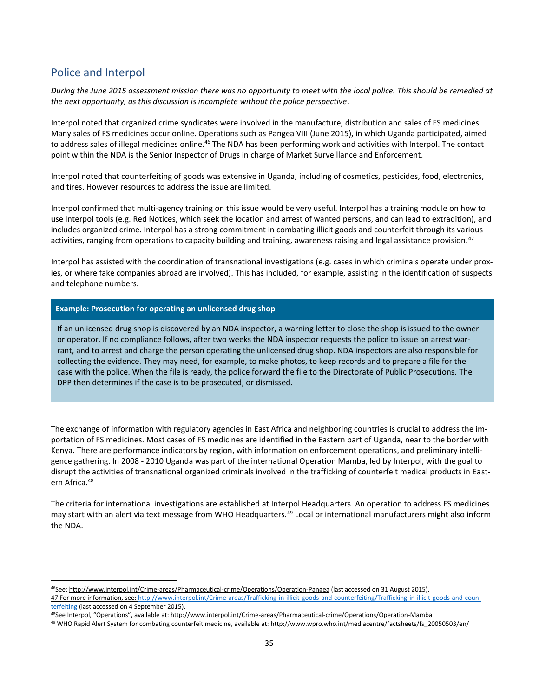### Police and Interpol

 $\overline{a}$ 

*During the June 2015 assessment mission there was no opportunity to meet with the local police. This should be remedied at the next opportunity, as this discussion is incomplete without the police perspective*.

Interpol noted that organized crime syndicates were involved in the manufacture, distribution and sales of FS medicines. Many sales of FS medicines occur online. Operations such as Pangea VIII (June 2015), in which Uganda participated, aimed to address sales of illegal medicines online.<sup>46</sup> The NDA has been performing work and activities with Interpol. The contact point within the NDA is the Senior Inspector of Drugs in charge of Market Surveillance and Enforcement.

Interpol noted that counterfeiting of goods was extensive in Uganda, including of cosmetics, pesticides, food, electronics, and tires. However resources to address the issue are limited.

Interpol confirmed that multi-agency training on this issue would be very useful. Interpol has a training module on how to use Interpol tools (e.g. Red Notices, which seek the location and arrest of wanted persons, and can lead to extradition), and includes organized crime. Interpol has a strong commitment in combating illicit goods and counterfeit through its various activities, ranging from operations to capacity building and training, awareness raising and legal assistance provision.<sup>47</sup>

Interpol has assisted with the coordination of transnational investigations (e.g. cases in which criminals operate under proxies, or where fake companies abroad are involved). This has included, for example, assisting in the identification of suspects and telephone numbers.

#### **Example: Prosecution for operating an unlicensed drug shop**

If an unlicensed drug shop is discovered by an NDA inspector, a warning letter to close the shop is issued to the owner or operator. If no compliance follows, after two weeks the NDA inspector requests the police to issue an arrest warrant, and to arrest and charge the person operating the unlicensed drug shop. NDA inspectors are also responsible for collecting the evidence. They may need, for example, to make photos, to keep records and to prepare a file for the case with the police. When the file is ready, the police forward the file to the Directorate of Public Prosecutions. The DPP then determines if the case is to be prosecuted, or dismissed.

The exchange of information with regulatory agencies in East Africa and neighboring countries is crucial to address the importation of FS medicines. Most cases of FS medicines are identified in the Eastern part of Uganda, near to the border with Kenya. There are performance indicators by region, with information on enforcement operations, and preliminary intelligence gathering. In 2008 - 2010 Uganda was part of the international Operation Mamba, led by Interpol, with the goal to disrupt the activities of transnational organized criminals involved in the trafficking of counterfeit medical products in Eastern Africa.<sup>48</sup>

The criteria for international investigations are established at Interpol Headquarters. An operation to address FS medicines may start with an alert via text message from WHO Headquarters.<sup>49</sup> Local or international manufacturers might also inform the NDA.

<sup>46</sup>See[: http://www.interpol.int/Crime-areas/Pharmaceutical-crime/Operations/Operation-Pangea](http://www.interpol.int/Crime-areas/Pharmaceutical-crime/Operations/Operation-Pangea) (last accessed on 31 August 2015).

47 For more information, see[: http://www.interpol.int/Crime-areas/Trafficking-in-illicit-goods-and-counterfeiting/Trafficking-in-illicit-goods-and-coun](http://www.interpol.int/Crime-areas/Trafficking-in-illicit-goods-and-counterfeiting/Trafficking-in-illicit-goods-and-counterfeiting)[terfeiting](http://www.interpol.int/Crime-areas/Trafficking-in-illicit-goods-and-counterfeiting/Trafficking-in-illicit-goods-and-counterfeiting) (last accessed on 4 September 2015).

<sup>48</sup>See Interpol, "Operations", available at: http://www.interpol.int/Crime-areas/Pharmaceutical-crime/Operations/Operation-Mamba

<sup>49</sup> WHO Rapid Alert System for combating counterfeit medicine, available at[: http://www.wpro.who.int/mediacentre/factsheets/fs\\_20050503/en/](http://www.wpro.who.int/mediacentre/factsheets/fs_20050503/en/)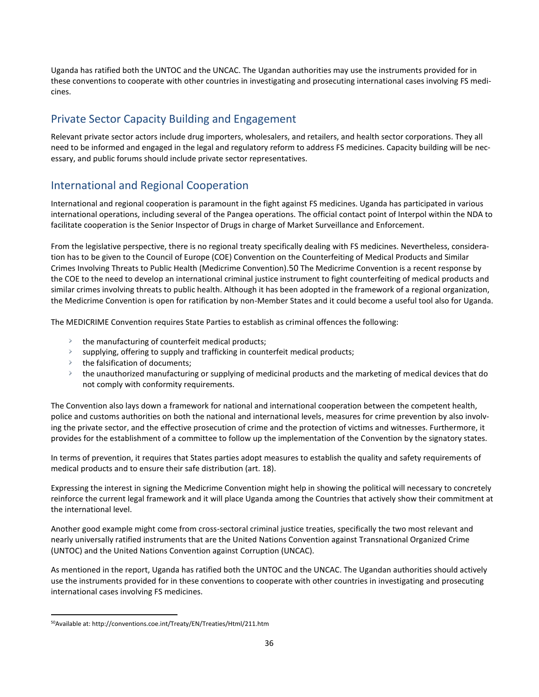Uganda has ratified both the UNTOC and the UNCAC. The Ugandan authorities may use the instruments provided for in these conventions to cooperate with other countries in investigating and prosecuting international cases involving FS medicines.

### <span id="page-35-0"></span>Private Sector Capacity Building and Engagement

Relevant private sector actors include drug importers, wholesalers, and retailers, and health sector corporations. They all need to be informed and engaged in the legal and regulatory reform to address FS medicines. Capacity building will be necessary, and public forums should include private sector representatives.

### <span id="page-35-1"></span>International and Regional Cooperation

International and regional cooperation is paramount in the fight against FS medicines. Uganda has participated in various international operations, including several of the Pangea operations. The official contact point of Interpol within the NDA to facilitate cooperation is the Senior Inspector of Drugs in charge of Market Surveillance and Enforcement.

From the legislative perspective, there is no regional treaty specifically dealing with FS medicines. Nevertheless, consideration has to be given to the Council of Europe (COE) Convention on the Counterfeiting of Medical Products and Similar Crimes Involving Threats to Public Health (Medicrime Convention).50 The Medicrime Convention is a recent response by the COE to the need to develop an international criminal justice instrument to fight counterfeiting of medical products and similar crimes involving threats to public health. Although it has been adopted in the framework of a regional organization, the Medicrime Convention is open for ratification by non-Member States and it could become a useful tool also for Uganda.

The MEDICRIME Convention requires State Parties to establish as criminal offences the following:

- $\triangleright$  the manufacturing of counterfeit medical products;
- $\rightarrow$  supplying, offering to supply and trafficking in counterfeit medical products;
- $\rightarrow$  the falsification of documents;
- the unauthorized manufacturing or supplying of medicinal products and the marketing of medical devices that do not comply with conformity requirements.

The Convention also lays down a framework for national and international cooperation between the competent health, police and customs authorities on both the national and international levels, measures for crime prevention by also involving the private sector, and the effective prosecution of crime and the protection of victims and witnesses. Furthermore, it provides for the establishment of a committee to follow up the implementation of the Convention by the signatory states.

In terms of prevention, it requires that States parties adopt measures to establish the quality and safety requirements of medical products and to ensure their safe distribution (art. 18).

Expressing the interest in signing the Medicrime Convention might help in showing the political will necessary to concretely reinforce the current legal framework and it will place Uganda among the Countries that actively show their commitment at the international level.

Another good example might come from cross-sectoral criminal justice treaties, specifically the two most relevant and nearly universally ratified instruments that are the United Nations Convention against Transnational Organized Crime (UNTOC) and the United Nations Convention against Corruption (UNCAC).

As mentioned in the report, Uganda has ratified both the UNTOC and the UNCAC. The Ugandan authorities should actively use the instruments provided for in these conventions to cooperate with other countries in investigating and prosecuting international cases involving FS medicines.

 $\overline{a}$ 50Available at: http://conventions.coe.int/Treaty/EN/Treaties/Html/211.htm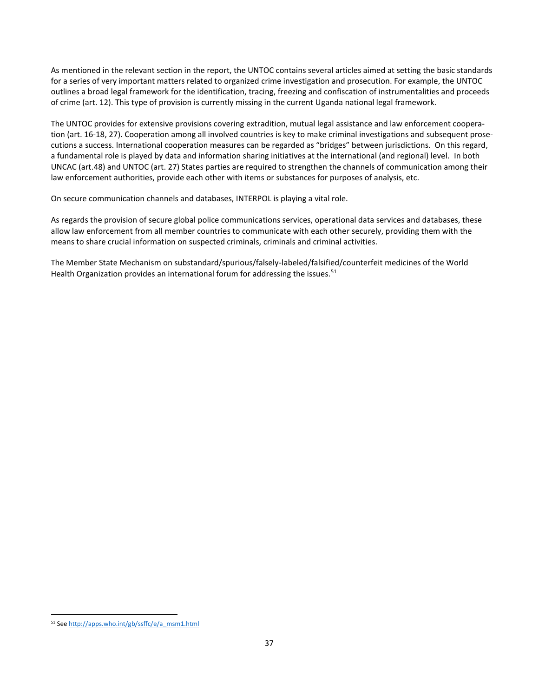As mentioned in the relevant section in the report, the UNTOC contains several articles aimed at setting the basic standards for a series of very important matters related to organized crime investigation and prosecution. For example, the UNTOC outlines a broad legal framework for the identification, tracing, freezing and confiscation of instrumentalities and proceeds of crime (art. 12). This type of provision is currently missing in the current Uganda national legal framework.

The UNTOC provides for extensive provisions covering extradition, mutual legal assistance and law enforcement cooperation (art. 16-18, 27). Cooperation among all involved countries is key to make criminal investigations and subsequent prosecutions a success. International cooperation measures can be regarded as "bridges" between jurisdictions. On this regard, a fundamental role is played by data and information sharing initiatives at the international (and regional) level. In both UNCAC (art.48) and UNTOC (art. 27) States parties are required to strengthen the channels of communication among their law enforcement authorities, provide each other with items or substances for purposes of analysis, etc.

On secure communication channels and databases, INTERPOL is playing a vital role.

As regards the provision of secure global police communications services, operational data services and databases, these allow law enforcement from all member countries to communicate with each other securely, providing them with the means to share crucial information on suspected criminals, criminals and criminal activities.

The Member State Mechanism on substandard/spurious/falsely-labeled/falsified/counterfeit medicines of the World Health Organization provides an international forum for addressing the issues.<sup>51</sup>

 $\overline{a}$ 

<sup>51</sup> Se[e http://apps.who.int/gb/ssffc/e/a\\_msm1.html](http://apps.who.int/gb/ssffc/e/a_msm1.html)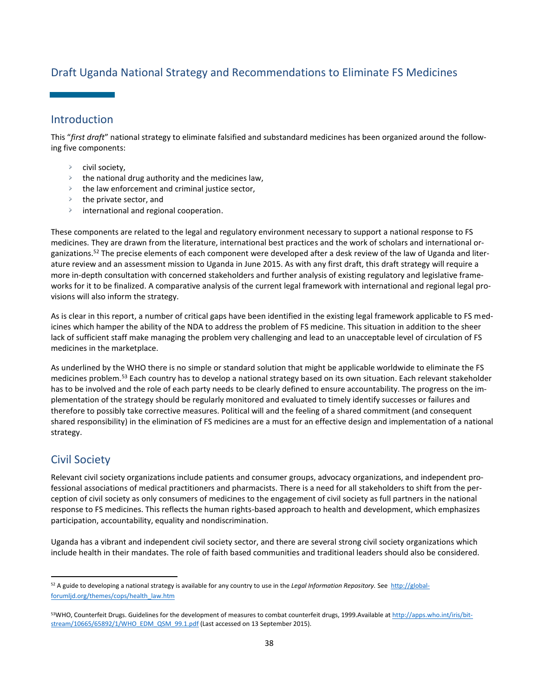### <span id="page-37-0"></span>Draft Uganda National Strategy and Recommendations to Eliminate FS Medicines

### <span id="page-37-1"></span>Introduction

This "*first draft*" national strategy to eliminate falsified and substandard medicines has been organized around the following five components:

- **EXECUTE:**  $\triangleright$  civil society,
- $\triangleright$  the national drug authority and the medicines law,
- $\rightarrow$  the law enforcement and criminal justice sector,
- ×. the private sector, and
- X. international and regional cooperation.

These components are related to the legal and regulatory environment necessary to support a national response to FS medicines. They are drawn from the literature, international best practices and the work of scholars and international organizations.<sup>52</sup> The precise elements of each component were developed after a desk review of the law of Uganda and literature review and an assessment mission to Uganda in June 2015. As with any first draft, this draft strategy will require a more in-depth consultation with concerned stakeholders and further analysis of existing regulatory and legislative frameworks for it to be finalized. A comparative analysis of the current legal framework with international and regional legal provisions will also inform the strategy.

As is clear in this report, a number of critical gaps have been identified in the existing legal framework applicable to FS medicines which hamper the ability of the NDA to address the problem of FS medicine. This situation in addition to the sheer lack of sufficient staff make managing the problem very challenging and lead to an unacceptable level of circulation of FS medicines in the marketplace.

As underlined by the WHO there is no simple or standard solution that might be applicable worldwide to eliminate the FS medicines problem.<sup>53</sup> Each country has to develop a national strategy based on its own situation. Each relevant stakeholder has to be involved and the role of each party needs to be clearly defined to ensure accountability. The progress on the implementation of the strategy should be regularly monitored and evaluated to timely identify successes or failures and therefore to possibly take corrective measures. Political will and the feeling of a shared commitment (and consequent shared responsibility) in the elimination of FS medicines are a must for an effective design and implementation of a national strategy.

### <span id="page-37-2"></span>Civil Society

 $\overline{a}$ 

Relevant civil society organizations include patients and consumer groups, advocacy organizations, and independent professional associations of medical practitioners and pharmacists. There is a need for all stakeholders to shift from the perception of civil society as only consumers of medicines to the engagement of civil society as full partners in the national response to FS medicines. This reflects the human rights-based approach to health and development, which emphasizes participation, accountability, equality and nondiscrimination.

Uganda has a vibrant and independent civil society sector, and there are several strong civil society organizations which include health in their mandates. The role of faith based communities and traditional leaders should also be considered.

<sup>52</sup> A guide to developing a national strategy is available for any country to use in the *Legal Information Repository.* See [http://global](http://globalforumljd.org/themes/cops/health_law.htm)[forumljd.org/themes/cops/health\\_law.htm](http://globalforumljd.org/themes/cops/health_law.htm)

<sup>53</sup>WHO, Counterfeit Drugs. Guidelines for the development of measures to combat counterfeit drugs, 1999.Available at [http://apps.who.int/iris/bit](http://apps.who.int/iris/bitstream/10665/65892/1/WHO_EDM_QSM_99.1.pdf)[stream/10665/65892/1/WHO\\_EDM\\_QSM\\_99.1.pdf](http://apps.who.int/iris/bitstream/10665/65892/1/WHO_EDM_QSM_99.1.pdf) (Last accessed on 13 September 2015).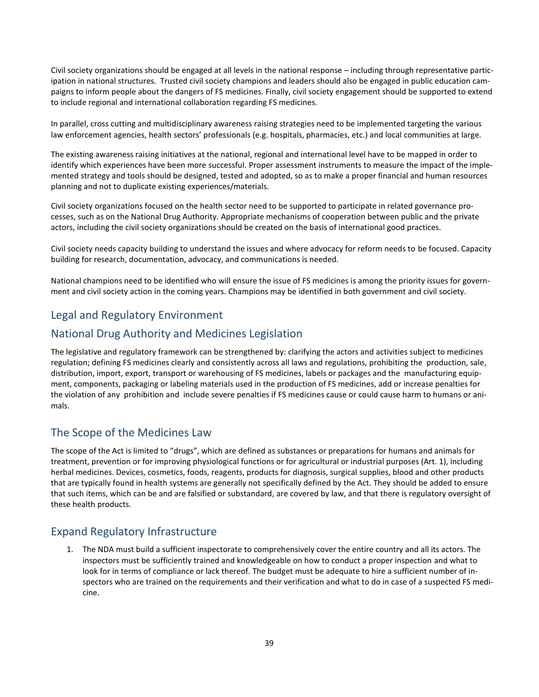Civil society organizations should be engaged at all levels in the national response – including through representative participation in national structures. Trusted civil society champions and leaders should also be engaged in public education campaigns to inform people about the dangers of FS medicines. Finally, civil society engagement should be supported to extend to include regional and international collaboration regarding FS medicines.

In parallel, cross cutting and multidisciplinary awareness raising strategies need to be implemented targeting the various law enforcement agencies, health sectors' professionals (e.g. hospitals, pharmacies, etc.) and local communities at large.

The existing awareness raising initiatives at the national, regional and international level have to be mapped in order to identify which experiences have been more successful. Proper assessment instruments to measure the impact of the implemented strategy and tools should be designed, tested and adopted, so as to make a proper financial and human resources planning and not to duplicate existing experiences/materials.

Civil society organizations focused on the health sector need to be supported to participate in related governance processes, such as on the National Drug Authority. Appropriate mechanisms of cooperation between public and the private actors, including the civil society organizations should be created on the basis of international good practices.

Civil society needs capacity building to understand the issues and where advocacy for reform needs to be focused. Capacity building for research, documentation, advocacy, and communications is needed.

National champions need to be identified who will ensure the issue of FS medicines is among the priority issues for government and civil society action in the coming years. Champions may be identified in both government and civil society.

### <span id="page-38-0"></span>Legal and Regulatory Environment

### National Drug Authority and Medicines Legislation

The legislative and regulatory framework can be strengthened by: clarifying the actors and activities subject to medicines regulation; defining FS medicines clearly and consistently across all laws and regulations, prohibiting the production, sale, distribution, import, export, transport or warehousing of FS medicines, labels or packages and the manufacturing equipment, components, packaging or labeling materials used in the production of FS medicines, add or increase penalties for the violation of any prohibition and include severe penalties if FS medicines cause or could cause harm to humans or animals.

### The Scope of the Medicines Law

The scope of the Act is limited to "drugs", which are defined as substances or preparations for humans and animals for treatment, prevention or for improving physiological functions or for agricultural or industrial purposes (Art. 1), including herbal medicines. Devices, cosmetics, foods, reagents, products for diagnosis, surgical supplies, blood and other products that are typically found in health systems are generally not specifically defined by the Act. They should be added to ensure that such items, which can be and are falsified or substandard, are covered by law, and that there is regulatory oversight of these health products.

### Expand Regulatory Infrastructure

1. The NDA must build a sufficient inspectorate to comprehensively cover the entire country and all its actors. The inspectors must be sufficiently trained and knowledgeable on how to conduct a proper inspection and what to look for in terms of compliance or lack thereof. The budget must be adequate to hire a sufficient number of inspectors who are trained on the requirements and their verification and what to do in case of a suspected FS medicine.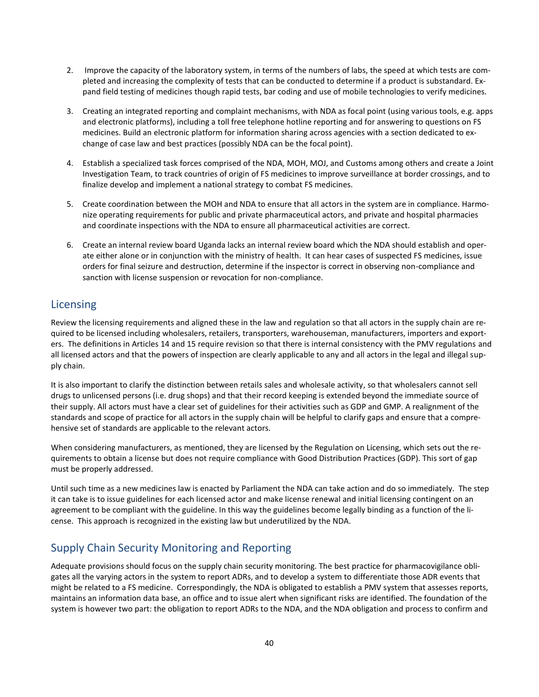- 2. Improve the capacity of the laboratory system, in terms of the numbers of labs, the speed at which tests are completed and increasing the complexity of tests that can be conducted to determine if a product is substandard. Expand field testing of medicines though rapid tests, bar coding and use of mobile technologies to verify medicines.
- 3. Creating an integrated reporting and complaint mechanisms, with NDA as focal point (using various tools, e.g. apps and electronic platforms), including a toll free telephone hotline reporting and for answering to questions on FS medicines. Build an electronic platform for information sharing across agencies with a section dedicated to exchange of case law and best practices (possibly NDA can be the focal point).
- 4. Establish a specialized task forces comprised of the NDA, MOH, MOJ, and Customs among others and create a Joint Investigation Team, to track countries of origin of FS medicines to improve surveillance at border crossings, and to finalize develop and implement a national strategy to combat FS medicines.
- 5. Create coordination between the MOH and NDA to ensure that all actors in the system are in compliance. Harmonize operating requirements for public and private pharmaceutical actors, and private and hospital pharmacies and coordinate inspections with the NDA to ensure all pharmaceutical activities are correct.
- 6. Create an internal review board Uganda lacks an internal review board which the NDA should establish and operate either alone or in conjunction with the ministry of health. It can hear cases of suspected FS medicines, issue orders for final seizure and destruction, determine if the inspector is correct in observing non-compliance and sanction with license suspension or revocation for non-compliance.

### Licensing

Review the licensing requirements and aligned these in the law and regulation so that all actors in the supply chain are required to be licensed including wholesalers, retailers, transporters, warehouseman, manufacturers, importers and exporters. The definitions in Articles 14 and 15 require revision so that there is internal consistency with the PMV regulations and all licensed actors and that the powers of inspection are clearly applicable to any and all actors in the legal and illegal supply chain.

It is also important to clarify the distinction between retails sales and wholesale activity, so that wholesalers cannot sell drugs to unlicensed persons (i.e. drug shops) and that their record keeping is extended beyond the immediate source of their supply. All actors must have a clear set of guidelines for their activities such as GDP and GMP. A realignment of the standards and scope of practice for all actors in the supply chain will be helpful to clarify gaps and ensure that a comprehensive set of standards are applicable to the relevant actors.

When considering manufacturers, as mentioned, they are licensed by the Regulation on Licensing, which sets out the requirements to obtain a license but does not require compliance with Good Distribution Practices (GDP). This sort of gap must be properly addressed.

Until such time as a new medicines law is enacted by Parliament the NDA can take action and do so immediately. The step it can take is to issue guidelines for each licensed actor and make license renewal and initial licensing contingent on an agreement to be compliant with the guideline. In this way the guidelines become legally binding as a function of the license. This approach is recognized in the existing law but underutilized by the NDA.

### Supply Chain Security Monitoring and Reporting

Adequate provisions should focus on the supply chain security monitoring. The best practice for pharmacovigilance obligates all the varying actors in the system to report ADRs, and to develop a system to differentiate those ADR events that might be related to a FS medicine. Correspondingly, the NDA is obligated to establish a PMV system that assesses reports, maintains an information data base, an office and to issue alert when significant risks are identified. The foundation of the system is however two part: the obligation to report ADRs to the NDA, and the NDA obligation and process to confirm and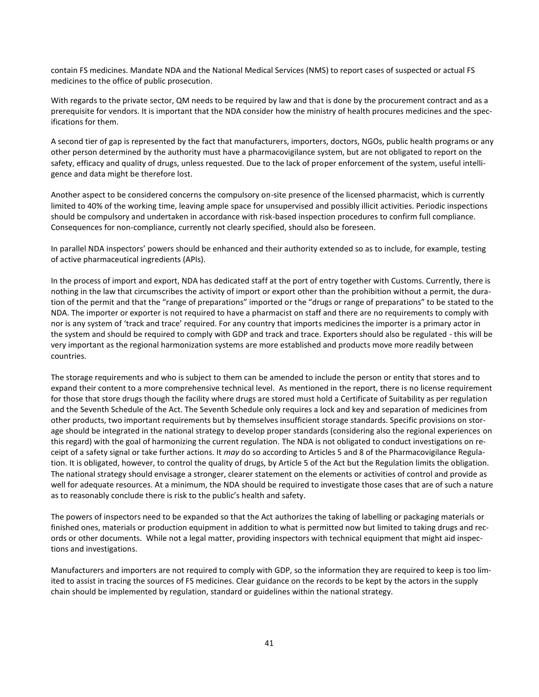contain FS medicines. Mandate NDA and the National Medical Services (NMS) to report cases of suspected or actual FS medicines to the office of public prosecution.

With regards to the private sector, QM needs to be required by law and that is done by the procurement contract and as a prerequisite for vendors. It is important that the NDA consider how the ministry of health procures medicines and the specifications for them.

A second tier of gap is represented by the fact that manufacturers, importers, doctors, NGOs, public health programs or any other person determined by the authority must have a pharmacovigilance system, but are not obligated to report on the safety, efficacy and quality of drugs, unless requested. Due to the lack of proper enforcement of the system, useful intelligence and data might be therefore lost.

Another aspect to be considered concerns the compulsory on-site presence of the licensed pharmacist, which is currently limited to 40% of the working time, leaving ample space for unsupervised and possibly illicit activities. Periodic inspections should be compulsory and undertaken in accordance with risk-based inspection procedures to confirm full compliance. Consequences for non-compliance, currently not clearly specified, should also be foreseen.

In parallel NDA inspectors' powers should be enhanced and their authority extended so as to include, for example, testing of active pharmaceutical ingredients (APIs).

In the process of import and export, NDA has dedicated staff at the port of entry together with Customs. Currently, there is nothing in the law that circumscribes the activity of import or export other than the prohibition without a permit, the duration of the permit and that the "range of preparations" imported or the "drugs or range of preparations" to be stated to the NDA. The importer or exporter is not required to have a pharmacist on staff and there are no requirements to comply with nor is any system of 'track and trace' required. For any country that imports medicines the importer is a primary actor in the system and should be required to comply with GDP and track and trace. Exporters should also be regulated - this will be very important as the regional harmonization systems are more established and products move more readily between countries.

The storage requirements and who is subject to them can be amended to include the person or entity that stores and to expand their content to a more comprehensive technical level. As mentioned in the report, there is no license requirement for those that store drugs though the facility where drugs are stored must hold a Certificate of Suitability as per regulation and the Seventh Schedule of the Act. The Seventh Schedule only requires a lock and key and separation of medicines from other products, two important requirements but by themselves insufficient storage standards. Specific provisions on storage should be integrated in the national strategy to develop proper standards (considering also the regional experiences on this regard) with the goal of harmonizing the current regulation. The NDA is not obligated to conduct investigations on receipt of a safety signal or take further actions. It *may* do so according to Articles 5 and 8 of the Pharmacovigilance Regulation. It is obligated, however, to control the quality of drugs, by Article 5 of the Act but the Regulation limits the obligation. The national strategy should envisage a stronger, clearer statement on the elements or activities of control and provide as well for adequate resources. At a minimum, the NDA should be required to investigate those cases that are of such a nature as to reasonably conclude there is risk to the public's health and safety.

The powers of inspectors need to be expanded so that the Act authorizes the taking of labelling or packaging materials or finished ones, materials or production equipment in addition to what is permitted now but limited to taking drugs and records or other documents. While not a legal matter, providing inspectors with technical equipment that might aid inspections and investigations.

Manufacturers and importers are not required to comply with GDP, so the information they are required to keep is too limited to assist in tracing the sources of FS medicines. Clear guidance on the records to be kept by the actors in the supply chain should be implemented by regulation, standard or guidelines within the national strategy.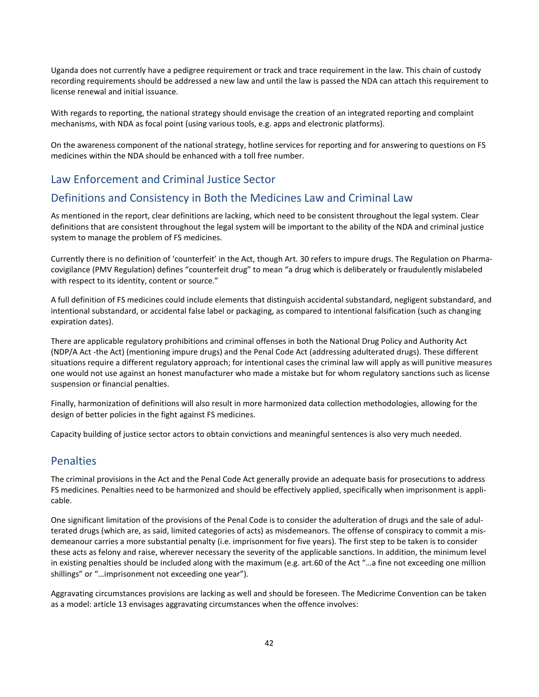Uganda does not currently have a pedigree requirement or track and trace requirement in the law. This chain of custody recording requirements should be addressed a new law and until the law is passed the NDA can attach this requirement to license renewal and initial issuance.

With regards to reporting, the national strategy should envisage the creation of an integrated reporting and complaint mechanisms, with NDA as focal point (using various tools, e.g. apps and electronic platforms).

On the awareness component of the national strategy, hotline services for reporting and for answering to questions on FS medicines within the NDA should be enhanced with a toll free number.

### <span id="page-41-0"></span>Law Enforcement and Criminal Justice Sector

### Definitions and Consistency in Both the Medicines Law and Criminal Law

As mentioned in the report, clear definitions are lacking, which need to be consistent throughout the legal system. Clear definitions that are consistent throughout the legal system will be important to the ability of the NDA and criminal justice system to manage the problem of FS medicines.

Currently there is no definition of 'counterfeit' in the Act, though Art. 30 refers to impure drugs. The Regulation on Pharmacovigilance (PMV Regulation) defines "counterfeit drug" to mean "a drug which is deliberately or fraudulently mislabeled with respect to its identity, content or source."

A full definition of FS medicines could include elements that distinguish accidental substandard, negligent substandard, and intentional substandard, or accidental false label or packaging, as compared to intentional falsification (such as changing expiration dates).

There are applicable regulatory prohibitions and criminal offenses in both the National Drug Policy and Authority Act (NDP/A Act -the Act) (mentioning impure drugs) and the Penal Code Act (addressing adulterated drugs). These different situations require a different regulatory approach; for intentional cases the criminal law will apply as will punitive measures one would not use against an honest manufacturer who made a mistake but for whom regulatory sanctions such as license suspension or financial penalties.

Finally, harmonization of definitions will also result in more harmonized data collection methodologies, allowing for the design of better policies in the fight against FS medicines.

Capacity building of justice sector actors to obtain convictions and meaningful sentences is also very much needed.

#### **Penalties**

The criminal provisions in the Act and the Penal Code Act generally provide an adequate basis for prosecutions to address FS medicines. Penalties need to be harmonized and should be effectively applied, specifically when imprisonment is applicable.

One significant limitation of the provisions of the Penal Code is to consider the adulteration of drugs and the sale of adulterated drugs (which are, as said, limited categories of acts) as misdemeanors. The offense of conspiracy to commit a misdemeanour carries a more substantial penalty (i.e. imprisonment for five years). The first step to be taken is to consider these acts as felony and raise, wherever necessary the severity of the applicable sanctions. In addition, the minimum level in existing penalties should be included along with the maximum (e.g. art.60 of the Act "…a fine not exceeding one million shillings" or "…imprisonment not exceeding one year").

Aggravating circumstances provisions are lacking as well and should be foreseen. The Medicrime Convention can be taken as a model: article 13 envisages aggravating circumstances when the offence involves: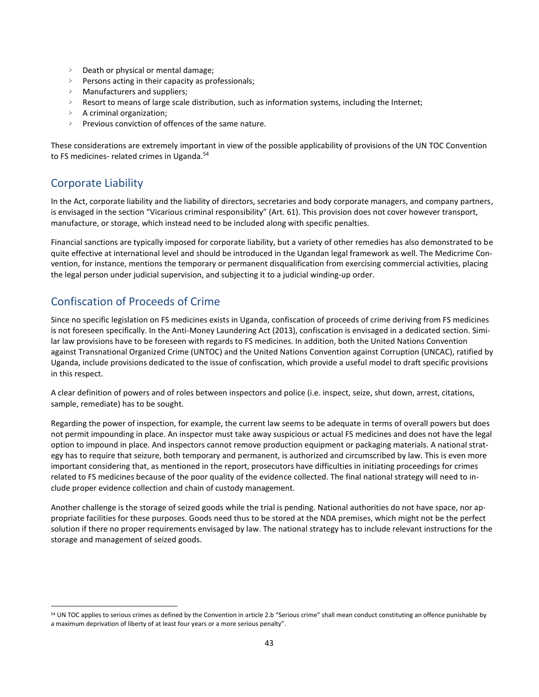- ×. Death or physical or mental damage;
- $\triangleright$  Persons acting in their capacity as professionals;
- **Manufacturers and suppliers;**
- У. Resort to means of large scale distribution, such as information systems, including the Internet;
- $\triangleright$  A criminal organization;
- $\triangleright$  Previous conviction of offences of the same nature.

These considerations are extremely important in view of the possible applicability of provisions of the UN TOC Convention to FS medicines- related crimes in Uganda.<sup>54</sup>

### Corporate Liability

 $\overline{a}$ 

In the Act, corporate liability and the liability of directors, secretaries and body corporate managers, and company partners, is envisaged in the section "Vicarious criminal responsibility" (Art. 61). This provision does not cover however transport, manufacture, or storage, which instead need to be included along with specific penalties.

Financial sanctions are typically imposed for corporate liability, but a variety of other remedies has also demonstrated to be quite effective at international level and should be introduced in the Ugandan legal framework as well. The Medicrime Convention, for instance, mentions the temporary or permanent disqualification from exercising commercial activities, placing the legal person under judicial supervision, and subjecting it to a judicial winding-up order.

### Confiscation of Proceeds of Crime

Since no specific legislation on FS medicines exists in Uganda, confiscation of proceeds of crime deriving from FS medicines is not foreseen specifically. In the Anti-Money Laundering Act (2013), confiscation is envisaged in a dedicated section. Similar law provisions have to be foreseen with regards to FS medicines. In addition, both the United Nations Convention against Transnational Organized Crime (UNTOC) and the United Nations Convention against Corruption (UNCAC), ratified by Uganda, include provisions dedicated to the issue of confiscation, which provide a useful model to draft specific provisions in this respect.

A clear definition of powers and of roles between inspectors and police (i.e. inspect, seize, shut down, arrest, citations, sample, remediate) has to be sought.

Regarding the power of inspection, for example, the current law seems to be adequate in terms of overall powers but does not permit impounding in place. An inspector must take away suspicious or actual FS medicines and does not have the legal option to impound in place. And inspectors cannot remove production equipment or packaging materials. A national strategy has to require that seizure, both temporary and permanent, is authorized and circumscribed by law. This is even more important considering that, as mentioned in the report, prosecutors have difficulties in initiating proceedings for crimes related to FS medicines because of the poor quality of the evidence collected. The final national strategy will need to include proper evidence collection and chain of custody management.

Another challenge is the storage of seized goods while the trial is pending. National authorities do not have space, nor appropriate facilities for these purposes. Goods need thus to be stored at the NDA premises, which might not be the perfect solution if there no proper requirements envisaged by law. The national strategy has to include relevant instructions for the storage and management of seized goods.

<sup>54</sup> UN TOC applies to serious crimes as defined by the Convention in article 2.b "Serious crime" shall mean conduct constituting an offence punishable by a maximum deprivation of liberty of at least four years or a more serious penalty".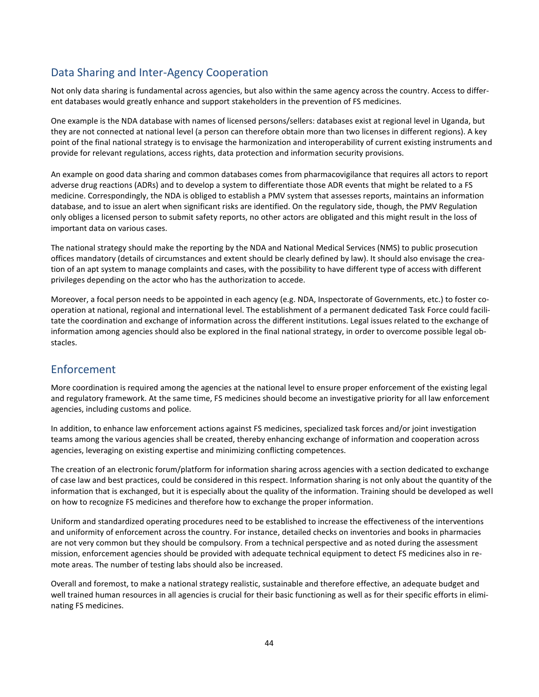### Data Sharing and Inter-Agency Cooperation

Not only data sharing is fundamental across agencies, but also within the same agency across the country. Access to different databases would greatly enhance and support stakeholders in the prevention of FS medicines.

One example is the NDA database with names of licensed persons/sellers: databases exist at regional level in Uganda, but they are not connected at national level (a person can therefore obtain more than two licenses in different regions). A key point of the final national strategy is to envisage the harmonization and interoperability of current existing instruments and provide for relevant regulations, access rights, data protection and information security provisions.

An example on good data sharing and common databases comes from pharmacovigilance that requires all actors to report adverse drug reactions (ADRs) and to develop a system to differentiate those ADR events that might be related to a FS medicine. Correspondingly, the NDA is obliged to establish a PMV system that assesses reports, maintains an information database, and to issue an alert when significant risks are identified. On the regulatory side, though, the PMV Regulation only obliges a licensed person to submit safety reports, no other actors are obligated and this might result in the loss of important data on various cases.

The national strategy should make the reporting by the NDA and National Medical Services (NMS) to public prosecution offices mandatory (details of circumstances and extent should be clearly defined by law). It should also envisage the creation of an apt system to manage complaints and cases, with the possibility to have different type of access with different privileges depending on the actor who has the authorization to accede.

Moreover, a focal person needs to be appointed in each agency (e.g. NDA, Inspectorate of Governments, etc.) to foster cooperation at national, regional and international level. The establishment of a permanent dedicated Task Force could facilitate the coordination and exchange of information across the different institutions. Legal issues related to the exchange of information among agencies should also be explored in the final national strategy, in order to overcome possible legal obstacles.

### Enforcement

More coordination is required among the agencies at the national level to ensure proper enforcement of the existing legal and regulatory framework. At the same time, FS medicines should become an investigative priority for all law enforcement agencies, including customs and police.

In addition, to enhance law enforcement actions against FS medicines, specialized task forces and/or joint investigation teams among the various agencies shall be created, thereby enhancing exchange of information and cooperation across agencies, leveraging on existing expertise and minimizing conflicting competences.

The creation of an electronic forum/platform for information sharing across agencies with a section dedicated to exchange of case law and best practices, could be considered in this respect. Information sharing is not only about the quantity of the information that is exchanged, but it is especially about the quality of the information. Training should be developed as well on how to recognize FS medicines and therefore how to exchange the proper information.

Uniform and standardized operating procedures need to be established to increase the effectiveness of the interventions and uniformity of enforcement across the country. For instance, detailed checks on inventories and books in pharmacies are not very common but they should be compulsory. From a technical perspective and as noted during the assessment mission, enforcement agencies should be provided with adequate technical equipment to detect FS medicines also in remote areas. The number of testing labs should also be increased.

Overall and foremost, to make a national strategy realistic, sustainable and therefore effective, an adequate budget and well trained human resources in all agencies is crucial for their basic functioning as well as for their specific efforts in eliminating FS medicines.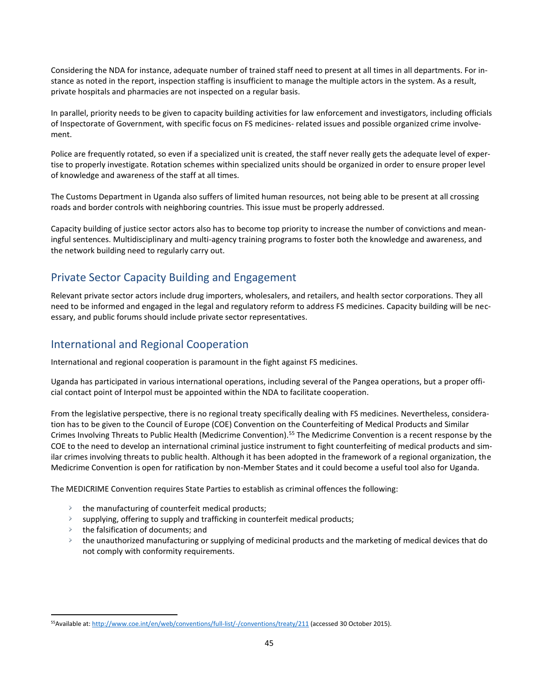Considering the NDA for instance, adequate number of trained staff need to present at all times in all departments. For instance as noted in the report, inspection staffing is insufficient to manage the multiple actors in the system. As a result, private hospitals and pharmacies are not inspected on a regular basis.

In parallel, priority needs to be given to capacity building activities for law enforcement and investigators, including officials of Inspectorate of Government, with specific focus on FS medicines- related issues and possible organized crime involvement.

Police are frequently rotated, so even if a specialized unit is created, the staff never really gets the adequate level of expertise to properly investigate. Rotation schemes within specialized units should be organized in order to ensure proper level of knowledge and awareness of the staff at all times.

The Customs Department in Uganda also suffers of limited human resources, not being able to be present at all crossing roads and border controls with neighboring countries. This issue must be properly addressed.

Capacity building of justice sector actors also has to become top priority to increase the number of convictions and meaningful sentences. Multidisciplinary and multi-agency training programs to foster both the knowledge and awareness, and the network building need to regularly carry out.

### <span id="page-44-0"></span>Private Sector Capacity Building and Engagement

Relevant private sector actors include drug importers, wholesalers, and retailers, and health sector corporations. They all need to be informed and engaged in the legal and regulatory reform to address FS medicines. Capacity building will be necessary, and public forums should include private sector representatives.

### <span id="page-44-1"></span>International and Regional Cooperation

International and regional cooperation is paramount in the fight against FS medicines.

Uganda has participated in various international operations, including several of the Pangea operations, but a proper official contact point of Interpol must be appointed within the NDA to facilitate cooperation.

From the legislative perspective, there is no regional treaty specifically dealing with FS medicines. Nevertheless, consideration has to be given to the Council of Europe (COE) Convention on the Counterfeiting of Medical Products and Similar Crimes Involving Threats to Public Health (Medicrime Convention).<sup>55</sup> The Medicrime Convention is a recent response by the COE to the need to develop an international criminal justice instrument to fight counterfeiting of medical products and similar crimes involving threats to public health. Although it has been adopted in the framework of a regional organization, the Medicrime Convention is open for ratification by non-Member States and it could become a useful tool also for Uganda.

The MEDICRIME Convention requires State Parties to establish as criminal offences the following:

- $\triangleright$  the manufacturing of counterfeit medical products;
- supplying, offering to supply and trafficking in counterfeit medical products;
- У. the falsification of documents; and

 $\overline{a}$ 

the unauthorized manufacturing or supplying of medicinal products and the marketing of medical devices that do not comply with conformity requirements.

<sup>55</sup>Available at:<http://www.coe.int/en/web/conventions/full-list/-/conventions/treaty/211> (accessed 30 October 2015).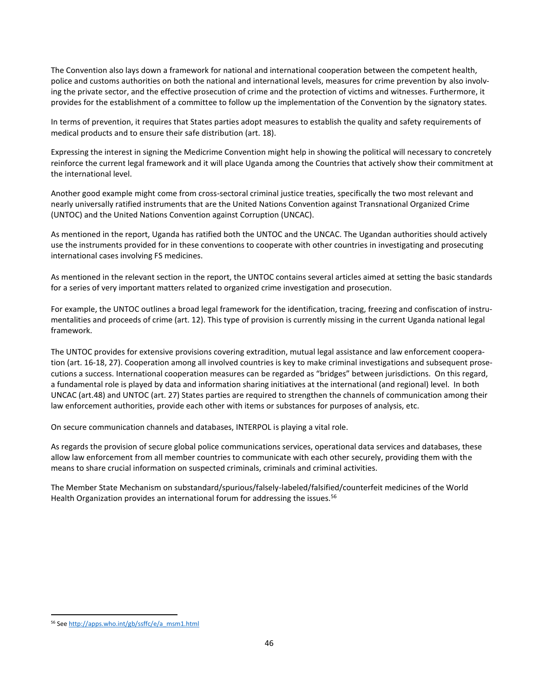The Convention also lays down a framework for national and international cooperation between the competent health, police and customs authorities on both the national and international levels, measures for crime prevention by also involving the private sector, and the effective prosecution of crime and the protection of victims and witnesses. Furthermore, it provides for the establishment of a committee to follow up the implementation of the Convention by the signatory states.

In terms of prevention, it requires that States parties adopt measures to establish the quality and safety requirements of medical products and to ensure their safe distribution (art. 18).

Expressing the interest in signing the Medicrime Convention might help in showing the political will necessary to concretely reinforce the current legal framework and it will place Uganda among the Countries that actively show their commitment at the international level.

Another good example might come from cross-sectoral criminal justice treaties, specifically the two most relevant and nearly universally ratified instruments that are the United Nations Convention against Transnational Organized Crime (UNTOC) and the United Nations Convention against Corruption (UNCAC).

As mentioned in the report, Uganda has ratified both the UNTOC and the UNCAC. The Ugandan authorities should actively use the instruments provided for in these conventions to cooperate with other countries in investigating and prosecuting international cases involving FS medicines.

As mentioned in the relevant section in the report, the UNTOC contains several articles aimed at setting the basic standards for a series of very important matters related to organized crime investigation and prosecution.

For example, the UNTOC outlines a broad legal framework for the identification, tracing, freezing and confiscation of instrumentalities and proceeds of crime (art. 12). This type of provision is currently missing in the current Uganda national legal framework.

The UNTOC provides for extensive provisions covering extradition, mutual legal assistance and law enforcement cooperation (art. 16-18, 27). Cooperation among all involved countries is key to make criminal investigations and subsequent prosecutions a success. International cooperation measures can be regarded as "bridges" between jurisdictions. On this regard, a fundamental role is played by data and information sharing initiatives at the international (and regional) level. In both UNCAC (art.48) and UNTOC (art. 27) States parties are required to strengthen the channels of communication among their law enforcement authorities, provide each other with items or substances for purposes of analysis, etc.

On secure communication channels and databases, INTERPOL is playing a vital role.

As regards the provision of secure global police communications services, operational data services and databases, these allow law enforcement from all member countries to communicate with each other securely, providing them with the means to share crucial information on suspected criminals, criminals and criminal activities.

The Member State Mechanism on substandard/spurious/falsely-labeled/falsified/counterfeit medicines of the World Health Organization provides an international forum for addressing the issues.<sup>56</sup>

 $\overline{a}$ <sup>56</sup> Se[e http://apps.who.int/gb/ssffc/e/a\\_msm1.html](http://apps.who.int/gb/ssffc/e/a_msm1.html)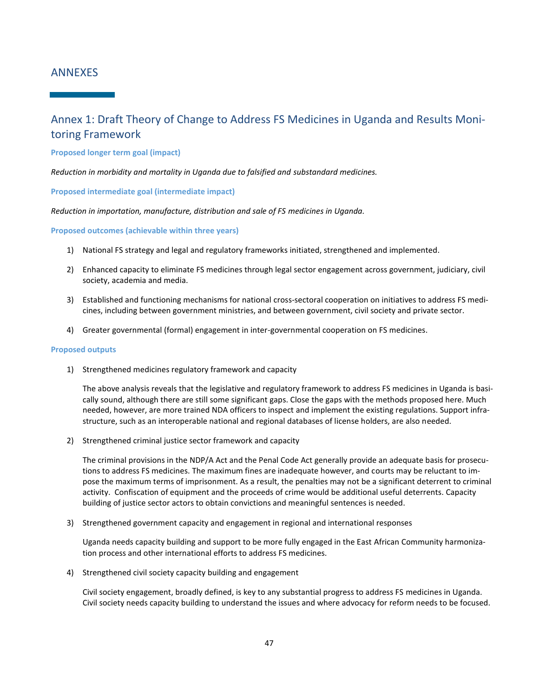### <span id="page-46-0"></span>ANNEXES

### <span id="page-46-1"></span>Annex 1: Draft Theory of Change to Address FS Medicines in Uganda and Results Monitoring Framework

**Proposed longer term goal (impact)**

*Reduction in morbidity and mortality in Uganda due to falsified and substandard medicines.*

**Proposed intermediate goal (intermediate impact)**

*Reduction in importation, manufacture, distribution and sale of FS medicines in Uganda.*

#### **Proposed outcomes (achievable within three years)**

- 1) National FS strategy and legal and regulatory frameworks initiated, strengthened and implemented.
- 2) Enhanced capacity to eliminate FS medicines through legal sector engagement across government, judiciary, civil society, academia and media.
- 3) Established and functioning mechanisms for national cross-sectoral cooperation on initiatives to address FS medicines, including between government ministries, and between government, civil society and private sector.
- 4) Greater governmental (formal) engagement in inter-governmental cooperation on FS medicines.

#### **Proposed outputs**

1) Strengthened medicines regulatory framework and capacity

The above analysis reveals that the legislative and regulatory framework to address FS medicines in Uganda is basically sound, although there are still some significant gaps. Close the gaps with the methods proposed here. Much needed, however, are more trained NDA officers to inspect and implement the existing regulations. Support infrastructure, such as an interoperable national and regional databases of license holders, are also needed.

2) Strengthened criminal justice sector framework and capacity

The criminal provisions in the NDP/A Act and the Penal Code Act generally provide an adequate basis for prosecutions to address FS medicines. The maximum fines are inadequate however, and courts may be reluctant to impose the maximum terms of imprisonment. As a result, the penalties may not be a significant deterrent to criminal activity. Confiscation of equipment and the proceeds of crime would be additional useful deterrents. Capacity building of justice sector actors to obtain convictions and meaningful sentences is needed.

3) Strengthened government capacity and engagement in regional and international responses

Uganda needs capacity building and support to be more fully engaged in the East African Community harmonization process and other international efforts to address FS medicines.

4) Strengthened civil society capacity building and engagement

Civil society engagement, broadly defined, is key to any substantial progress to address FS medicines in Uganda. Civil society needs capacity building to understand the issues and where advocacy for reform needs to be focused.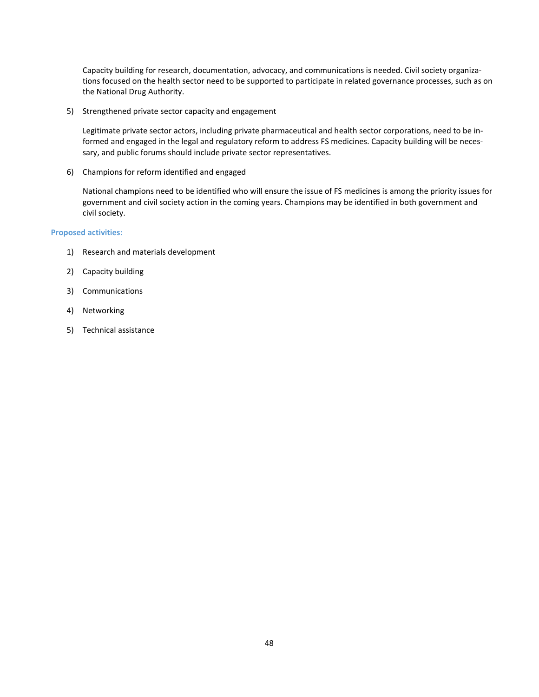Capacity building for research, documentation, advocacy, and communications is needed. Civil society organizations focused on the health sector need to be supported to participate in related governance processes, such as on the National Drug Authority.

5) Strengthened private sector capacity and engagement

Legitimate private sector actors, including private pharmaceutical and health sector corporations, need to be informed and engaged in the legal and regulatory reform to address FS medicines. Capacity building will be necessary, and public forums should include private sector representatives.

6) Champions for reform identified and engaged

National champions need to be identified who will ensure the issue of FS medicines is among the priority issues for government and civil society action in the coming years. Champions may be identified in both government and civil society.

#### **Proposed activities:**

- 1) Research and materials development
- 2) Capacity building
- 3) Communications
- 4) Networking
- 5) Technical assistance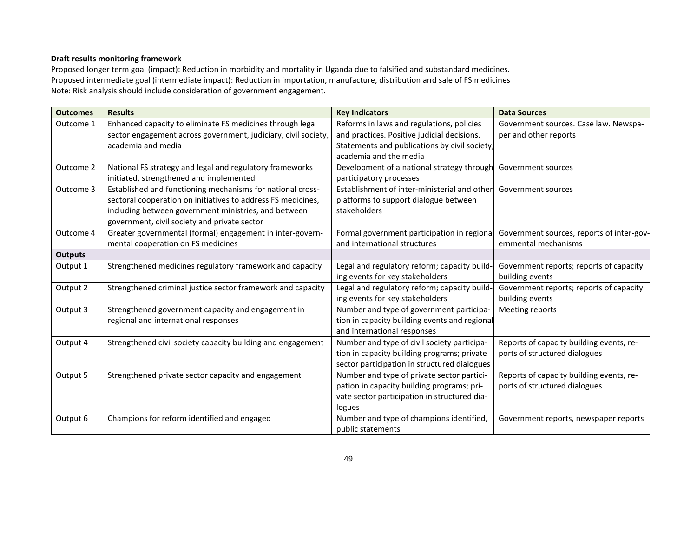#### **Draft results monitoring framework**

Proposed longer term goal (impact): Reduction in morbidity and mortality in Uganda due to falsified and substandard medicines. Proposed intermediate goal (intermediate impact): Reduction in importation, manufacture, distribution and sale of FS medicines Note: Risk analysis should include consideration of government engagement.

| <b>Outcomes</b> | <b>Results</b>                                                 | <b>Key Indicators</b>                         | <b>Data Sources</b>                       |
|-----------------|----------------------------------------------------------------|-----------------------------------------------|-------------------------------------------|
| Outcome 1       | Enhanced capacity to eliminate FS medicines through legal      | Reforms in laws and regulations, policies     | Government sources. Case law. Newspa-     |
|                 | sector engagement across government, judiciary, civil society, | and practices. Positive judicial decisions.   | per and other reports                     |
|                 | academia and media                                             | Statements and publications by civil society, |                                           |
|                 |                                                                | academia and the media                        |                                           |
| Outcome 2       | National FS strategy and legal and regulatory frameworks       | Development of a national strategy through    | Government sources                        |
|                 | initiated, strengthened and implemented                        | participatory processes                       |                                           |
| Outcome 3       | Established and functioning mechanisms for national cross-     | Establishment of inter-ministerial and other  | Government sources                        |
|                 | sectoral cooperation on initiatives to address FS medicines,   | platforms to support dialogue between         |                                           |
|                 | including between government ministries, and between           | stakeholders                                  |                                           |
|                 | government, civil society and private sector                   |                                               |                                           |
| Outcome 4       | Greater governmental (formal) engagement in inter-govern-      | Formal government participation in regional   | Government sources, reports of inter-gov- |
|                 | mental cooperation on FS medicines                             | and international structures                  | ernmental mechanisms                      |
| <b>Outputs</b>  |                                                                |                                               |                                           |
| Output 1        | Strengthened medicines regulatory framework and capacity       | Legal and regulatory reform; capacity build-  | Government reports; reports of capacity   |
|                 |                                                                | ing events for key stakeholders               | building events                           |
| Output 2        | Strengthened criminal justice sector framework and capacity    | Legal and regulatory reform; capacity build-  | Government reports; reports of capacity   |
|                 |                                                                | ing events for key stakeholders               | building events                           |
| Output 3        | Strengthened government capacity and engagement in             | Number and type of government participa-      | Meeting reports                           |
|                 | regional and international responses                           | tion in capacity building events and regional |                                           |
|                 |                                                                | and international responses                   |                                           |
| Output 4        | Strengthened civil society capacity building and engagement    | Number and type of civil society participa-   | Reports of capacity building events, re-  |
|                 |                                                                | tion in capacity building programs; private   | ports of structured dialogues             |
|                 |                                                                | sector participation in structured dialogues  |                                           |
| Output 5        | Strengthened private sector capacity and engagement            | Number and type of private sector partici-    | Reports of capacity building events, re-  |
|                 |                                                                | pation in capacity building programs; pri-    | ports of structured dialogues             |
|                 |                                                                | vate sector participation in structured dia-  |                                           |
|                 |                                                                | logues                                        |                                           |
| Output 6        | Champions for reform identified and engaged                    | Number and type of champions identified,      | Government reports, newspaper reports     |
|                 |                                                                | public statements                             |                                           |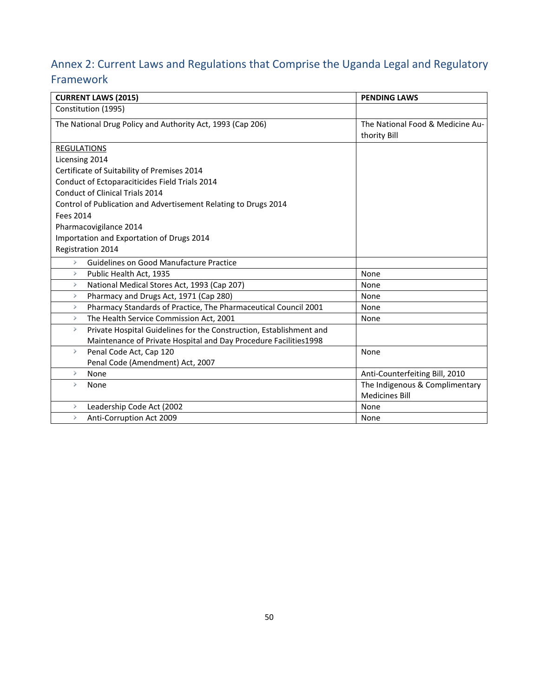### <span id="page-49-0"></span>Annex 2: Current Laws and Regulations that Comprise the Uganda Legal and Regulatory Framework

| <b>CURRENT LAWS (2015)</b>                                               | <b>PENDING LAWS</b>                              |
|--------------------------------------------------------------------------|--------------------------------------------------|
| Constitution (1995)                                                      |                                                  |
| The National Drug Policy and Authority Act, 1993 (Cap 206)               | The National Food & Medicine Au-<br>thority Bill |
| <b>REGULATIONS</b>                                                       |                                                  |
| Licensing 2014                                                           |                                                  |
| Certificate of Suitability of Premises 2014                              |                                                  |
| Conduct of Ectoparaciticides Field Trials 2014                           |                                                  |
| <b>Conduct of Clinical Trials 2014</b>                                   |                                                  |
| Control of Publication and Advertisement Relating to Drugs 2014          |                                                  |
| Fees 2014                                                                |                                                  |
| Pharmacovigilance 2014                                                   |                                                  |
| Importation and Exportation of Drugs 2014                                |                                                  |
| Registration 2014                                                        |                                                  |
| Guidelines on Good Manufacture Practice<br>У.                            |                                                  |
| Public Health Act, 1935<br>У.                                            | None                                             |
| National Medical Stores Act, 1993 (Cap 207)<br>×                         | None                                             |
| Pharmacy and Drugs Act, 1971 (Cap 280)<br>×.                             | None                                             |
| Pharmacy Standards of Practice, The Pharmaceutical Council 2001<br>X.    | None                                             |
| The Health Service Commission Act, 2001<br>э.                            | None                                             |
| Private Hospital Guidelines for the Construction, Establishment and<br>× |                                                  |
| Maintenance of Private Hospital and Day Procedure Facilities1998         |                                                  |
| Penal Code Act, Cap 120<br>X.                                            | None                                             |
| Penal Code (Amendment) Act, 2007                                         |                                                  |
| э.<br>None                                                               | Anti-Counterfeiting Bill, 2010                   |
| x.<br>None                                                               | The Indigenous & Complimentary                   |
|                                                                          | <b>Medicines Bill</b>                            |
| Leadership Code Act (2002<br>×.                                          | None                                             |
| Anti-Corruption Act 2009<br>×                                            | None                                             |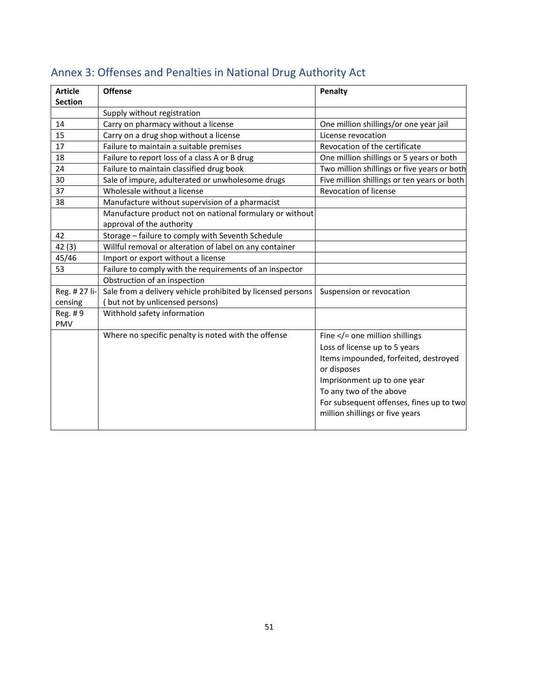| <b>Article</b><br><b>Section</b> | <b>Offense</b>                                                                                 | Penalty                                                                                                                                                                                                                                                               |
|----------------------------------|------------------------------------------------------------------------------------------------|-----------------------------------------------------------------------------------------------------------------------------------------------------------------------------------------------------------------------------------------------------------------------|
|                                  | Supply without registration                                                                    |                                                                                                                                                                                                                                                                       |
| 14                               | Carry on pharmacy without a license                                                            | One million shillings/or one year jail                                                                                                                                                                                                                                |
| 15                               | Carry on a drug shop without a license                                                         | License revocation                                                                                                                                                                                                                                                    |
| 17                               | Failure to maintain a suitable premises                                                        | Revocation of the certificate                                                                                                                                                                                                                                         |
| 18                               | Failure to report loss of a class A or B drug                                                  | One million shillings or 5 years or both                                                                                                                                                                                                                              |
| 24                               | Failure to maintain classified drug book                                                       | Two million shillings or five years or both                                                                                                                                                                                                                           |
| 30                               | Sale of impure, adulterated or unwholesome drugs                                               | Five million shillings or ten years or both                                                                                                                                                                                                                           |
| 37                               | Wholesale without a license                                                                    | Revocation of license                                                                                                                                                                                                                                                 |
| 38                               | Manufacture without supervision of a pharmacist                                                |                                                                                                                                                                                                                                                                       |
|                                  | Manufacture product not on national formulary or without<br>approval of the authority          |                                                                                                                                                                                                                                                                       |
| 42                               | Storage - failure to comply with Seventh Schedule                                              |                                                                                                                                                                                                                                                                       |
| 42(3)                            | Willful removal or alteration of label on any container                                        |                                                                                                                                                                                                                                                                       |
| 45/46                            | Import or export without a license                                                             |                                                                                                                                                                                                                                                                       |
| 53                               | Failure to comply with the requirements of an inspector                                        |                                                                                                                                                                                                                                                                       |
|                                  | Obstruction of an inspection                                                                   |                                                                                                                                                                                                                                                                       |
| Reg. # 27 li-<br>censing         | Sale from a delivery vehicle prohibited by licensed persons<br>(but not by unlicensed persons) | Suspension or revocation                                                                                                                                                                                                                                              |
| Reg. #9<br><b>PMV</b>            | Withhold safety information                                                                    |                                                                                                                                                                                                                                                                       |
|                                  | Where no specific penalty is noted with the offense                                            | Fine $\lt/$ = one million shillings<br>Loss of license up to 5 years<br>Items impounded, forfeited, destroyed<br>or disposes<br>Imprisonment up to one year<br>To any two of the above<br>For subsequent offenses, fines up to two<br>million shillings or five years |

# <span id="page-50-0"></span>Annex 3: Offenses and Penalties in National Drug Authority Act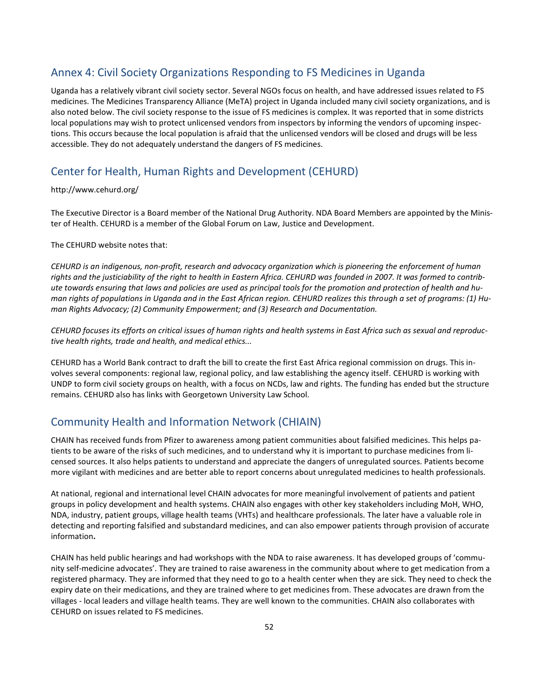### <span id="page-51-0"></span>Annex 4: Civil Society Organizations Responding to FS Medicines in Uganda

Uganda has a relatively vibrant civil society sector. Several NGOs focus on health, and have addressed issues related to FS medicines. The Medicines Transparency Alliance (MeTA) project in Uganda included many civil society organizations, and is also noted below. The civil society response to the issue of FS medicines is complex. It was reported that in some districts local populations may wish to protect unlicensed vendors from inspectors by informing the vendors of upcoming inspections. This occurs because the local population is afraid that the unlicensed vendors will be closed and drugs will be less accessible. They do not adequately understand the dangers of FS medicines.

### Center for Health, Human Rights and Development (CEHURD)

#### http://www.cehurd.org/

The Executive Director is a Board member of the National Drug Authority. NDA Board Members are appointed by the Minister of Health. CEHURD is a member of the Global Forum on Law, Justice and Development.

#### The CEHURD website notes that:

*CEHURD is an indigenous, non-profit, research and advocacy organization which is pioneering the enforcement of human rights and the justiciability of the right to health in Eastern Africa. CEHURD was founded in 2007. It was formed to contribute towards ensuring that laws and policies are used as principal tools for the promotion and protection of health and human rights of populations in Uganda and in the East African region. CEHURD realizes this through a set of programs: (1) Human Rights Advocacy; (2) Community Empowerment; and (3) Research and Documentation.*

*CEHURD focuses its efforts on critical issues of human rights and health systems in East Africa such as sexual and reproductive health rights, trade and health, and medical ethics...*

CEHURD has a World Bank contract to draft the bill to create the first East Africa regional commission on drugs. This involves several components: regional law, regional policy, and law establishing the agency itself. CEHURD is working with UNDP to form civil society groups on health, with a focus on NCDs, law and rights. The funding has ended but the structure remains. CEHURD also has links with Georgetown University Law School.

### Community Health and Information Network (CHIAIN)

CHAIN has received funds from Pfizer to awareness among patient communities about falsified medicines. This helps patients to be aware of the risks of such medicines, and to understand why it is important to purchase medicines from licensed sources. It also helps patients to understand and appreciate the dangers of unregulated sources. Patients become more vigilant with medicines and are better able to report concerns about unregulated medicines to health professionals.

At national, regional and international level CHAIN advocates for more meaningful involvement of patients and patient groups in policy development and health systems. CHAIN also engages with other key stakeholders including MoH, WHO, NDA, industry, patient groups, village health teams (VHTs) and healthcare professionals. The later have a valuable role in detecting and reporting falsified and substandard medicines, and can also empower patients through provision of accurate information**.**

CHAIN has held public hearings and had workshops with the NDA to raise awareness. It has developed groups of 'community self-medicine advocates'. They are trained to raise awareness in the community about where to get medication from a registered pharmacy. They are informed that they need to go to a health center when they are sick. They need to check the expiry date on their medications, and they are trained where to get medicines from. These advocates are drawn from the villages - local leaders and village health teams. They are well known to the communities. CHAIN also collaborates with CEHURD on issues related to FS medicines.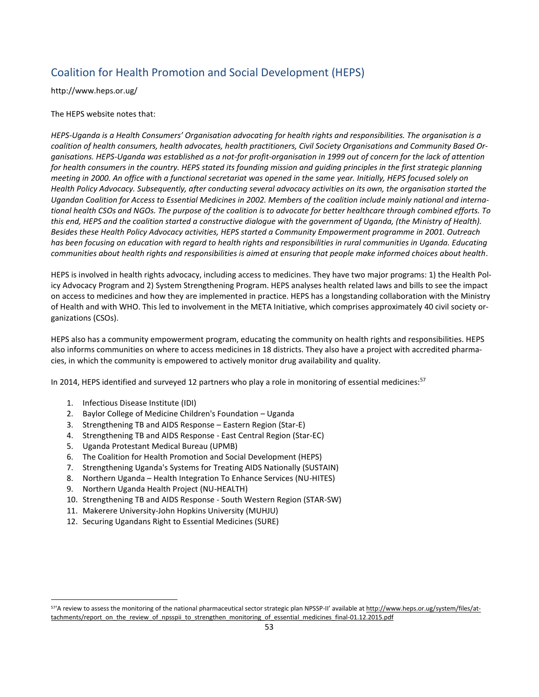### Coalition for Health Promotion and Social Development (HEPS)

http://www.heps.or.ug/

The HEPS website notes that:

*HEPS-Uganda is a Health Consumers' Organisation advocating for health rights and responsibilities. The organisation is a coalition of health consumers, health advocates, health practitioners, Civil Society Organisations and Community Based Organisations. HEPS-Uganda was established as a not-for profit-organisation in 1999 out of concern for the lack of attention for health consumers in the country. HEPS stated its founding mission and guiding principles in the first strategic planning meeting in 2000. An office with a functional secretariat was opened in the same year. Initially, HEPS focused solely on Health Policy Advocacy. Subsequently, after conducting several advocacy activities on its own, the organisation started the Ugandan Coalition for Access to Essential Medicines in 2002. Members of the coalition include mainly national and international health CSOs and NGOs. The purpose of the coalition is to advocate for better healthcare through combined efforts. To this end, HEPS and the coalition started a constructive dialogue with the government of Uganda, (the Ministry of Health). Besides these Health Policy Advocacy activities, HEPS started a Community Empowerment programme in 2001. Outreach has been focusing on education with regard to health rights and responsibilities in rural communities in Uganda. Educating communities about health rights and responsibilities is aimed at ensuring that people make informed choices about health.*

HEPS is involved in health rights advocacy, including access to medicines. They have two major programs: 1) the Health Policy Advocacy Program and 2) System Strengthening Program. HEPS analyses health related laws and bills to see the impact on access to medicines and how they are implemented in practice. HEPS has a longstanding collaboration with the Ministry of Health and with WHO. This led to involvement in the META Initiative, which comprises approximately 40 civil society organizations (CSOs).

HEPS also has a community empowerment program, educating the community on health rights and responsibilities. HEPS also informs communities on where to access medicines in 18 districts. They also have a project with accredited pharmacies, in which the community is empowered to actively monitor drug availability and quality.

In 2014, HEPS identified and surveyed 12 partners who play a role in monitoring of essential medicines:<sup>57</sup>

1. Infectious Disease Institute (IDI)

 $\overline{a}$ 

- 2. Baylor College of Medicine Children's Foundation Uganda
- 3. Strengthening TB and AIDS Response Eastern Region (Star-E)
- 4. Strengthening TB and AIDS Response East Central Region (Star-EC)
- 5. Uganda Protestant Medical Bureau (UPMB)
- 6. The Coalition for Health Promotion and Social Development (HEPS)
- 7. Strengthening Uganda's Systems for Treating AIDS Nationally (SUSTAIN)
- 8. Northern Uganda Health Integration To Enhance Services (NU-HITES)
- 9. Northern Uganda Health Project (NU-HEALTH)
- 10. Strengthening TB and AIDS Response South Western Region (STAR-SW)
- 11. Makerere University-John Hopkins University (MUHJU)
- 12. Securing Ugandans Right to Essential Medicines (SURE)

<sup>57</sup>'A review to assess the monitoring of the national pharmaceutical sector strategic plan NPSSP-II' available at [http://www.heps.or.ug/system/files/at](http://www.heps.or.ug/system/files/attachments/report_on_the_review_of_npsspii_to_strengthen_monitoring_of_essential_medicines_final-01.12.2015.pdf)[tachments/report\\_on\\_the\\_review\\_of\\_npsspii\\_to\\_strengthen\\_monitoring\\_of\\_essential\\_medicines\\_final-01.12.2015.pdf](http://www.heps.or.ug/system/files/attachments/report_on_the_review_of_npsspii_to_strengthen_monitoring_of_essential_medicines_final-01.12.2015.pdf)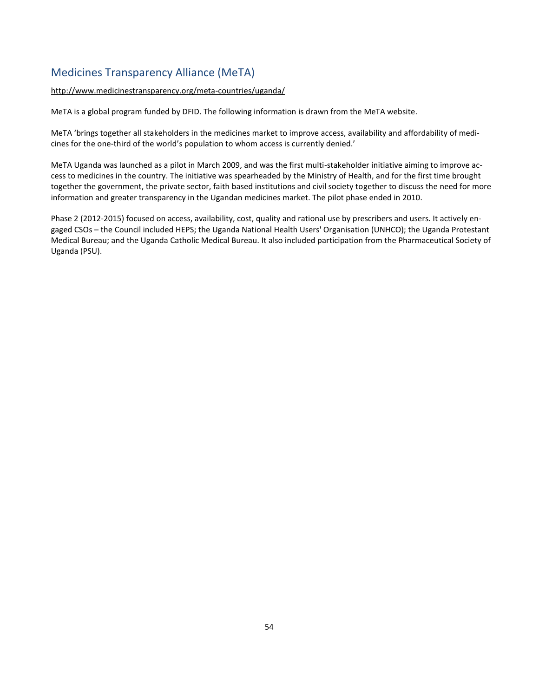### Medicines Transparency Alliance (MeTA)

#### <http://www.medicinestransparency.org/meta-countries/uganda/>

MeTA is a global program funded by DFID. The following information is drawn from the MeTA website.

MeTA 'brings together all stakeholders in the medicines market to improve access, availability and affordability of medicines for the one-third of the world's population to whom access is currently denied.'

MeTA Uganda was launched as a pilot in March 2009, and was the first multi-stakeholder initiative aiming to improve access to medicines in the country. The initiative was spearheaded by the Ministry of Health, and for the first time brought together the government, the private sector, faith based institutions and civil society together to discuss the need for more information and greater transparency in the Ugandan medicines market. The pilot phase ended in 2010.

Phase 2 (2012-2015) focused on access, availability, cost, quality and rational use by prescribers and users. It actively engaged CSOs – the Council included HEPS; the Uganda National Health Users' Organisation (UNHCO); the Uganda Protestant Medical Bureau; and the Uganda Catholic Medical Bureau. It also included participation from the Pharmaceutical Society of Uganda (PSU).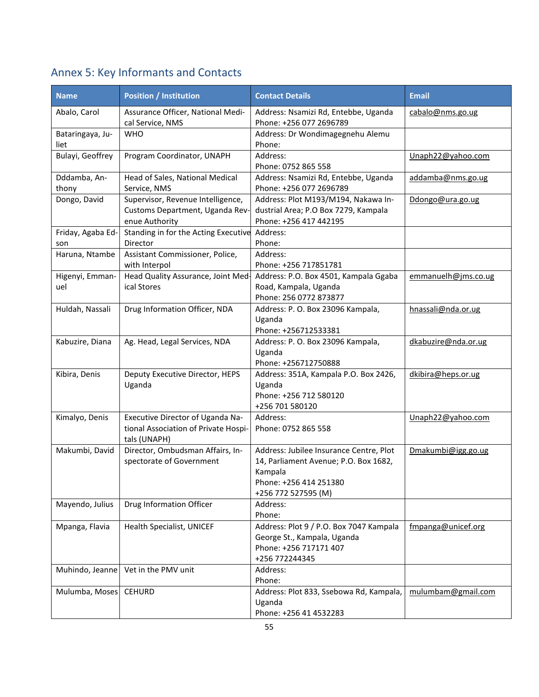# <span id="page-54-0"></span>Annex 5: Key Informants and Contacts

| <b>Name</b>              | <b>Position / Institution</b>                                                            | <b>Contact Details</b>                                                                                                                       | <b>Email</b>        |
|--------------------------|------------------------------------------------------------------------------------------|----------------------------------------------------------------------------------------------------------------------------------------------|---------------------|
| Abalo, Carol             | Assurance Officer, National Medi-<br>cal Service, NMS                                    | Address: Nsamizi Rd, Entebbe, Uganda<br>Phone: +256 077 2696789                                                                              | cabalo@nms.go.ug    |
| Bataringaya, Ju-<br>liet | <b>WHO</b>                                                                               | Address: Dr Wondimagegnehu Alemu<br>Phone:                                                                                                   |                     |
| Bulayi, Geoffrey         | Program Coordinator, UNAPH                                                               | Address:<br>Phone: 0752 865 558                                                                                                              | Unaph22@yahoo.com   |
| Dddamba, An-<br>thony    | Head of Sales, National Medical<br>Service, NMS                                          | Address: Nsamizi Rd, Entebbe, Uganda<br>Phone: +256 077 2696789                                                                              | addamba@nms.go.ug   |
| Dongo, David             | Supervisor, Revenue Intelligence,<br>Customs Department, Uganda Rev-<br>enue Authority   | Address: Plot M193/M194, Nakawa In-<br>dustrial Area; P.O Box 7279, Kampala<br>Phone: +256 417 442195                                        | Ddongo@ura.go.ug    |
| Friday, Agaba Ed-<br>son | Standing in for the Acting Executive Address:<br>Director                                | Phone:                                                                                                                                       |                     |
| Haruna, Ntambe           | Assistant Commissioner, Police,<br>with Interpol                                         | Address:<br>Phone: +256 717851781                                                                                                            |                     |
| Higenyi, Emman-<br>uel   | Head Quality Assurance, Joint Med-<br>ical Stores                                        | Address: P.O. Box 4501, Kampala Ggaba<br>Road, Kampala, Uganda<br>Phone: 256 0772 873877                                                     | emmanuelh@jms.co.ug |
| Huldah, Nassali          | Drug Information Officer, NDA                                                            | Address: P. O. Box 23096 Kampala,<br>Uganda<br>Phone: +256712533381                                                                          | hnassali@nda.or.ug  |
| Kabuzire, Diana          | Ag. Head, Legal Services, NDA                                                            | Address: P. O. Box 23096 Kampala,<br>Uganda<br>Phone: +256712750888                                                                          | dkabuzire@nda.or.ug |
| Kibira, Denis            | Deputy Executive Director, HEPS<br>Uganda                                                | Address: 351A, Kampala P.O. Box 2426,<br>Uganda<br>Phone: +256 712 580120<br>+256 701 580120                                                 | dkibira@heps.or.ug  |
| Kimalyo, Denis           | Executive Director of Uganda Na-<br>tional Association of Private Hospi-<br>tals (UNAPH) | Address:<br>Phone: 0752 865 558                                                                                                              | Unaph22@yahoo.com   |
| Makumbi, David           | Director, Ombudsman Affairs, In-<br>spectorate of Government                             | Address: Jubilee Insurance Centre, Plot<br>14, Parliament Avenue; P.O. Box 1682,<br>Kampala<br>Phone: +256 414 251380<br>+256 772 527595 (M) | Dmakumbi@igg.go.ug  |
| Mayendo, Julius          | Drug Information Officer                                                                 | Address:<br>Phone:                                                                                                                           |                     |
| Mpanga, Flavia           | Health Specialist, UNICEF                                                                | Address: Plot 9 / P.O. Box 7047 Kampala<br>George St., Kampala, Uganda<br>Phone: +256 717171 407<br>+256 772244345                           | fmpanga@unicef.org  |
| Muhindo, Jeanne          | Vet in the PMV unit                                                                      | Address:<br>Phone:                                                                                                                           |                     |
| Mulumba, Moses           | <b>CEHURD</b>                                                                            | Address: Plot 833, Ssebowa Rd, Kampala,<br>Uganda<br>Phone: +256 41 4532283                                                                  | mulumbam@gmail.com  |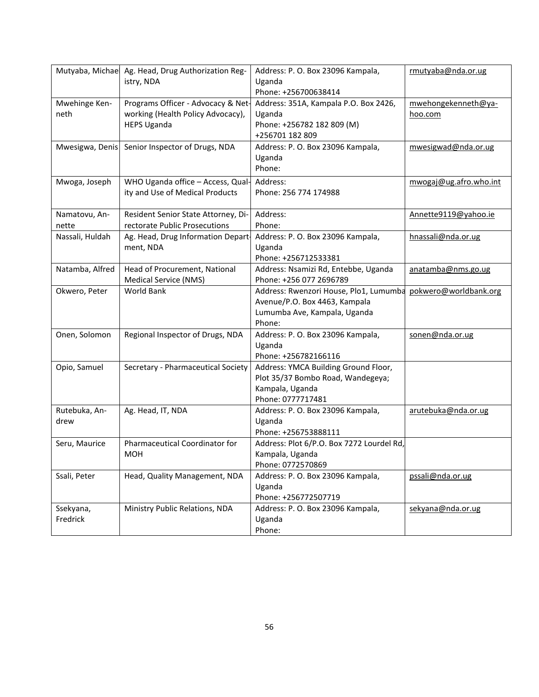|                        | Mutyaba, Michae Ag. Head, Drug Authorization Reg-<br>istry, NDA                               | Address: P. O. Box 23096 Kampala,<br>Uganda<br>Phone: +256700638414                                               | rmutyaba@nda.or.ug             |
|------------------------|-----------------------------------------------------------------------------------------------|-------------------------------------------------------------------------------------------------------------------|--------------------------------|
| Mwehinge Ken-<br>neth  | Programs Officer - Advocacy & Net-<br>working (Health Policy Advocacy),<br><b>HEPS Uganda</b> | Address: 351A, Kampala P.O. Box 2426,<br>Uganda<br>Phone: +256782 182 809 (M)<br>+256701 182 809                  | mwehongekenneth@ya-<br>hoo.com |
|                        | Mwesigwa, Denis Senior Inspector of Drugs, NDA                                                | Address: P. O. Box 23096 Kampala,<br>Uganda<br>Phone:                                                             | mwesigwad@nda.or.ug            |
| Mwoga, Joseph          | WHO Uganda office - Access, Qual-<br>ity and Use of Medical Products                          | Address:<br>Phone: 256 774 174988                                                                                 | mwogaj@ug.afro.who.int         |
| Namatovu, An-<br>nette | Resident Senior State Attorney, Di-<br>rectorate Public Prosecutions                          | Address:<br>Phone:                                                                                                | Annette9119@yahoo.ie           |
| Nassali, Huldah        | Ag. Head, Drug Information Depart-<br>ment, NDA                                               | Address: P. O. Box 23096 Kampala,<br>Uganda<br>Phone: +256712533381                                               | hnassali@nda.or.ug             |
| Natamba, Alfred        | Head of Procurement, National<br>Medical Service (NMS)                                        | Address: Nsamizi Rd, Entebbe, Uganda<br>Phone: +256 077 2696789                                                   | anatamba@nms.go.ug             |
| Okwero, Peter          | <b>World Bank</b>                                                                             | Address: Rwenzori House, Plo1, Lumumba<br>Avenue/P.O. Box 4463, Kampala<br>Lumumba Ave, Kampala, Uganda<br>Phone: | pokwero@worldbank.org          |
| Onen, Solomon          | Regional Inspector of Drugs, NDA                                                              | Address: P. O. Box 23096 Kampala,<br>Uganda<br>Phone: +256782166116                                               | sonen@nda.or.ug                |
| Opio, Samuel           | Secretary - Pharmaceutical Society                                                            | Address: YMCA Building Ground Floor,<br>Plot 35/37 Bombo Road, Wandegeya;<br>Kampala, Uganda<br>Phone: 0777717481 |                                |
| Rutebuka, An-<br>drew  | Ag. Head, IT, NDA                                                                             | Address: P. O. Box 23096 Kampala,<br>Uganda<br>Phone: +256753888111                                               | arutebuka@nda.or.ug            |
| Seru, Maurice          | Pharmaceutical Coordinator for<br><b>MOH</b>                                                  | Address: Plot 6/P.O. Box 7272 Lourdel Rd,<br>Kampala, Uganda<br>Phone: 0772570869                                 |                                |
| Ssali, Peter           | Head, Quality Management, NDA                                                                 | Address: P. O. Box 23096 Kampala,<br>Uganda<br>Phone: +256772507719                                               | pssali@nda.or.ug               |
| Ssekyana,<br>Fredrick  | Ministry Public Relations, NDA                                                                | Address: P. O. Box 23096 Kampala,<br>Uganda<br>Phone:                                                             | sekyana@nda.or.ug              |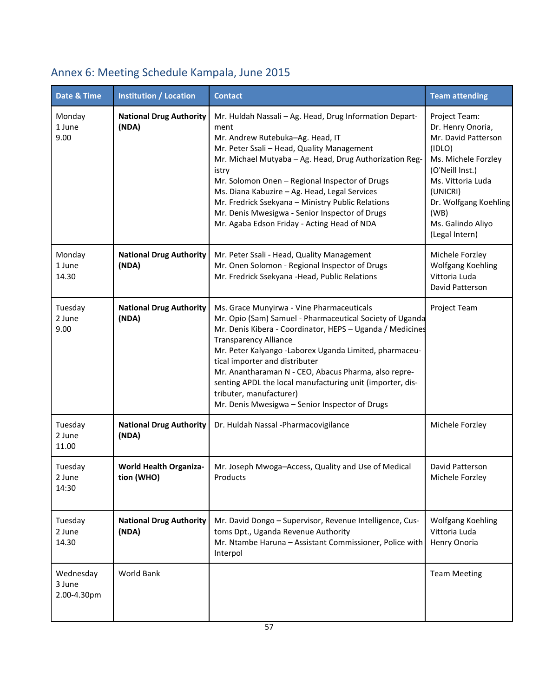| Date & Time                        | <b>Institution / Location</b>               | <b>Contact</b>                                                                                                                                                                                                                                                                                                                                                                                                                                                                                   | <b>Team attending</b>                                                                                                                                                                                                  |
|------------------------------------|---------------------------------------------|--------------------------------------------------------------------------------------------------------------------------------------------------------------------------------------------------------------------------------------------------------------------------------------------------------------------------------------------------------------------------------------------------------------------------------------------------------------------------------------------------|------------------------------------------------------------------------------------------------------------------------------------------------------------------------------------------------------------------------|
| Monday<br>1 June<br>9.00           | <b>National Drug Authority</b><br>(NDA)     | Mr. Huldah Nassali - Ag. Head, Drug Information Depart-<br>ment<br>Mr. Andrew Rutebuka-Ag. Head, IT<br>Mr. Peter Ssali - Head, Quality Management<br>Mr. Michael Mutyaba - Ag. Head, Drug Authorization Reg-<br>istry<br>Mr. Solomon Onen - Regional Inspector of Drugs<br>Ms. Diana Kabuzire - Ag. Head, Legal Services<br>Mr. Fredrick Ssekyana - Ministry Public Relations<br>Mr. Denis Mwesigwa - Senior Inspector of Drugs<br>Mr. Agaba Edson Friday - Acting Head of NDA                   | Project Team:<br>Dr. Henry Onoria,<br>Mr. David Patterson<br>(IDLO)<br>Ms. Michele Forzley<br>(O'Neill Inst.)<br>Ms. Vittoria Luda<br>(UNICRI)<br>Dr. Wolfgang Koehling<br>(WB)<br>Ms. Galindo Aliyo<br>(Legal Intern) |
| Monday<br>1 June<br>14.30          | <b>National Drug Authority</b><br>(NDA)     | Mr. Peter Ssali - Head, Quality Management<br>Mr. Onen Solomon - Regional Inspector of Drugs<br>Mr. Fredrick Ssekyana -Head, Public Relations                                                                                                                                                                                                                                                                                                                                                    | Michele Forzley<br>Wolfgang Koehling<br>Vittoria Luda<br>David Patterson                                                                                                                                               |
| Tuesday<br>2 June<br>9.00          | <b>National Drug Authority</b><br>(NDA)     | Ms. Grace Munyirwa - Vine Pharmaceuticals<br>Mr. Opio (Sam) Samuel - Pharmaceutical Society of Uganda<br>Mr. Denis Kibera - Coordinator, HEPS - Uganda / Medicines<br><b>Transparency Alliance</b><br>Mr. Peter Kalyango -Laborex Uganda Limited, pharmaceu-<br>tical importer and distributer<br>Mr. Anantharaman N - CEO, Abacus Pharma, also repre-<br>senting APDL the local manufacturing unit (importer, dis-<br>tributer, manufacturer)<br>Mr. Denis Mwesigwa - Senior Inspector of Drugs | Project Team                                                                                                                                                                                                           |
| Tuesday<br>2 June<br>11.00         | <b>National Drug Authority</b><br>(NDA)     | Dr. Huldah Nassal - Pharmacovigilance                                                                                                                                                                                                                                                                                                                                                                                                                                                            | Michele Forzley                                                                                                                                                                                                        |
| Tuesday<br>2 June<br>14:30         | <b>World Health Organiza-</b><br>tion (WHO) | Mr. Joseph Mwoga-Access, Quality and Use of Medical<br>Products                                                                                                                                                                                                                                                                                                                                                                                                                                  | David Patterson<br>Michele Forzley                                                                                                                                                                                     |
| Tuesday<br>2 June<br>14.30         | <b>National Drug Authority</b><br>(NDA)     | Mr. David Dongo - Supervisor, Revenue Intelligence, Cus-<br>toms Dpt., Uganda Revenue Authority<br>Mr. Ntambe Haruna - Assistant Commissioner, Police with<br>Interpol                                                                                                                                                                                                                                                                                                                           | Wolfgang Koehling<br>Vittoria Luda<br>Henry Onoria                                                                                                                                                                     |
| Wednesday<br>3 June<br>2.00-4.30pm | World Bank                                  |                                                                                                                                                                                                                                                                                                                                                                                                                                                                                                  | <b>Team Meeting</b>                                                                                                                                                                                                    |

# <span id="page-56-0"></span>Annex 6: Meeting Schedule Kampala, June 2015